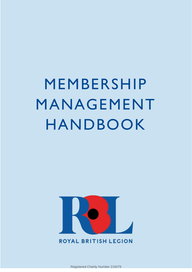MEMBERSHIP MANAGEMENT HANDBOOK



# **ROYAL BRITISH LEGION**

MMH September 2021 – V1.3.2 Registered Charity Number 219279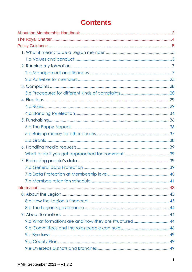# **Contents**

| 9.a What formations are and how they are structured44 |  |
|-------------------------------------------------------|--|
|                                                       |  |
|                                                       |  |
|                                                       |  |
|                                                       |  |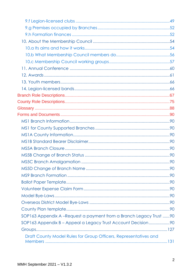| SOP163 Appendix A -Request a payment from a Branch Legacy Trust  90 |  |
|---------------------------------------------------------------------|--|
| SOP163 Appendix B - Appeal a Legacy Trust Account Decision90        |  |
|                                                                     |  |
| Draft County Model Rules for Group Officers, Representatives and    |  |
|                                                                     |  |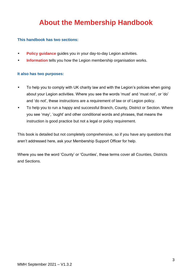# **About the Membership Handbook**

#### <span id="page-3-0"></span>**This handbook has two sections:**

- **[Policy guidance](#page-5-0)** guides you in your day-to-day Legion activities.
- **[Information](#page-42-0)** tells you how the Legion membership organisation works.

#### **It also has two purposes:**

- To help you to comply with UK charity law and with the Legion's policies when going about your Legion activities. Where you see the words 'must' and 'must not', or 'do' and 'do not', these instructions are a requirement of law or of Legion policy.
- To help you to run a happy and successful Branch, County, District or Section. Where you see 'may', 'ought' and other conditional words and phrases, that means the instruction is good practice but not a legal or policy requirement.

This book is detailed but not completely comprehensive, so if you have any questions that aren't addressed here, ask your Membership Support Officer for help.

Where you see the word 'County' or 'Counties', these terms cover all Counties, Districts and Sections.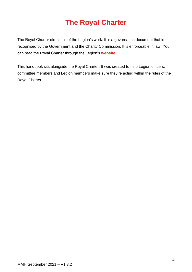# **The Royal Charter**

<span id="page-4-0"></span>The Royal Charter directs all of the Legion's work. It is a governance document that is recognised by the Government and the Charity Commission. It is enforceable in law. You can read the Royal Charter through the Legion's **[website.](https://www.britishlegion.org.uk/quick-links/the-royal-charter)**

This handbook sits alongside the Royal Charter. It was created to help Legion officers, committee members and Legion members make sure they're acting within the rules of the Royal Charter.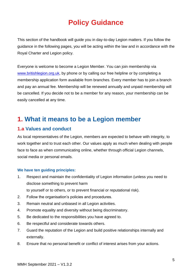# **Policy Guidance**

<span id="page-5-0"></span>This section of the handbook will guide you in day-to-day Legion matters. If you follow the guidance in the following pages, you will be acting within the law and in accordance with the Royal Charter and Legion policy.

Everyone is welcome to become a Legion Member. You can join membership via [www.britishlegion.org.uk,](http://www.britishlegion.org.uk/) by phone or by calling our free helpline or by completing a membership application form available from branches. Every member has to join a branch and pay an annual fee. Membership will be renewed annually and unpaid membership will be cancelled. If you decide not to be a member for any reason, your membership can be easily cancelled at any time.

# <span id="page-5-1"></span>**1. What it means to be a Legion member**

# <span id="page-5-2"></span>**1.a Values and conduct**

As local representatives of the Legion, members are expected to behave with integrity, to work together and to trust each other. Our values apply as much when dealing with people face to face as when communicating online, whether through official Legion channels, social media or personal emails.

#### **We have ten guiding principles:**

- 1. Respect and maintain the confidentiality of Legion information (unless you need to disclose something to prevent harm
	- to yourself or to others, or to prevent financial or reputational risk).
- 2. Follow the organisation's policies and procedures.
- 3. Remain neutral and unbiased in all Legion activities.
- 4. Promote equality and diversity without being discriminatory.
- 5. Be dedicated to the responsibilities you have agreed to.
- 6. Be respectful and considerate towards others.
- 7. Guard the reputation of the Legion and build positive relationships internally and externally.
- 8. Ensure that no personal benefit or conflict of interest arises from your actions.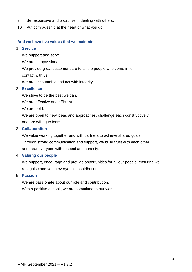- 9. Be responsive and proactive in dealing with others.
- 10. Put comradeship at the heart of what you do

#### **And we have five values that we maintain:**

#### 1. **Service**

We support and serve.

We are compassionate.

We provide great customer care to all the people who come in to contact with us.

We are accountable and act with integrity.

#### 2. **Excellence**

We strive to be the best we can.

We are effective and efficient.

We are bold.

We are open to new ideas and approaches, challenge each constructively and are willing to learn.

#### 3. **Collaboration**

We value working together and with partners to achieve shared goals. Through strong communication and support, we build trust with each other and treat everyone with respect and honesty.

#### 4. **Valuing our people**

We support, encourage and provide opportunities for all our people, ensuring we recognise and value everyone's contribution.

#### 5. **Passion**

We are passionate about our role and contribution. With a positive outlook, we are committed to our work.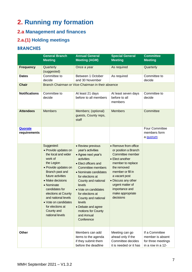# <span id="page-7-0"></span>**2. Running my formation**

# <span id="page-7-1"></span>**2.a Management and finances**

# **2.a.(1) Holding meetings**

# **BRANCHES**

|                         | <b>General Branch</b><br><b>Meeting</b>                                                                                                                                                                                                                                                                                           | <b>Annual General</b><br><b>Meeting (AGM)</b>                                                                                                                                                                                                                                                                                                                      | <b>Special General</b><br><b>Meeting</b>                                                                                                                                                                                                                    | <b>Committee</b><br><b>Meeting</b>                                            |
|-------------------------|-----------------------------------------------------------------------------------------------------------------------------------------------------------------------------------------------------------------------------------------------------------------------------------------------------------------------------------|--------------------------------------------------------------------------------------------------------------------------------------------------------------------------------------------------------------------------------------------------------------------------------------------------------------------------------------------------------------------|-------------------------------------------------------------------------------------------------------------------------------------------------------------------------------------------------------------------------------------------------------------|-------------------------------------------------------------------------------|
| <b>Frequency</b>        | Quarterly<br>(suggested)                                                                                                                                                                                                                                                                                                          | Once a year                                                                                                                                                                                                                                                                                                                                                        | As required                                                                                                                                                                                                                                                 | Quarterly                                                                     |
| <b>Dates</b>            | Committee to<br>decide                                                                                                                                                                                                                                                                                                            | Between 1 October<br>and 30 November                                                                                                                                                                                                                                                                                                                               | As required                                                                                                                                                                                                                                                 | Committee to<br>decide                                                        |
| <b>Chair</b>            |                                                                                                                                                                                                                                                                                                                                   | Branch Chairman or Vice-Chairman in their absence                                                                                                                                                                                                                                                                                                                  |                                                                                                                                                                                                                                                             |                                                                               |
| <b>Notifications</b>    | Committee to<br>decide                                                                                                                                                                                                                                                                                                            | At least 21 days<br>before to all members                                                                                                                                                                                                                                                                                                                          | At least seven days<br>before to all<br>members                                                                                                                                                                                                             | Committee to<br>decide                                                        |
| <b>Attendees</b>        | <b>Members</b>                                                                                                                                                                                                                                                                                                                    | Members; (optional)<br>guests, County reps,<br>staff                                                                                                                                                                                                                                                                                                               | <b>Members</b>                                                                                                                                                                                                                                              | Committee                                                                     |
| Quorate<br>requirements |                                                                                                                                                                                                                                                                                                                                   |                                                                                                                                                                                                                                                                                                                                                                    |                                                                                                                                                                                                                                                             | Four Committee<br>members form<br>a quorum                                    |
|                         | Suggested:<br>• Provide updates on<br>the local and wider<br>work of<br>the Legion<br>• Provide updates on<br>Branch past and<br>future activities<br>• Make decisions<br>• Nominate<br>candidates for<br>elections at County<br>and national levels<br>• Vote on candidates<br>for elections at<br>County and<br>national levels | • Review previous<br>year's activities<br>• Agree next year's<br>activities<br>• Elect officers and<br><b>Committee members</b><br>• Nominate candidates<br>for elections at<br>County and national<br>levels<br>• Vote on candidates<br>for elections at<br>County and national<br>levels<br>• Debate and agree<br>motions for County<br>and Annual<br>Conference | • Remove from office<br>or position a Branch<br>Committee member<br>• Elect another<br>member to replace<br>the removed<br>member or fill in<br>a vacant post<br>• Discuss any other<br>urgent matter of<br>importance and<br>make appropriate<br>decisions |                                                                               |
| Other                   |                                                                                                                                                                                                                                                                                                                                   | Members can add<br>items to the agenda<br>if they submit them<br>before the deadline                                                                                                                                                                                                                                                                               | Meeting can go<br>ahead only if the<br>Committee decides<br>it is needed or it has                                                                                                                                                                          | If a Committee<br>member is absent<br>for three meetings<br>in a row in a 12- |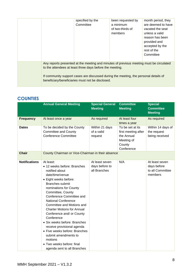|  | specified by the<br>Committee                                                                                                                                                                                                                                                                   | been requested by<br>a minimum<br>of two-thirds of<br>members | month period, they<br>are deemed to have<br>vacated the seat<br>unless a valid<br>reason has been<br>provided and<br>accepted by the<br>rest of the<br>Committee |
|--|-------------------------------------------------------------------------------------------------------------------------------------------------------------------------------------------------------------------------------------------------------------------------------------------------|---------------------------------------------------------------|------------------------------------------------------------------------------------------------------------------------------------------------------------------|
|  | Any reports presented at the meeting and minutes of previous meeting must be circulated<br>to the attendees at least three days before the meeting.<br>If community support cases are discussed during the meeting, the personal details of<br>beneficiary/beneficiaries must not be disclosed. |                                                               |                                                                                                                                                                  |

# **COUNTIES**

|                      | <b>Annual General Meeting</b>                                                                                                                                                                                                                                                                                                                                                                                                                                                                                                                        | <b>Special General</b><br><b>Meeting</b>         | <b>Committee</b><br><b>Meeting</b>                                                          | Special<br><b>Committee</b><br><b>Meeting</b>                |
|----------------------|------------------------------------------------------------------------------------------------------------------------------------------------------------------------------------------------------------------------------------------------------------------------------------------------------------------------------------------------------------------------------------------------------------------------------------------------------------------------------------------------------------------------------------------------------|--------------------------------------------------|---------------------------------------------------------------------------------------------|--------------------------------------------------------------|
| <b>Frequency</b>     | At least once a year                                                                                                                                                                                                                                                                                                                                                                                                                                                                                                                                 | As required                                      | At least four<br>times a year                                                               | As required                                                  |
| <b>Dates</b>         | To be decided by the County<br><b>Committee and County</b><br><b>Conference Committee</b>                                                                                                                                                                                                                                                                                                                                                                                                                                                            | Within 21 days<br>of a valid<br>request          | To be set at its<br>first meeting after<br>the Annual<br>Meeting of<br>County<br>Conference | Within 14 days of<br>the request<br>being received           |
| <b>Chair</b>         | County Chairman or Vice-Chairman in their absence                                                                                                                                                                                                                                                                                                                                                                                                                                                                                                    |                                                  |                                                                                             |                                                              |
| <b>Notifications</b> | At least:<br>• 12 weeks before: Branches<br>notified about<br>date/time/venue<br>• Eight weeks before:<br><b>Branches submit</b><br>nominations for County<br>Committee, County<br>Conference Committee and<br><b>National Conference</b><br>Committee and Motions and<br><b>Charter Motions for Annual</b><br>Conference and/ or County<br>Conference<br>• Six weeks before: Branches<br>receive provisional agenda<br>• Five weeks before: Branches<br>submit amendments to<br>motions<br>• Two weeks before: final<br>agenda sent to all Branches | At least seven<br>days before to<br>all Branches | N/A                                                                                         | At least seven<br>days before<br>to all Committee<br>members |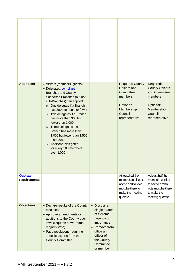| <b>Attendees</b>        | • Visitors (members, guests)<br>• Delegates: compliant<br><b>Branches and County-</b><br>Supported Branches (but not<br>sub-Branches) can appoint:<br>One delegate if a Branch<br>$\circ$<br>has 300 members or fewer<br>Two delegates if a Branch<br>$\circ$<br>has more than 300 but<br>fewer than 1,000<br>Three delegates if a<br>$\circ$<br>Branch has more than<br>1,000 but fewer than 1,500<br>members<br>Additional delegates<br>$\circ$<br>for every 500 members<br>over 1,000 |                                                                                                                                                            | <b>Required: County</b><br>Officers and<br>Committee<br>members<br>Optional:<br>Membership<br>Council<br>representative | Required:<br><b>County Officers</b><br>and Committee<br>members<br>Optional:<br>Membership<br>Council<br>representative |
|-------------------------|------------------------------------------------------------------------------------------------------------------------------------------------------------------------------------------------------------------------------------------------------------------------------------------------------------------------------------------------------------------------------------------------------------------------------------------------------------------------------------------|------------------------------------------------------------------------------------------------------------------------------------------------------------|-------------------------------------------------------------------------------------------------------------------------|-------------------------------------------------------------------------------------------------------------------------|
| Quorate<br>requirements |                                                                                                                                                                                                                                                                                                                                                                                                                                                                                          |                                                                                                                                                            | At least half the<br>members entitled to<br>attend and to vote<br>must be there to<br>make the meeting<br>quorate       | At least half the<br>members entitled<br>to attend and to<br>vote must be there<br>to make the<br>meeting quorate       |
| <b>Objectives</b>       | • Declare results of the County<br>elections<br>• Approve amendments or<br>additions to the County bye-<br>laws (requires a two-thirds<br>majority vote)<br>• Pass resolutions requiring<br>specific actions from the<br><b>County Committee</b>                                                                                                                                                                                                                                         | • Discuss a<br>single matter<br>of extreme<br>urgency or<br>importance<br>• Remove from<br>office an<br>officer of<br>the County<br>Committee<br>or member |                                                                                                                         |                                                                                                                         |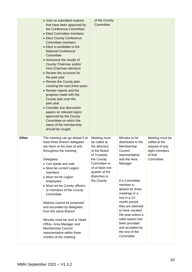|              | • Vote on submitted motions<br>that have been approved by<br>the Conference Committee<br>• Elect Committee members<br>• Elect County Conference<br><b>Committee members</b><br>• Elect a candidate to the<br><b>National Conference</b><br>Committee<br>• Announce the results of<br>County Chairman and/or<br><b>Vice-Chairman elections</b><br>• Review the accounts for<br>the past year<br>• Review the County plan<br>covering the next three years<br>• Review reports and the<br>progress made with the<br>County plan over the<br>past year<br>• Consider any discussion<br>papers on relevant topics<br>approved by the County<br>Committee on which the<br>views of the membership<br>should be sought | of the County<br>Committee                                                                                                                                                    |                                                                                                                                                                                                                                                                                                                                                                   |                                                                                             |
|--------------|------------------------------------------------------------------------------------------------------------------------------------------------------------------------------------------------------------------------------------------------------------------------------------------------------------------------------------------------------------------------------------------------------------------------------------------------------------------------------------------------------------------------------------------------------------------------------------------------------------------------------------------------------------------------------------------------------------------|-------------------------------------------------------------------------------------------------------------------------------------------------------------------------------|-------------------------------------------------------------------------------------------------------------------------------------------------------------------------------------------------------------------------------------------------------------------------------------------------------------------------------------------------------------------|---------------------------------------------------------------------------------------------|
| <b>Other</b> | The meeting can go ahead if at<br>least three Branch delegates<br>are there at the start of and<br>throughout the meeting<br>Delegates:<br>• Can speak and vote<br>• Must be current Legion<br>members<br>• Must not be Legion<br>employees<br>• Must not be County officers<br>or members of the County<br>Committee<br>Motions cannot be proposed<br>and seconded by delegates<br>from the same Branch<br>Minutes must be sent to Head<br>Office, Area Manager and<br>Membership Council<br>representative within three<br>months of the meeting                                                                                                                                                               | Meeting must<br>be called at<br>the direction<br>of the Board<br>of Trustees,<br>the County<br>Committee or<br>of at least one<br>quarter of the<br>Branches in<br>the County | Minutes to be<br>distributed to the<br>Membership<br>Council<br>representative<br>and the Area<br>Manager<br>If a Committee<br>member is<br>absent for three<br>meetings in a<br>row in a 12-<br>month period,<br>they are deemed<br>to have vacated<br>the seat unless a<br>valid reason has<br>been provided<br>and accepted by<br>the rest of the<br>Committee | Meeting must be<br>called at the<br>request of any<br>eight members<br>of that<br>Committee |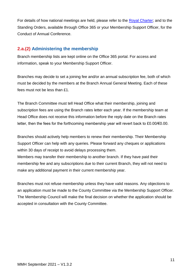For details of how national meetings are held, please refer to the [Royal Charter;](https://www.britishlegion.org.uk/quick-links/the-royal-charter) and to the Standing Orders, available through Office 365 or your Membership Support Officer, for the Conduct of Annual Conference.

# **2.a.(2) Administering the membership**

Branch membership lists are kept online on the Office 365 portal. For access and information, speak to your Membership Support Officer.

Branches may decide to set a joining fee and/or an annual subscription fee, both of which must be decided by the members at the Branch Annual General Meeting. Each of these fees must not be less than £1.

The Branch Committee must tell Head Office what their membership, joining and subscription fees are using the Branch rates letter each year. If the membership team at Head Office does not receive this information before the reply date on the Branch rates letter, then the fees for the forthcoming membership year will revert back to £0.00/€0.00.

Branches should actively help members to renew their membership. Their Membership Support Officer can help with any queries. Please forward any cheques or applications within 30 days of receipt to avoid delays processing them.

Members may transfer their membership to another branch. If they have paid their membership fee and any subscriptions due to their current Branch, they will not need to make any additional payment in their current membership year.

Branches must not refuse membership unless they have valid reasons. Any objections to an application must be made to the County Committee via the Membership Support Officer. The Membership Council will make the final decision on whether the application should be accepted in consultation with the County Committee.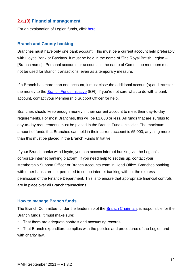# **2.a.(3) Financial management**

For an explanation of Legion funds, click [here](#page-43-2).

#### **Branch and County banking**

Branches must have only one bank account. This must be a current account held preferably with Lloyds Bank or Barclays. It must be held in the name of 'The Royal British Legion – [Branch name]'. Personal accounts or accounts in the name of Committee members must not be used for Branch transactions, even as a temporary measure.

If a Branch has more than one account, it must close the additional account(s) and transfer the money to the [Branch Funds Initiative](#page-53-0) (BFI). If you're not sure what to do with a bank account, contact your Membership Support Officer for help.

Branches should keep enough money in their current account to meet their day-to-day requirements. For most Branches, this will be £1,000 or less. All funds that are surplus to day-to-day requirements must be placed in the Branch Funds Initiative. The maximum amount of funds that Branches can hold in their current account is £5,000; anything more than this must be placed in the Branch Funds Initiative.

If your Branch banks with Lloyds, you can access internet banking via the Legion's corporate internet banking platform. If you need help to set this up, contact your Membership Support Officer or Branch Accounts team in Head Office. Branches banking with other banks are not permitted to set up internet banking without the express permission of the Finance Department. This is to ensure that appropriate financial controls are in place over all Branch transactions.

#### **How to manage Branch funds**

The Branch Committee, under the leadership of the Branch Chairman, is responsible for the Branch funds. It must make sure:

- That there are adequate controls and accounting records.
- That Branch expenditure complies with the policies and procedures of the Legion and with charity law.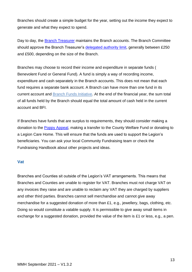Branches should create a simple budget for the year, setting out the income they expect to generate and what they expect to spend.

Day to day, the Branch Treasurer maintains the Branch accounts. The Branch Committee should approve the Branch Treasurer's [delegated authority limit,](#page-88-2) generally between £250 and £500, depending on the size of the Branch.

Branches may choose to record their income and expenditure in separate funds ( Benevolent Fund or General Fund). A fund is simply a way of recording income, expenditure and cash separately in the Branch accounts. This does not mean that each fund requires a separate bank account. A Branch can have more than one fund in its current account and [Branch Funds Initiative.](#page-14-0) At the end of the financial year, the sum total of all funds held by the Branch should equal the total amount of cash held in the current account and BFI.

If Branches have funds that are surplus to requirements, they should consider making a donation to the [Poppy Appeal,](https://www.britishlegion.org.uk/get-involved/ways-to-give/poppy-appeal) making a transfer to the County Welfare Fund or donating to a Legion Care Home. This will ensure that the funds are used to support the Legion's beneficiaries. You can ask your local Community Fundraising team or check the Fundraising Handbook about other projects and ideas.

#### **Vat**

Branches and Counties sit outside of the Legion's VAT arrangements. This means that Branches and Counties are unable to register for VAT. Branches must not charge VAT on any invoices they raise and are unable to reclaim any VAT they are charged by suppliers and other third parties. Branches cannot sell merchandise and cannot give away merchandise for a suggested donation of more than £1, e.g., jewellery, bags, clothing, etc. Doing so would constitute a vatable supply. It is permissible to give away small items in exchange for a suggested donation, provided the value of the item is £1 or less, e.g., a pen.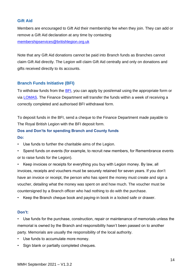### **Gift Aid**

Members are encouraged to Gift Aid their membership fee when they join. They can add or remove a Gift Aid declaration at any time by contacting [membershipservices@britishlegion.org.uk](mailto:membershipservices@britishlegion.org.uk)

Note that any Gift Aid donations cannot be paid into Branch funds as Branches cannot claim Gift Aid directly. The Legion will claim Gift Aid centrally and only on donations and gifts received directly to its accounts.

#### <span id="page-14-0"></span>**Branch Funds Initiative (BFI)**

To withdraw funds from the [BFI,](#page-53-0) you can apply by post/email using the appropriate form or via [LOMAS.](#page-53-1) The Finance Department will transfer the funds within a week of receiving a correctly completed and authorised BFI withdrawal form.

To deposit funds in the BFI, send a cheque to the Finance Department made payable to The Royal British Legion with the BFI deposit form.

#### **Dos and Don'ts for spending Branch and County funds Do:**

- Use funds to further the charitable aims of the Legion.
- Spend funds on events (for example, to recruit new members, for Remembrance events or to raise funds for the Legion).

• Keep invoices or receipts for everything you buy with Legion money. By law, all invoices, receipts and vouchers must be securely retained for seven years. If you don't have an invoice or receipt, the person who has spent the money must create and sign a voucher, detailing what the money was spent on and how much. The voucher must be countersigned by a Branch officer who had nothing to do with the purchase.

Keep the Branch cheque book and paying-in book in a locked safe or drawer.

#### **Don't:**

Use funds for the purchase, construction, repair or maintenance of memorials unless the memorial is owned by the Branch and responsibility hasn't been passed on to another party. Memorials are usually the responsibility of the local authority.

- Use funds to accumulate more money.
- Sign blank or partially completed cheques.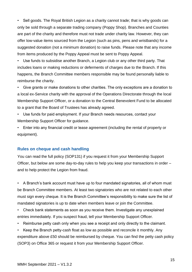• Sell goods. The Royal British Legion as a charity cannot trade; that is why goods can only be sold through a separate trading company (Poppy Shop). Branches and Counties are part of the charity and therefore must not trade under charity law. However, they can offer low-value items sourced from the Legion (such as pins, pens and wristbands) for a suggested donation (not a minimum donation) to raise funds. Please note that any income from items produced by the Poppy Appeal must be sent to Poppy Appeal.

Use funds to subsidise another Branch, a Legion club or any other third party. That includes loans or making reductions or deferments of charges due to the Branch. If this happens, the Branch Committee members responsible may be found personally liable to reimburse the charity.

• Give grants or make donations to other charities. The only exceptions are a donation to a local ex-Service charity with the approval of the Operations Directorate through the local Membership Support Officer, or a donation to the Central Benevolent Fund to be allocated to a grant that the Board of Trustees has already agreed.

• Use funds for paid employment. If your Branch needs resources, contact your Membership Support Officer for guidance.

• Enter into any financial credit or lease agreement (including the rental of property or equipment).

#### **Rules on cheque and cash handling**

You can read the full policy (SOP131) if you request it from your Membership Support Officer, but below are some day-to-day rules to help you keep your transactions in order – and to help protect the Legion from fraud.

• A Branch's bank account must have up to four mandated signatories, all of whom must be Branch Committee members. At least two signatories who are not related to each other must sign every cheque. It is the Branch Committee's responsibility to make sure the list of mandated signatories is up to date when members leave or join the Committee.

• Check bank statements as soon as you receive them. Investigate any unexplained entries immediately. If you suspect fraud, tell your Membership Support Officer.

• Reimburse petty cash only when you see a receipt and only directly to the claimant.

• Keep the Branch petty-cash float as low as possible and reconcile it monthly. Any expenditure above £50 should be reimbursed by cheque. You can find the petty cash policy (SOP3) on Office 365 or request it from your Membership Support Officer.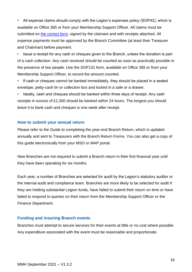• All expense claims should comply with the Legion's expenses policy (SOP42), which is available on Office 365 or from your Membership Support Officer. All claims must be submitted on [the correct form,](#page-111-0) signed by the claimant and with receipts attached. All expense payments must be approved by the Branch Committee (at least their Treasurer and Chairman) before payment.

• Issue a receipt for any cash or cheques given to the Branch, unless the donation is part of a cash collection. Any cash received should be counted as soon as practically possible in the presence of two people. Use the SOP131 form, available on Office 365 or from your Membership Support Officer, to record the amount counted.

If cash or cheques cannot be banked immediately, they should be placed in a sealed envelope, petty-cash tin or collection box and locked in a safe or a drawer.

• Ideally, cash and cheques should be banked within three days of receipt. Any cash receipts in excess of £1,000 should be banked within 24 hours. The longest you should leave it to bank cash and cheques is one week after receipt.

#### **How to submit your annual return**

Please refer to the Guide to completing the year-end Branch Return, which is updated annually and sent to Treasurers with the Branch Return Forms. You can also get a copy of this guide electronically from your MSO or MAP portal.

New Branches are not required to submit a Branch return in their first financial year until they have been operating for six months.

Each year, a number of Branches are selected for audit by the Legion's statutory auditor or the internal audit and compliance team. Branches are more likely to be selected for audit if they are holding substantial Legion funds, have failed to submit their return on time or have failed to respond to queries on their return from the Membership Support Officer or the Finance Department.

#### **Funding and insuring Branch events**

Branches must attempt to secure services for their events at little or no cost where possible. Any expenditure associated with the event must be reasonable and proportionate.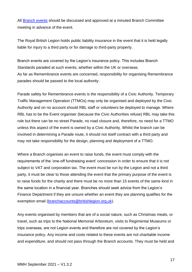All [Branch events](#page-88-3) should be discussed and approved at a minuted Branch Committee meeting in advance of the event.

The Royal British Legion holds public liability insurance in the event that it is held legally liable for injury to a third party or for damage to third-party property.

Branch events are covered by the Legion's insurance policy. This includes Branch Standards paraded at such events, whether within the UK or overseas. As far as Remembrance events are concerned, responsibility for organising Remembrance parades should be passed to the local authority.

Parade safety for Remembrance events is the responsibility of a Civic Authority. Temporary Traffic Management Operation (TTMOs) may only be organised and deployed by the Civic Authority and on no account should RBL staff or volunteers be deployed to manage. Where RBL has to be the Event organiser (because the Civic Authorities refuse) RBL may take this role but there can be no street Parade, no road closure and, therefore, no need for a TTMO unless this aspect of the event is owned by a Civic Authority. Whilst the branch can be involved in determining a Parade route, it should not itself contract with a third party and may not take responsibility for the design, planning and deployment of a TTMO.

Where a Branch organises an event to raise funds, the event must comply with the requirements of the 'one-off fundraising event' concession in order to ensure that it is not subject to VAT and corporation tax. The event must be run by the Legion and not a third party, it must be clear to those attending the event that the primary purpose of the event is to raise funds for the charity and there must be no more than 15 events of the same kind in the same location in a financial year. Branches should seek advice from the Legion's Finance Department if they are unsure whether an event they are planning qualifies for the exemption email [\(branchaccounts@britishlegion.org.uk\)](mailto:branchaccounts@britishlegion.org.uk).

Any events organised by members that are of a social nature, such as Christmas meals, or travel, such as trips to the National Memorial Arboretum, visits to Regimental Museums or trips overseas, are not Legion events and therefore are not covered by the Legion's insurance policy. Any income and costs related to these events are not charitable income and expenditure, and should not pass through the Branch accounts. They must be held and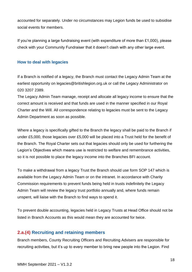accounted for separately. Under no circumstances may Legion funds be used to subsidise social events for members.

If you're planning a large fundraising event (with expenditure of more than £1,000), please check with your Community Fundraiser that it doesn't clash with any other large event.

#### <span id="page-18-0"></span>**How to deal with legacies**

If a Branch is notified of a legacy, the Branch must contact the Legacy Admin Team at the earliest opportunity on legacies@britishlegion.org.uk or call the Legacy Administrator on 020 3207 2389.

The Legacy Admin Team manage, receipt and allocate all legacy income to ensure that the correct amount is received and that funds are used in the manner specified in our Royal Charter and the Will. All correspondence relating to legacies must be sent to the Legacy Admin Department as soon as possible.

Where a legacy is specifically gifted to the Branch the legacy shall be paid to the Branch if under £5,000, those legacies over £5,000 will be placed into a Trust held for the benefit of the Branch. The Royal Charter sets out that legacies should only be used for furthering the Legion's Objectives which means use is restricted to welfare and remembrance activities, so it is not possible to place the legacy income into the Branches BFI account.

To make a withdrawal from a legacy Trust the Branch should use form SOP 147 which is available from the Legacy Admin Team or on the intranet. In accordance with Charity Commission requirements to prevent funds being held in trusts indefinitely the Legacy Admin Team will review the legacy trust portfolio annually and, where funds remain unspent, will liaise with the Branch to find ways to spend it.

To prevent double accounting, legacies held in Legacy Trusts at Head Office should not be listed in Branch Accounts as this would mean they are accounted for twice.

## **2.a.(4) Recruiting and retaining members**

Branch members, County Recruiting Officers and Recruiting Advisers are responsible for recruiting activities, but it's up to every member to bring new people into the Legion. Find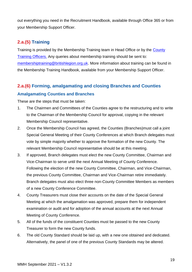out everything you need in the Recruitment Handbook, available through Office 365 or from your Membership Support Officer.

# **2.a.(5) Training**

Training is provided by the Membership Training team in Head Office or by the County Training Officers. Any queries about membership training should be sent to: [membershiptraining@britishlegion.org.uk.](mailto:membershiptraining@britishlegion.org.uk) More information about training can be found in the Membership Training Handbook, available from your Membership Support Officer.

# **2.a.(6) Forming, amalgamating and closing Branches and Counties Amalgamating Counties and Branches**

These are the steps that must be taken:

- 1. The Chairmen and Committees of the Counties agree to the restructuring and to write to the Chairman of the Membership Council for approval, copying in the relevant Membership Council representative.
- 2. Once the Membership Council has agreed, the Counties (Branches)must call a joint Special General Meeting of their County Conferences at which Branch delegates must vote by simple majority whether to approve the formation of the new County. The relevant Membership Council representative should be at this meeting.
- 3. If approved, Branch delegates must elect the new County Committee, Chairman and Vice-Chairman to serve until the next Annual Meeting of County Conference. Following the election of the new County Committee, Chairman, and Vice-Chairman, the previous County Committee, Chairman and Vice-Chairman retire immediately. Branch delegates must also elect three non-County Committee Members as members of a new County Conference Committee.
- 4. County Treasurers must close their accounts on the date of the Special General Meeting at which the amalgamation was approved, prepare them for independent examination or audit and for adoption of the annual accounts at the next Annual Meeting of County Conference.
- 5. All of the funds of the constituent Counties must be passed to the new County Treasurer to form the new County funds.
- 6. The old County Standard should be laid up, with a new one obtained and dedicated. Alternatively, the panel of one of the previous County Standards may be altered.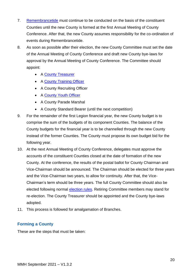- 7. [Remembrancetide](#page-89-2) must continue to be conducted on the basis of the constituent Counties until the new County is formed at the first Annual Meeting of County Conference. After that, the new County assumes responsibility for the co-ordination of events during Remembrancetide.
- 8. As soon as possible after their election, the new County Committee must set the date of the Annual Meeting of County Conference and draft new County bye-laws for approval by the Annual Meeting of County Conference. The Committee should appoint:
	- A County Treasurer
	- A County Training Officer
	- A County Recruiting Officer
	- A County Youth Officer
	- A County Parade Marshal
	- A County Standard Bearer (until the next competition)
- 9. For the remainder of the first Legion financial year, the new County budget is to comprise the sum of the budgets of its component Counties. The balance of the County budgets for the financial year is to be channelled through the new County instead of the former Counties. The County must propose its own budget bid for the following year.
- 10. At the next Annual Meeting of County Conference, delegates must approve the accounts of the constituent Counties closed at the date of formation of the new County. At the conference, the results of the postal ballot for County Chairman and Vice-Chairman should be announced. The Chairman should be elected for three years and the Vice-Chairman two years, to allow for continuity. After that, the Vice-Chairman's term should be three years. The full County Committee should also be elected following normal [election rules.](#page-29-1) Retiring Committee members may stand for re-election. The County Treasurer should be appointed and the County bye-laws adopted.
- 11. This process is followed for amalgamation of Branches.

### **Forming a County**

These are the steps that must be taken: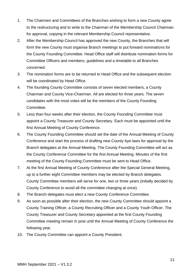- 1. The Chairmen and Committees of the Branches wishing to form a new County agree to the restructuring and to write to the Chairman of the Membership Council Chairman for approval, copying in the relevant Membership Council representative.
- 2. After the Membership Council has approved the new County, the Branches that will form the new County must organise Branch meetings to put forward nominations for the County Founding Committee. Head Office staff will distribute nomination forms for Committee Officers and members, guidelines and a timetable to all Branches concerned.
- 3. The nomination forms are to be returned to Head Office and the subsequent election will be coordinated by Head Office.
- 4. The founding County Committee consists of seven elected members, a County Chairman and County Vice-Chairman. All are elected for three years. The seven candidates with the most votes will be the members of the County Founding Committee.
- 5. Less than four weeks after their election, the County Founding Committee must appoint a County Treasurer and County Secretary. Each must be appointed until the first Annual Meeting of County Conference.
- 6. The County Founding Committee should set the date of the Annual Meeting of County Conference and start the process of drafting new County bye-laws for approval by the Branch delegates at the Annual Meeting. The County Founding Committee will act as the County Conference Committee for the first Annual Meeting. Minutes of the first meeting of the County Founding Committee must be sent to Head Office.
- 7. At the first Annual Meeting of County Conference after the Special General Meeting, up to a further eight Committee members may be elected by Branch delegates. County Committee members will serve for one, two or three years (initially decided by County Conference to avoid all the committee changing at once).
- 8. The Branch delegates must elect a new County Conference Committee.
- 9. As soon as possible after their election, the new County Committee should appoint a County Training Officer, a County Recruiting Officer and a County Youth Officer. The County Treasurer and County Secretary appointed at the first County Founding Committee meeting remain in post until the Annual Meeting of County Conference the following year.
- 10. The County Committee can appoint a County President.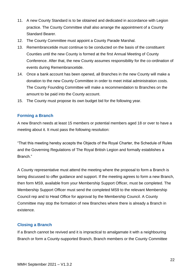- 11. A new County Standard is to be obtained and dedicated in accordance with Legion practice. The County Committee shall also arrange the appointment of a County Standard Bearer.
- 12. The County Committee must appoint a County Parade Marshal.
- 13. Remembrancetide must continue to be conducted on the basis of the constituent Counties until the new County is formed at the first Annual Meeting of County Conference. After that, the new County assumes responsibility for the co-ordination of events during Remembrancetide.
- 14. Once a bank account has been opened, all Branches in the new County will make a donation to the new County Committee in order to meet initial administration costs. The County Founding Committee will make a recommendation to Branches on the amount to be paid into the County account.
- 15. The County must propose its own budget bid for the following year.

### **Forming a Branch**

A new Branch needs at least 15 members or potential members aged 18 or over to have a meeting about it. It must pass the following resolution:

"That this meeting hereby accepts the Objects of the Royal Charter, the Schedule of Rules and the Governing Regulations of The Royal British Legion and formally establishes a Branch."

A County representative must attend the meeting where the proposal to form a Branch is being discussed to offer guidance and support. If the meeting agrees to form a new Branch, then form MS9, available from your Membership Support Officer, must be completed. The Membership Support Officer must send the completed MS9 to the relevant Membership Council rep and to Head Office for approval by the Membership Council. A County Committee may stop the formation of new Branches where there is already a Branch in existence.

## **Closing a Branch**

If a Branch cannot be revived and it is impractical to amalgamate it with a neighbouring Branch or form a County-supported Branch, Branch members or the County Committee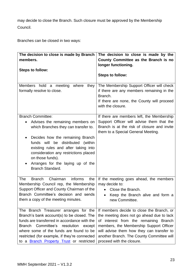may decide to close the Branch. Such closure must be approved by the Membership Council.

Branches can be closed in two ways:

| The decision to close is made by Branch<br>members.                                                                                                                                                                                                                                                                           | The decision to close is made by the<br>County Committee as the Branch is no                                                                                                                                                                                                                      |
|-------------------------------------------------------------------------------------------------------------------------------------------------------------------------------------------------------------------------------------------------------------------------------------------------------------------------------|---------------------------------------------------------------------------------------------------------------------------------------------------------------------------------------------------------------------------------------------------------------------------------------------------|
|                                                                                                                                                                                                                                                                                                                               | longer functioning.                                                                                                                                                                                                                                                                               |
| <b>Steps to follow:</b>                                                                                                                                                                                                                                                                                                       | <b>Steps to follow:</b>                                                                                                                                                                                                                                                                           |
| Members hold a meeting<br>where<br>they<br>formally resolve to close.                                                                                                                                                                                                                                                         | The Membership Support Officer will check<br>if there are any members remaining in the<br>Branch.<br>If there are none, the County will proceed<br>with the closure.                                                                                                                              |
| <b>Branch Committee:</b><br>Advises the remaining members on<br>which Branches they can transfer to.                                                                                                                                                                                                                          | If there are members left, the Membership<br>Support Officer will advise them that the<br>Branch is at the risk of closure and invite<br>them to a Special General Meeting.                                                                                                                       |
| Decides how the remaining Branch<br>funds will be distributed<br>(within<br>existing rules and after taking into<br>consideration any restrictions placed<br>on those funds).<br>Arranges for the laying up of the<br>Branch Standard.                                                                                        |                                                                                                                                                                                                                                                                                                   |
| <b>The</b><br><b>Branch</b><br>Chairman<br>informs<br>the<br>Membership Council rep, the Membership<br>Support Officer and County Chairman of the<br>Branch Committee's decision and sends<br>them a copy of the meeting minutes.                                                                                             | If the meeting goes ahead, the members<br>may decide to:<br>Close the Branch.<br>$\bullet$<br>Keep the Branch alive and form a<br>new Committee.                                                                                                                                                  |
| The Branch Treasurer arranges for the<br>Branch's bank account(s) to be closed. The<br>funds are transferred in accordance with the<br>Branch Committee's resolution<br>except<br>where some of the funds are found to be<br>restricted (for example, if they're connected<br>to a <b>Branch Property Trust</b> or restricted | If members decide to close the Branch, or<br>the meeting does not go ahead due to lack<br>of interest from the remaining Branch<br>members, the Membership Support Officer<br>will advise them how they can transfer to<br>another Branch. The County Committee will<br>proceed with the closure. |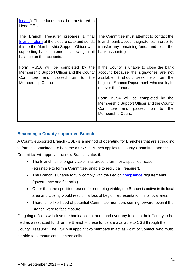| legacy). These funds must be transferred to<br>Head Office.                                                                                                                                                 |                                                                                                                                                                                                      |
|-------------------------------------------------------------------------------------------------------------------------------------------------------------------------------------------------------------|------------------------------------------------------------------------------------------------------------------------------------------------------------------------------------------------------|
| The Branch Treasurer prepares a final<br>Branch return at the closure date and sends<br>this to the Membership Support Officer with<br>supporting bank statements showing a nil<br>balance on the accounts. | The Committee must attempt to contact the<br>Branch bank account signatories in order to<br>transfer any remaining funds and close the<br>bank account(s).                                           |
| Form MS5A will be completed by the<br>Membership Support Officer and the County<br>Committee and passed on to<br>the<br>Membership Council.                                                                 | If the County is unable to close the bank<br>account because the signatories are not<br>available, it should seek help from the<br>Legion's Finance Department, who can try to<br>recover the funds. |
|                                                                                                                                                                                                             | Form MS5A will be completed by the<br>Membership Support Officer and the County<br>Committee and passed on<br>the<br>to<br>Membership Council.                                                       |

### **Becoming a County-supported Branch**

A County-supported Branch (CSB) is a method of operating for Branches that are struggling to form a Committee. To become a CSB, a Branch applies to County Committee and the Committee will approve the new Branch status if:

- The Branch is no longer viable in its present form for a specified reason (eg unable to form a Committee, unable to recruit a Treasurer).
- The Branch is unable to fully comply with the Legion [compliance](#page-88-1) requirements (governance and financial).
- Other than the specified reason for not being viable, the Branch is active in its local area and closing would result in a loss of Legion representation in its local area.
- There is no likelihood of potential Committee members coming forward, even if the Branch were to face closure.

Outgoing officers will close the bank account and hand over any funds to their County to be held as a restricted fund for the Branch – these funds are available to CSB through the County Treasurer. The CSB will appoint two members to act as Point of Contact, who must be able to communicate electronically.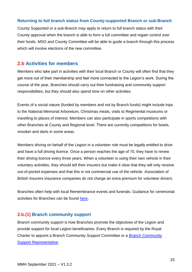### **Returning to full branch status from County-supported Branch or sub-Branch**

County Supported or a sub-Branch may apply to return to full branch status with their County approval when the branch is able to form a full committee and regain control over their funds. MSO and County Committee will be able to guide a branch through this process which will involve elections of the new committee.

# <span id="page-25-0"></span>**2.b Activities for members**

Members who take part in activities with their local Branch or County will often find that they get more out of their membership and feel more connected to the Legion's work. During the course of the year, Branches should carry out their fundraising and community support responsibilities, but they should also spend time on other activities.

Events of a social nature (funded by members and not by Branch funds) might include trips to the National Memorial Arboretum, Christmas meals, visits to Regimental museums or travelling to places of interest. Members can also participate in sports competitions with other Branches at County and Regional level. There are currently competitions for bowls, snooker and darts in some areas.

Members driving on behalf of the Legion in a volunteer role must be legally entitled to drive and have a full driving licence. Once a person reaches the age of 70, they have to renew their driving licence every three years. When a volunteer is using their own vehicle in their voluntary activities, they should tell their insurers but make it clear that they will only receive out-of-pocket expenses and that this is not commercial use of the vehicle. Association of British Insurers insurance companies do not charge an extra premium for volunteer drivers.

Branches often help with local Remembrance events and funerals. Guidance for ceremonial activities for Branches can be found [here.](https://www.britishlegion.org.uk/get-involved/things-to-do/membership/our-members/guidance-for-remembrance-and-ceremonial-services)

## **2.b.(1) Branch community support**

Branch community support is how Branches promote the objectives of the Legion and provide support for local Legion beneficiaries. Every Branch is required by the Royal Charter to appoint a Branch Community Support Committee or a Branch Community Support Representative.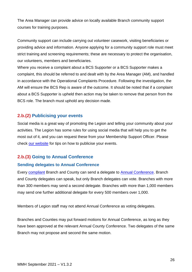The Area Manager can provide advice on locally available Branch community support courses for training purposes.

Community support can include carrying out volunteer casework, visiting beneficiaries or providing advice and information. Anyone applying for a community support role must meet strict training and screening requirements; these are necessary to protect the organisation, our volunteers, members and beneficiaries.

Where you receive a complaint about a BCS Supporter or a BCS Supporter makes a complaint, this should be referred to and dealt with by the Area Manager (AM), and handled in accordance with the Operational Complaints Procedure. Following the investigation, the AM will ensure the BCS Rep is aware of the outcome. It should be noted that if a complaint about a BCS Supporter is upheld then action may be taken to remove that person from the BCS role. The branch must uphold any decision made.

# **2.b.(2) Publicising your events**

Social media is a great way of promoting the Legion and telling your community about your activities. The Legion has some rules for using social media that will help you to get the most out of it, and you can request these from your Membership Support Officer. Please check [our website](https://www.britishlegion.org.uk/quick-links/media-centre) for tips on how to publicise your events.

# **2.b.(3) Going to Annual Conference**

### **Sending delegates to Annual Conference**

Every [compliant](#page-88-1) Branch and County can send a delegate to Annual Conference. Branch and County delegates can speak, but only Branch delegates can vote. Branches with more than 300 members may send a second delegate. Branches with more than 1,000 members may send one further additional delegate for every 500 members over 1,000.

Members of Legion staff may not attend Annual Conference as voting delegates.

Branches and Counties may put forward motions for Annual Conference, as long as they have been approved at the relevant Annual County Conference. Two delegates of the same Branch may not propose and second the same motion.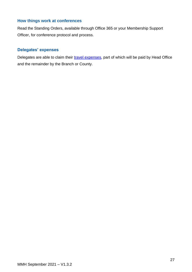### **How things work at conferences**

Read the Standing Orders, available through Office 365 or your Membership Support Officer, for conference protocol and process.

## **Delegates' expenses**

Delegates are able to claim their [travel expenses,](#page-111-0) part of which will be paid by Head Office and the remainder by the Branch or County.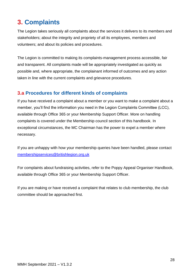# <span id="page-28-0"></span>**3. Complaints**

The Legion takes seriously all complaints about the services it delivers to its members and stakeholders; about the integrity and propriety of all its employees, members and volunteers; and about its policies and procedures.

The Legion is committed to making its complaints-management process accessible, fair and transparent. All complaints made will be appropriately investigated as quickly as possible and, where appropriate, the complainant informed of outcomes and any action taken in line with the current complaints and grievance procedures.

# <span id="page-28-1"></span>**3.a Procedures for different kinds of complaints**

If you have received a complaint about a member or you want to make a complaint about a member, you'll find the information you need in the Legion Complaints Committee (LCC), available through Office 365 or your Membership Support Officer. More on handling complaints is covered under the Membership council section of this handbook. In exceptional circumstances, the MC Chairman has the power to expel a member where necessary.

If you are unhappy with how your membership queries have been handled, please contact [membershipservices@britishlegion.org.uk](mailto:membershipservices@britishlegion.org.uk)

For complaints about fundraising activities, refer to the Poppy Appeal Organiser Handbook, available through Office 365 or your Membership Support Officer.

If you are making or have received a complaint that relates to club membership, the club committee should be approached first.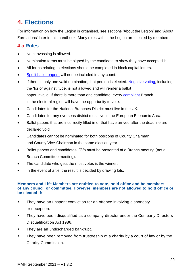# <span id="page-29-0"></span>**4. Elections**

For information on how the Legion is organised, see sections 'About the Legion' and 'About Formations' later in this handbook. Many roles within the Legion are elected by members.

# <span id="page-29-1"></span>**4.a Rules**

- No canvassing is allowed.
- Nomination forms must be signed by the candidate to show they have accepted it.
- All forms relating to elections should be completed in block capital letters.
- [Spoilt ballot papers](#page-89-3) will not be included in any count.
- If there is only one valid nomination, that person is elected. [Negative voting,](#page-89-4) including the 'for or against' type, is not allowed and will render a ballot paper invalid. If there is more than one candidate, every [compliant](#page-88-1) Branch in the electoral region will have the opportunity to vote.
- Candidates for the National Branches District must live in the UK.
- Candidates for any overseas district must live in the European Economic Area.
- Ballot papers that are incorrectly filled in or that have arrived after the deadline are declared void.
- Candidates cannot be nominated for both positions of County Chairman and County Vice-Chairman in the same election year.
- Ballot papers and candidates' CVs must be presented at a Branch meeting (not a Branch Committee meeting).
- The candidate who gets the most votes is the winner.
- In the event of a tie, the result is decided by drawing lots.

#### **Members and Life Members are entitled to vote, hold office and be members of any council or committee. However, members are not allowed to hold office or be elected if:**

- They have an unspent conviction for an offence involving dishonesty or deception.
- They have been disqualified as a company director under the Company Directors Disqualification Act 1986.
- They are an undischarged bankrupt.
- They have been removed from trusteeship of a charity by a court of law or by the Charity Commission.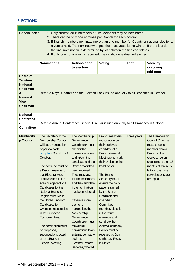# **ELECTIONS**

| <b>General notes</b><br>1. Only current, adult members or Life Members may be nominated.<br>2. There can be only one nominee per Branch for each position.<br>3. If Branch members nominate more than one member for County or national elections,<br>a vote is held. The nominee who gets the most votes is the winner. If there is a tie,<br>the final nomination is determined by lot between the tied candidates.<br>4. If only one nomination is received, the candidate is deemed elected. |                                                                                                                                                                                                                                                         |                                                                                                                                                                                                                                               |                                                                                                                                                                                                                                 |             |                                                                                                                                                                              |  |  |
|--------------------------------------------------------------------------------------------------------------------------------------------------------------------------------------------------------------------------------------------------------------------------------------------------------------------------------------------------------------------------------------------------------------------------------------------------------------------------------------------------|---------------------------------------------------------------------------------------------------------------------------------------------------------------------------------------------------------------------------------------------------------|-----------------------------------------------------------------------------------------------------------------------------------------------------------------------------------------------------------------------------------------------|---------------------------------------------------------------------------------------------------------------------------------------------------------------------------------------------------------------------------------|-------------|------------------------------------------------------------------------------------------------------------------------------------------------------------------------------|--|--|
|                                                                                                                                                                                                                                                                                                                                                                                                                                                                                                  | <b>Nominations</b>                                                                                                                                                                                                                                      | <b>Actions prior</b><br>to election                                                                                                                                                                                                           | Voting                                                                                                                                                                                                                          | <b>Term</b> | Vacancy<br>occurring<br>mid-term                                                                                                                                             |  |  |
| <b>Board of</b><br>Trustees,<br><b>National</b><br><b>Chairman</b><br>&<br><b>National</b><br>Vice-<br><b>Chairman</b>                                                                                                                                                                                                                                                                                                                                                                           | Refer to Royal Charter and the Election Pack issued annually to all Branches in October.                                                                                                                                                                |                                                                                                                                                                                                                                               |                                                                                                                                                                                                                                 |             |                                                                                                                                                                              |  |  |
| <b>National</b><br><b>Conferenc</b><br>е<br><b>Committee</b>                                                                                                                                                                                                                                                                                                                                                                                                                                     | Refer to Annual Conference Special Circular issued annually to all Branches in October.                                                                                                                                                                 |                                                                                                                                                                                                                                               |                                                                                                                                                                                                                                 |             |                                                                                                                                                                              |  |  |
|                                                                                                                                                                                                                                                                                                                                                                                                                                                                                                  | will issue nomination<br>papers to each<br>compliant Branch by 1<br>October.<br>The nominee must be<br>a Branch member of<br>that Electoral Area<br>and live either in the<br>Area or adjacent to it.<br>Candidates for the<br><b>National Branches</b> | Coordinator must<br>check if the<br>nomination is valid<br>and inform the<br>candidate and the<br>Branch that it has<br>been received.<br>They must also<br>inform the Branch<br>and the candidate<br>if the nomination<br>has been rejected. | their preferred<br>candidate at a<br><b>Branch General</b><br>Meeting and mark<br>their choice on the<br>ballot paper.<br>The Branch<br>Secretary must<br>ensure the ballot<br>paper is signed<br>by the Branch<br>Chairman and |             | must co-opt a<br>member from a<br>Branch in the<br>electoral region<br>unless more than 15<br>months of tenure is<br>$left - in this case$<br>new elections are<br>arranged. |  |  |
|                                                                                                                                                                                                                                                                                                                                                                                                                                                                                                  | Region must live in<br>the United Kingdom.<br><b>Candidates for</b><br>Overseas must reside<br>in the European<br>Economic Area.<br>The nomination must<br>be proposed,<br>seconded and voted<br>on at a Branch<br>General Meeting.                     | If there is more<br>than one<br>nomination, the<br>Membership<br>Governance<br>Coordinator must<br>forward all<br>nominations to an<br>external company<br>such as<br><b>Electoral Reform</b><br>Services, who will                           | one other<br>Committee<br>member, place it<br>in the return<br>envelope and<br>send it to the<br>external company.<br><b>Ballots must be</b><br>received by 5pm<br>on the last Friday<br>in March.                              |             |                                                                                                                                                                              |  |  |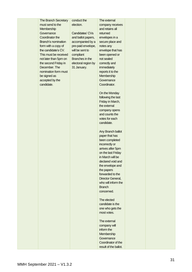| The Branch Secretary       | conduct the         | The external          |  |
|----------------------------|---------------------|-----------------------|--|
| must send to the           | election.           | company receives      |  |
| Membership                 |                     | and retains all       |  |
| Governance                 | Candidates' CVs     | returned              |  |
| Coordinator the            | and ballot papers,  | envelopes in a        |  |
| <b>Branch's nomination</b> | accompanied by a    | secure place and      |  |
| form with a copy of        | pre-paid envelope,  | notes any             |  |
| the candidate's CV.        | will be sent to     | envelope that has     |  |
| This must be received      | compliant           | been opened or        |  |
| not later than 5pm on      | Branches in the     | not sealed            |  |
| the second Friday in       | electoral region by | correctly and         |  |
| December. The              | 31 January.         | immediately           |  |
| nomination form must       |                     | reports it to the     |  |
| be signed as               |                     | Membership            |  |
| accepted by the            |                     | Governance            |  |
| candidate.                 |                     | Coordinator.          |  |
|                            |                     |                       |  |
|                            |                     | On the Monday         |  |
|                            |                     | following the last    |  |
|                            |                     | Friday in March,      |  |
|                            |                     | the external          |  |
|                            |                     | company opens         |  |
|                            |                     | and counts the        |  |
|                            |                     | votes for each        |  |
|                            |                     | candidate.            |  |
|                            |                     |                       |  |
|                            |                     | Any Branch ballot     |  |
|                            |                     | paper that has        |  |
|                            |                     | been completed        |  |
|                            |                     | incorrectly or        |  |
|                            |                     | arrives after 5pm     |  |
|                            |                     | on the last Friday    |  |
|                            |                     | in March will be      |  |
|                            |                     | declared void and     |  |
|                            |                     | the envelope and      |  |
|                            |                     | the papers            |  |
|                            |                     | forwarded to the      |  |
|                            |                     | Director General,     |  |
|                            |                     | who will inform the   |  |
|                            |                     | <b>Branch</b>         |  |
|                            |                     | concerned.            |  |
|                            |                     |                       |  |
|                            |                     | The elected           |  |
|                            |                     | candidate is the      |  |
|                            |                     | one who gets the      |  |
|                            |                     | most votes.           |  |
|                            |                     |                       |  |
|                            |                     | The external          |  |
|                            |                     | company will          |  |
|                            |                     | inform the            |  |
|                            |                     | Membership            |  |
|                            |                     | Governance            |  |
|                            |                     | Coordinator of the    |  |
|                            |                     | result of the ballot. |  |
|                            |                     |                       |  |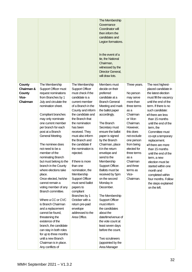|                                                     |                                                                                                                                                                                                                                                                                                                                                                                                                                                                                                                                                                                                                                                                                                                                                                                                         |                                                                                                                                                                                                                                                                                                                                                                                                                                                                                                                                                                                 | The Membership<br>Governance<br>Coordinator will<br>then inform the<br>candidates and<br>Legion formations.<br>In the event of a<br>tie, the National<br>Chairman,<br>witnessed by the<br>Director General,<br>will draw lots.                                                                                                                                                                                                                                                                                                                                                                                                                                          |                                                                                                                                                                                                                                                                                      |                                                                                                                                                                                                                                                                                                                                                                                                                                                                                                                          |
|-----------------------------------------------------|---------------------------------------------------------------------------------------------------------------------------------------------------------------------------------------------------------------------------------------------------------------------------------------------------------------------------------------------------------------------------------------------------------------------------------------------------------------------------------------------------------------------------------------------------------------------------------------------------------------------------------------------------------------------------------------------------------------------------------------------------------------------------------------------------------|---------------------------------------------------------------------------------------------------------------------------------------------------------------------------------------------------------------------------------------------------------------------------------------------------------------------------------------------------------------------------------------------------------------------------------------------------------------------------------------------------------------------------------------------------------------------------------|-------------------------------------------------------------------------------------------------------------------------------------------------------------------------------------------------------------------------------------------------------------------------------------------------------------------------------------------------------------------------------------------------------------------------------------------------------------------------------------------------------------------------------------------------------------------------------------------------------------------------------------------------------------------------|--------------------------------------------------------------------------------------------------------------------------------------------------------------------------------------------------------------------------------------------------------------------------------------|--------------------------------------------------------------------------------------------------------------------------------------------------------------------------------------------------------------------------------------------------------------------------------------------------------------------------------------------------------------------------------------------------------------------------------------------------------------------------------------------------------------------------|
| County<br>Chairman &<br>County<br>Vice-<br>Chairman | The Membership<br>Support Officer must<br>request nominations<br>from Branches by 1<br>July and circulate the<br>nomination sheet.<br>Compliant branches<br>may only nominate<br>one current member<br>per branch for each<br>post at a Branch<br>General Meeting.<br>The nominee does<br>not need to be a<br>member of the<br>nominating Branch<br>but must belong to the<br>branch in the County<br>where elections take<br>place.<br>Once elected, he/she<br>cannot remain a<br>voting member of any<br>Branch committee.<br>Where a CC or CVC<br>is Branch Chairman<br>and a replacement<br>cannot be found,<br>threatening the<br>existence of the<br>branch, the candidate<br>can stay in both roles<br>for up to three months<br>until a new Branch<br>Chairman is in place.<br>Any conflicts of | The Membership<br><b>Support Officer</b><br>must check if the<br>candidate is a<br>current member<br>of a Branch in the<br>County and inform<br>the candidate and<br>the Branch that<br>the nomination<br>has been<br>received. They<br>must also inform<br>the Branch and<br>the candidate if<br>the nomination is<br>rejected.<br>If there is more<br>than one<br>nomination, the<br>Membership<br><b>Support Officer</b><br>must send ballot<br>papers to<br>compliant<br>Branches by 1<br>October with a<br>return pre-paid<br>envelope<br>addressed to the<br>Area Office. | Members must<br>decide on their<br>preferred<br>candidate at a<br><b>Branch General</b><br>Meeting and mark<br>the ballot paper<br>accordingly.<br>The Branch<br>Secretary must<br>ensure the ballot<br>paper is signed<br>by the Branch<br>Chairman, place<br>it in the return<br>envelope and<br>send to the<br>Membership<br>Support Officer.<br>Ballots must be<br>received by 5pm<br>on the second<br>Monday in<br>December.<br>The Membership<br><b>Support Officer</b><br>must inform<br>the candidates<br>about the<br>date/time/venue of<br>the vote count at<br>least seven days<br>before the count.<br>Two scrutineers<br>(appointed by the<br>Area Manager | Three years.<br>No person<br>may serve<br>more than<br>three terms<br>as a<br>Chairman<br>or Vice-<br>Chairman.<br>However,<br>this does<br>not exclude<br>one person<br>from being<br>elected for<br>three terms<br>as a<br>Chairman<br>and three<br>terms as<br>Vice-<br>Chairman. | The next highest-<br>placed candidate in<br>the latest election<br>must fill the vacancy<br>until the end of the<br>term. If there is no<br>such candidate:<br>•If there are less<br>than 15 months<br>until the end of the<br>term, the<br>Committee must<br>co-opt a temporary<br>replacement.<br>•If there are more<br>than 15 months<br>until the end of the<br>term, a new<br>election must be<br>started within one<br>month and<br>completed within<br>four months. Follow<br>the steps explained<br>on the left. |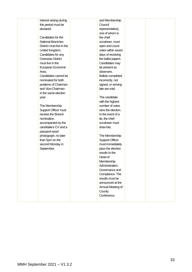| interest arising during   | and Membership           |  |
|---------------------------|--------------------------|--|
| this period must be       | Council                  |  |
| declared.                 | representative),         |  |
|                           | one of whom is           |  |
| Candidates for the        | the chief                |  |
| National Branches         | scrutineer, must         |  |
| District must live in the | open and count           |  |
| United Kingdom.           | votes within seven       |  |
| Candidates for any        | days of receiving        |  |
| <b>Overseas District</b>  | the ballot papers.       |  |
| must live in the          | Candidates may           |  |
| European Economic         | be present as            |  |
| Area.                     | observers.               |  |
| Candidates cannot be      | <b>Ballots completed</b> |  |
| nominated for both        | incorrectly, not         |  |
| positions of Chairman     | signed, or arriving      |  |
| and Vice-Chairman         | late are void.           |  |
| in the same election      |                          |  |
| year.                     | The candidate            |  |
|                           | with the highest         |  |
| The Membership            | number of votes          |  |
| Support Officer must      | wins the election.       |  |
| receive the Branch        | In the event of a        |  |
| nomination,               | tie, the chief           |  |
| accompanied by the        | scrutineer must          |  |
| candidate's CV and a      | draw lots.               |  |
| passport-sized            |                          |  |
| photograph, no later      | The Membership           |  |
| than 5pm on the           | <b>Support Officer</b>   |  |
| second Monday in          | must immediately         |  |
| September.                | pass the election        |  |
|                           | results to the           |  |
|                           | Head of                  |  |
|                           | Membership               |  |
|                           | Administration,          |  |
|                           | Governance and           |  |
|                           | Compliance. The          |  |
|                           | results must be          |  |
|                           | announced at the         |  |
|                           | Annual Meeting of        |  |
|                           | County                   |  |
|                           | Conference.              |  |
|                           |                          |  |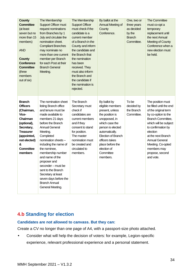| <b>County</b><br><b>Committee</b><br>(at least<br>seven but no<br>more than 15<br>members)<br><b>AND</b><br><b>County</b><br><b>Conference</b><br><b>Committee</b><br>(three<br>members<br>out of six) | The Membership<br><b>Support Officer must</b><br>request nominations<br>from Branches by 1<br>July and circulate the<br>nomination sheet.<br><b>Compliant Branches</b><br>may nominate no<br>more than one current<br>member per Branch<br>for each Post at their<br><b>Branch General</b><br>Meeting.                                                                                                                                            | The Membership<br><b>Support Officer</b><br>must check if the<br>candidate is a<br>current member<br>of a Branch in the<br>County and inform<br>the candidate and<br>the Branch that<br>the nomination<br>has been<br>received. They<br>must also inform<br>the Branch and<br>the candidate if<br>the nomination is<br>rejected. | By ballot at the<br>Annual Meeting of<br>County<br>Conference.                                                                                                                                                                                              | One, two or<br>three years<br>as decided<br>by the<br><b>Branch</b><br>Committee. | The Committee<br>must co-opt a<br>temporary<br>replacement until<br>the next Annual<br><b>Meeting of County</b><br>Conference when a<br>new election must<br>be held.                                                                                                                          |
|--------------------------------------------------------------------------------------------------------------------------------------------------------------------------------------------------------|---------------------------------------------------------------------------------------------------------------------------------------------------------------------------------------------------------------------------------------------------------------------------------------------------------------------------------------------------------------------------------------------------------------------------------------------------|----------------------------------------------------------------------------------------------------------------------------------------------------------------------------------------------------------------------------------------------------------------------------------------------------------------------------------|-------------------------------------------------------------------------------------------------------------------------------------------------------------------------------------------------------------------------------------------------------------|-----------------------------------------------------------------------------------|------------------------------------------------------------------------------------------------------------------------------------------------------------------------------------------------------------------------------------------------------------------------------------------------|
| <b>Branch</b><br><b>Officers</b><br>(Chairman,<br>Vice-<br>Chairman<br>(optional),<br>Secretary,<br><b>Treasurer</b><br>(appointed,<br>not elected)<br>&<br><b>Committee</b><br>members                | The nomination sheet<br>listing Branch office<br>and tenure must be<br>made available to<br>members 21 days<br>before the Branch<br><b>Annual General</b><br>Meeting.<br>Completed<br>nomination sheets -<br>including the name of<br>the nominee,<br>membership number<br>and name of the<br>proposer and<br>seconder - must be<br>sent to the Branch<br>Secretary at least<br>seven days before the<br><b>Branch Annual</b><br>General Meeting. | The Branch<br>Secretary must<br>check if<br>candidates are<br>current members<br>and if they<br>consent to stand<br>for position.<br>The master<br>nomination must<br>be created and<br>circulated to<br>members.                                                                                                                | By ballot by<br>eligible members<br>present, unless<br>the position is<br>unopposed, in<br>which case the<br>person is elected<br>automatically.<br><b>Election of Branch</b><br>officers takes<br>place before the<br>election of<br>Committee<br>members. | To be<br>decided by<br>the Branch<br>Committee.                                   | The position must<br>be filled until the end<br>of the original term<br>by co-option to the<br>Branch Committee,<br>which will be subject<br>to confirmation by<br>election<br>at the next Branch<br><b>Annual General</b><br>Meeting. Co-opted<br>members may<br>propose, second<br>and vote. |

# <span id="page-34-0"></span>**4.b Standing for election**

### **Candidates are not allowed to canvass. But they can:**

Create a CV no longer than one page of A4, with a passport-size photo attached.

• Consider what will help the decision of voters: for example, Legion-specific experience, relevant professional experience and a personal statement.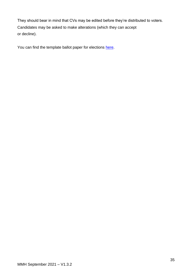They should bear in mind that CVs may be edited before they're distributed to voters. Candidates may be asked to make alterations (which they can accept or decline).

You can find the template ballot paper for elections [here.](#page-109-0)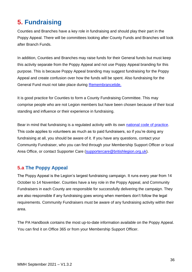# **5. Fundraising**

Counties and Branches have a key role in fundraising and should play their part in the Poppy Appeal. There will be committees looking after County Funds and Branches will look after Branch Funds.

In addition, Counties and Branches may raise funds for their General funds but must keep this activity separate from the Poppy Appeal and not use Poppy Appeal branding for this purpose. This is because Poppy Appeal branding may suggest fundraising for the Poppy Appeal and create confusion over how the funds will be spent. Also fundraising for the General Fund must not take place during [Remembrancetide.](#page-89-0)

It is good practice for Counties to form a County Fundraising Committee. This may comprise people who are not Legion members but have been chosen because of their local standing and influence or their experience in fundraising.

Bear in mind that fundraising is a regulated activity with its own [national code of practice.](https://www.fundraisingregulator.org.uk/code/key-principles) This code applies to volunteers as much as to paid fundraisers, so if you're doing any fundraising at all, you should be aware of it. If you have any questions, contact your Community Fundraiser, who you can find through your Membership Support Officer or local Area Office, or contact Supporter Care [\(supportercare@britishlegion.org.uk\)](mailto:supportercare@britishlegion.org.uk).

# <span id="page-36-0"></span>**5.a The Poppy Appeal**

The Poppy Appeal is the Legion's largest fundraising campaign. It runs every year from 14 October to 14 November. Counties have a key role in the Poppy Appeal, and Community Fundraisers in each County are responsible for successfully delivering the campaign. They are also responsible if any fundraising goes wrong when members don't follow the legal requirements. Community Fundraisers must be aware of any fundraising activity within their area.

The PA Handbook contains the most up-to-date information available on the Poppy Appeal. You can find it on Office 365 or from your Membership Support Officer.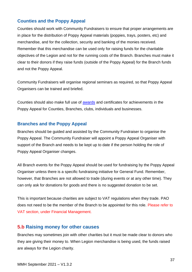## **Counties and the Poppy Appeal**

Counties should work with Community Fundraisers to ensure that proper arrangements are in place for the distribution of Poppy Appeal materials (poppies, trays, posters, etc) and merchandise, and for the collection, security and banking of the monies received. Remember that this merchandise can be used only for raising funds for the charitable objectives of the Legion and not for the running costs of the Branch. Branches must make it clear to their donors if they raise funds (outside of the Poppy Appeal) for the Branch funds and not the Poppy Appeal.

Community Fundraisers will organise regional seminars as required, so that Poppy Appeal Organisers can be trained and briefed.

Counties should also make full use of **awards** and certificates for achievements in the Poppy Appeal for Counties, Branches, clubs, individuals and businesses.

### **Branches and the Poppy Appeal**

Branches should be guided and assisted by the Community Fundraiser to organise the Poppy Appeal. The Community Fundraiser will appoint a Poppy Appeal Organiser with support of the Branch and needs to be kept up to date if the person holding the role of Poppy Appeal Organiser changes.

All Branch events for the Poppy Appeal should be used for fundraising by the Poppy Appeal Organiser unless there is a specific fundraising initiative for General Fund. Remember, however, that Branches are not allowed to trade (during events or at any other time). They can only ask for donations for goods and there is no suggested donation to be set.

This is important because charities are subject to VAT regulations when they trade. PAO does not need to be the member of the Branch to be appointed for this role. Please refer to VAT section, under Financial Management.

## **5.b Raising money for other causes**

Branches may sometimes join with other charities but it must be made clear to donors who they are giving their money to. When Legion merchandise is being used, the funds raised are always for the Legion charity.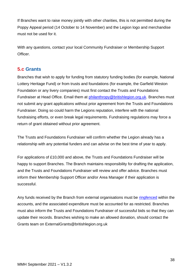If Branches want to raise money jointly with other charities, this is not permitted during the Poppy Appeal period (14 October to 14 November) and the Legion logo and merchandise must not be used for it.

With any questions, contact your local Community Fundraiser or Membership Support Officer.

## **5.c Grants**

Branches that wish to apply for funding from statutory funding bodies (for example, National Lottery Heritage Fund) or from trusts and foundations (for example, the Garfield Weston Foundation or any livery companies) must first contact the Trusts and Foundations Fundraiser at Head Office. Email them at [philanthropy@britishlegion.org.uk.](mailto:philanthropy@britishlegion.org.uk) Branches must not submit any grant applications without prior agreement from the Trusts and Foundations Fundraiser. Doing so could harm the Legions reputation, interfere with the national fundraising efforts, or even break legal requirements. Fundraising regulations may force a return of grant obtained without prior agreement.

The Trusts and Foundations Fundraiser will confirm whether the Legion already has a relationship with any potential funders and can advise on the best time of year to apply.

For applications of £10,000 and above, the Trusts and Foundations Fundraiser will be happy to support Branches. The Branch maintains responsibility for drafting the application, and the Trusts and Foundations Fundraiser will review and offer advice. Branches must inform their Membership Support Officer and/or Area Manager if their application is successful.

Any funds received by the Branch from external organisations must be [ringfenced](#page-89-1) within the accounts, and the associated expenditure must be accounted for as restricted. Branches must also inform the Trusts and Foundations Fundraiser of successful bids so that they can update their records. Branches wishing to make an allowed donation, should contact the Grants team on ExternalGrants@britishlegion.org.uk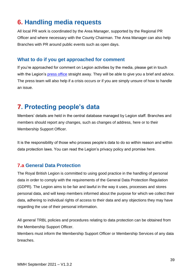# **6. Handling media requests**

All local PR work is coordinated by the Area Manager, supported by the Regional PR Officer and where necessary with the County Chairman. The Area Manager can also help Branches with PR around public events such as open days.

## **What to do if you get approached for comment**

If you're approached for comment on Legion activities by the media, please get in touch with the Legion's [press office](https://www.britishlegion.org.uk/about-us/media-centre/) straight away. They will be able to give you a brief and advice. The press team will also help if a crisis occurs or if you are simply unsure of how to handle an issue.

# **7. Protecting people's data**

Members' details are held in the central database managed by Legion staff. Branches and members should report any changes, such as changes of address, [here](https://www.britishlegion.org.uk/about-us/who-we-are/get-in-touch) or to their Membership Support Officer.

It is the responsibility of those who process people's data to do so within reason and within data protection laws. You can read the Legion's privacy policy and promise [here.](https://www.britishlegion.org.uk/quick-links/our-privacy-policy-and-promise)

## **7.a General Data Protection**

The Royal British Legion is committed to using good practice in the handling of personal data in order to comply with the requirements of the General Data Protection Regulation (GDPR). The Legion aims to be fair and lawful in the way it uses, processes and stores personal data, and will keep members informed about the purpose for which we collect their data, adhering to individual rights of access to their data and any objections they may have regarding the use of their personal information.

All general TRBL policies and procedures relating to data protection can be obtained from the Membership Support Officer.

Members must inform the Membership Support Officer or Membership Services of any data breaches.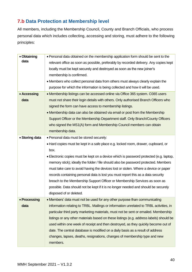# **7.b Data Protection at Membership level**

All members, including the Membership Council, County and Branch Officials, who process personal data which includes collecting, accessing and storing, must adhere to the following principles:

| • Obtaining    | • Personal data obtained on the membership application form should be sent to the       |  |  |  |
|----------------|-----------------------------------------------------------------------------------------|--|--|--|
| data           | relevant office as soon as possible, preferably by recorded delivery. Any copies kept   |  |  |  |
|                | locally must be kept securely and destroyed as soon as the new joiner's                 |  |  |  |
|                | membership is confirmed.                                                                |  |  |  |
|                | • Members who collect personal data from others must always clearly explain the         |  |  |  |
|                | purpose for which the information is being collected and how it will be used.           |  |  |  |
| • Accessing    | • Membership listings can be accessed online via Office 365 system. O365 users          |  |  |  |
| data           | must not share their login details with others. Only authorised Branch Officers who     |  |  |  |
|                | signed the form can have access to membership listings.                                 |  |  |  |
|                | • Membership data can also be obtained via email or post from the Membership            |  |  |  |
|                | Support Officer or the Membership Department staff. Only Branch/County Officers         |  |  |  |
|                | who signed the MS1(A) form and Membership Council members can obtain                    |  |  |  |
|                | membership data.                                                                        |  |  |  |
| • Storing data | • Personal data must be stored securely:                                                |  |  |  |
|                | • Hard copies must be kept in a safe place e.g. locked room, drawer, cupboard, or       |  |  |  |
|                | box.                                                                                    |  |  |  |
|                | • Electronic copies must be kept on a device which is password protected (e.g. laptop,  |  |  |  |
|                | memory stick); ideally the folder / file should also be password protected. Members     |  |  |  |
|                | must take care to avoid having the devices lost or stolen. Where a device or paper      |  |  |  |
|                | records containing personal data is lost you must report this as a data security        |  |  |  |
|                | breach to the Membership Support Officer or Membership Services as soon as              |  |  |  |
|                | possible. Data should not be kept if it is no longer needed and should be securely      |  |  |  |
|                | disposed of or deleted.                                                                 |  |  |  |
| • Processing   | • Members' data must not be used for any other purpose than communicating               |  |  |  |
| data           | information relating to TRBL. Mailings or information unrelated to TRBL activities, in  |  |  |  |
|                | particular third party marketing materials, must not be sent or emailed. Membership     |  |  |  |
|                | listings or any other materials based on these listings (e.g. address labels) should be |  |  |  |
|                | used within one week of receipt and then destroyed, as they quickly become out of       |  |  |  |
|                | date. The central database is modified on a daily basis as a result of address          |  |  |  |
|                | changes, lapses, deaths, resignations, changes of membership type and new               |  |  |  |
|                | members.                                                                                |  |  |  |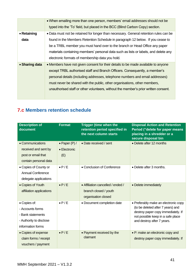|                | • When emailing more than one person, members' email addresses should not be          |  |  |  |  |  |
|----------------|---------------------------------------------------------------------------------------|--|--|--|--|--|
|                |                                                                                       |  |  |  |  |  |
|                | typed into the 'To' field, but placed in the BCC (Blind Carbon Copy) section.         |  |  |  |  |  |
| • Retaining    | • Data must not be retained for longer than necessary. General retention rules can be |  |  |  |  |  |
| data           | found in the Members Retention Schedule in paragraph 12 below. If you cease to        |  |  |  |  |  |
|                | be a TRBL member you must hand over to the branch or Head Office any paper            |  |  |  |  |  |
|                | materials containing members' personal data such as lists or labels, and delete any   |  |  |  |  |  |
|                | electronic formats of membership data you hold.                                       |  |  |  |  |  |
| • Sharing data | • Members have not given consent for their details to be made available to anyone     |  |  |  |  |  |
|                | except TRBL authorised staff and Branch Officers. Consequently, a member's            |  |  |  |  |  |
|                | personal details (including addresses, telephone numbers and email addresses)         |  |  |  |  |  |
|                | must never be shared with the public, other organisations, other members,             |  |  |  |  |  |
|                | unauthorised staff or other volunteers, without the member's prior written consent.   |  |  |  |  |  |
|                |                                                                                       |  |  |  |  |  |

# **7.c Members retention schedule**

| <b>Description of</b><br>document                                                                     | <b>Format</b>                          | <b>Trigger (time when the</b><br>retention period specified in<br>the next column starts | <b>Disposal Action and Retention</b><br>Period ("delete for paper means<br>placing in a shredder or a<br>secure disposal bin                                                       |
|-------------------------------------------------------------------------------------------------------|----------------------------------------|------------------------------------------------------------------------------------------|------------------------------------------------------------------------------------------------------------------------------------------------------------------------------------|
| • Communications<br>received and sent by<br>post or email that<br>contain personal data               | • Paper $(P) /$<br>• Electronic<br>(E) | • Date received / sent                                                                   | • Delete after 12 months                                                                                                                                                           |
| • Copies of County or<br><b>Annual Conference</b><br>delegate applications                            | $\bullet$ P/E                          | • Conclusion of Conference                                                               | • Delete after 3 months.                                                                                                                                                           |
| • Copies of Youth<br>affiliation applications                                                         | $\bullet$ P/E                          | • Affiliation cancelled / ended /<br>branch closed / youth<br>organisation closed        | • Delete immediately                                                                                                                                                               |
| • Copies of:<br>- Accounts forms<br>- Bank statements<br>- Authority to disclose<br>information forms | $\bullet$ P/E                          | • Document completion date                                                               | • Preferably make an electronic copy<br>(to be deleted after 7 years) and<br>destroy paper copy immediately. If<br>not possible keep in a safe place<br>and destroy after 7 years. |
| • Copies of expense<br>claim forms / receipt<br>vouchers / payment                                    | $\bullet$ P/E                          | • Payment received by the<br>claimant                                                    | • P: make an electronic copy and<br>destroy paper copy immediately. If                                                                                                             |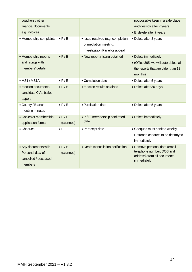| vouchers / other<br>financial documents                                     |                            |                                                                                             | not possible keep in a safe place<br>and destroy after 7 years.                                                 |
|-----------------------------------------------------------------------------|----------------------------|---------------------------------------------------------------------------------------------|-----------------------------------------------------------------------------------------------------------------|
| e.g. invoices                                                               |                            |                                                                                             | • E: delete after 7 years                                                                                       |
| • Membership complaints                                                     | $\bullet$ P/E              | · Issue resolved (e.g. completion<br>of mediation meeting,<br>Investigation Panel or appeal | • Delete after 3 years                                                                                          |
| • Membership reports<br>and listings with<br>members' details               | $\bullet$ P/E              | • New report / listing obtained                                                             | • Delete immediately<br>• (Office 365: we will auto-delete all<br>the reports that are older than 12<br>months) |
| $\bullet$ MS1 / MS1A                                                        | $\bullet$ P/E              | • Completion date                                                                           | • Delete after 5 years                                                                                          |
| • Election documents:<br>candidate CVs, ballot<br>papers                    | $\bullet$ P/E              | • Election results obtained                                                                 | • Delete after 30 days                                                                                          |
| • County / Branch<br>meeting minutes                                        | $\bullet$ P/E              | • Publication date                                                                          | • Delete after 5 years                                                                                          |
| • Copies of membership<br>application forms                                 | $\bullet$ P/E<br>(scanned) | • P / E: membership confirmed<br>date                                                       | • Delete immediately                                                                                            |
| • Cheques                                                                   | $\bullet$ P                | • P: receipt date                                                                           | • Cheques must banked weekly.<br>Returned cheques to be destroyed<br>immediately                                |
| • Any documents with<br>Personal data of<br>cancelled / deceased<br>members | $\bullet$ P/E<br>(scanned) | • Death /cancellation notification                                                          | • Remove personal data (email,<br>telephone number, DOB and<br>address) from all documents<br>immediately       |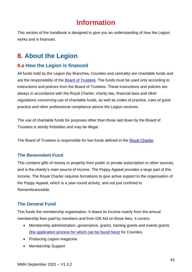# **Information**

This section of the handbook is designed to give you an understanding of how the Legion works and is financed.

# **8. About the Legion**

# **8.a How the Legion is financed**

All funds held by the Legion (by Branches, Counties and centrally) are charitable funds and are the responsibility of the [Board of Trustees.](https://www.britishlegion.org.uk/about-us/governance) The funds must be used only according to instructions and policies from the Board of Trustees. These instructions and policies are always in accordance with the Royal Charter, charity law, financial laws and other regulations concerning use of charitable funds, as well as codes of practice, rules of good practice and other professional compliance advice the Legion receives.

The use of charitable funds for purposes other than those laid down by the Board of Trustees is strictly forbidden and may be illegal.

The Board of Trustees is responsible for two funds defined in the [Royal Charter:](#page-4-0)

### **The Benevolent Fund**

This contains gifts of money or property from public or private subscription or other sources, and is the charity's main source of income. The Poppy Appeal provides a large part of this income. The Royal Charter requires formations to give active support to the organisation of the Poppy Appeal, which is a year-round activity, and not just confined to Remembrancetide.

## **The General Fund**

This funds the membership organisation. It draws its income mainly from the annual membership fees paid by members and from Gift Aid on those fees. It covers:

- Membership administration, governance, grants, training grants and events grants (the application process for which can be found here) for Counties.
- Producing *Legion* magazine
- Membership Support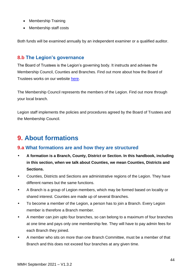- Membership Training
- Membership staff costs

Both funds will be examined annually by an independent examiner or a qualified auditor.

## **8.b The Legion's governance**

The Board of Trustees is the Legion's governing body. It instructs and advises the Membership Council, Counties and Branches. Find out more about how the Board of Trustees works on our website [here.](https://www.britishlegion.org.uk/about-us/governance)

The Membership Council represents the members of the Legion. Find out more through your local branch.

Legion staff implements the policies and procedures agreed by the Board of Trustees and the Membership Council.

# **9. About formations**

# **9.a What formations are and how they are structured**

- **A formation is a Branch, County, District or Section. In this handbook, including in this section, when we talk about Counties, we mean Counties, Districts and Sections.**
- Counties, Districts and Sections are administrative regions of the Legion. They have different names but the same functions.
- A Branch is a group of Legion members, which may be formed based on locality or shared interest. Counties are made up of several Branches.
- To become a member of the Legion, a person has to join a Branch. Every Legion member is therefore a Branch member.
- A member can join upto four branches, so can belong to a maximum of four branches at one time and pays only one membership fee. They will have to pay admin fees for each Branch they joined.
- A member who sits on more than one Branch Committee, must be a member of that Branch and this does not exceed four branches at any given time.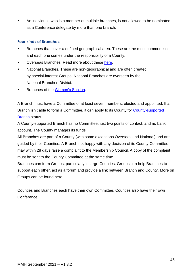• An individual, who is a member of multiple branches, is not allowed to be nominated as a Conference delegate by more than one branch.

#### **Four kinds of Branches:**

- Branches that cover a defined geographical area. These are the most common kind and each one comes under the responsibility of a County.
- Overseas Branches. Read more about these [here.](#page-49-0)
- National Branches. These are non-geographical and are often created by special-interest Groups. National Branches are overseen by the National Branches District.
- Branches of the [Women's Section.](#page-89-2)

A Branch must have a Committee of at least seven members, elected and appointed. If a Branch isn't able to form a Committee, it can apply to its County for **County-supported** [Branch](#page-24-0) status.

A County-supported Branch has no Committee, just two points of contact, and no bank account. The County manages its funds.

All Branches are part of a County (with some exceptions Overseas and National) and are guided by their Counties. A Branch not happy with any decision of its County Committee, may within 28 days raise a complaint to the Membership Council. A copy of the complaint must be sent to the County Committee at the same time.

Branches can form Groups, particularly in large Counties. Groups can help Branches to support each other, act as a forum and provide a link between Branch and County. More on Groups can be found here.

Counties and Branches each have their own Committee. Counties also have their own Conference.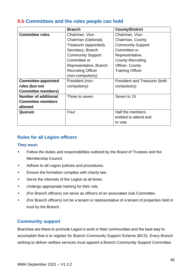## **9.b Committees and the roles people can hold**

|                             | <b>Branch</b>             | <b>County/District</b>               |
|-----------------------------|---------------------------|--------------------------------------|
| <b>Committee roles</b>      | Chairman, Vice-           | Chairman, Vice-                      |
|                             | Chairman (Optional),      | Chairman, County                     |
|                             | Treasurer (appointed),    | <b>Community Support</b>             |
|                             | Secretary, Branch         | Committee or                         |
|                             | <b>Community Support</b>  | Representative,                      |
|                             | Committee or              | <b>County Recruiting</b>             |
|                             | Representative, Branch    | Officer, County                      |
|                             | <b>Recruiting Officer</b> | <b>Training Officer</b>              |
|                             | (non-compulsory)          |                                      |
| <b>Committee-appointed</b>  | President (non-           | <b>President and Treasurer (both</b> |
| roles (but not              | compulsory)               | compulsory)                          |
| <b>Committee members)</b>   |                           |                                      |
| <b>Number of additional</b> | Three to seven            | Seven to 15                          |
| <b>Committee members</b>    |                           |                                      |
| allowed                     |                           |                                      |
| Quorum                      | Four                      | Half the members                     |
|                             |                           | entitled to attend and               |
|                             |                           | to vote                              |

# **Rules for all Legion officers**

#### **They must:**

- Follow the duties and responsibilities outlined by the Board of Trustees and the Membership Council.
- Adhere to all Legion policies and procedures.
- Ensure the formation complies with charity law.
- Serve the interests of the Legion at all times.
- Undergo appropriate training for their role.
- (For Branch officers) not serve as officers of an associated club Committee.
- (For Branch officers) not be a tenant or representative of a tenant of properties held in trust by the Branch.

### **Community support**

Branches are there to promote Legion's work in their communities and the best way to accomplish that is to register for Branch Community Support Scheme (BCS). Every Branch wishing to deliver welfare services must appoint a Branch Community Support Committee.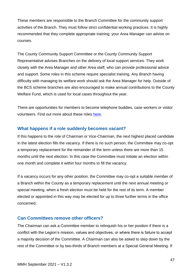These members are responsible to the Branch Committee for the community support activities of the Branch. They must follow strict confidential working practices. It is highly recommended that they complete appropriate training: your Area Manager can advise on courses.

The County Community Support Committee or the County Community Support Representative advises Branches on the delivery of local support services. They work closely with the Area Manager and other Area staff, who can provide professional advice and support. Some roles in this scheme require specialist training. Any Branch having difficulty with managing its welfare work should ask the Area Manager for help. Outside of the BCS scheme branches are also encouraged to make annual contributions to the County Welfare Fund, which is used for local cases throughout the year.

There are opportunities for members to become telephone buddies, case workers or visitor volunteers. Find out more about these roles [here.](https://www.britishlegion.org.uk/get-involved/things-to-do/volunteer/ways-to-volunteer/direct-support)

### **What happens if a role suddenly becomes vacant?**

If this happens to the role of Chairman or Vice-Chairman, the next highest placed candidate in the latest election fills the vacancy. If there is no such person, the Committee may co-opt a temporary replacement for the remainder of the term unless there are more than 15 months until the next election. In this case the Committee must initiate an election within one month and complete it within four months to fill the vacancy.

If a vacancy occurs for any other position, the Committee may co-opt a suitable member of a Branch within the County as a temporary replacement until the next annual meeting or special meeting, when a fresh election must be held for the rest of its term. A member elected or appointed in this way may be elected for up to three further terms in the office concerned.

### **Can Committees remove other officers?**

The Chairman can ask a Committee member to relinquish his or her position if there is a conflict with the Legion's mission, values and objectives, or where there is failure to accept a majority decision of the Committee. A Chairman can also be asked to step down by the rest of the Committee or by two-thirds of Branch members at a Special General Meeting. If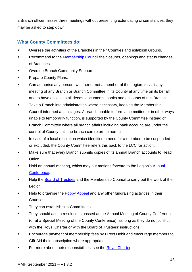a Branch officer misses three meetings without presenting extenuating circumstances, they may be asked to step down.

## **What County Committees do:**

- Oversee the activities of the Branches in their Counties and establish Groups.
- Recommend to the Membership Council the closures, openings and status changes of Branches.
- Oversee Branch Community Support.
- Prepare County Plans.
- Can authorise any person, whether or not a member of the Legion, to visit any meeting of any Branch or Branch Committee in its County at any time on its behalf and to have access to all deeds, documents, books and accounts of this Branch.
- Take a Branch into administration where necessary, keeping the Membership Council informed at all stages. A branch unable to form a committee or in other ways unable to temporarily function, is supported by the County Committee instead of Branch Committee where all branch affairs including bank account, are under the control of County until the branch can return to normal.
- In case of a local resolution which identified a need for a member to be suspended or excluded, the County Committee refers this back to the LCC for action.
- Make sure that every Branch submits copies of its annual Branch accounts to Head Office.
- Hold an annual meeting, which may put motions forward to the Legion's Annual Conference.
- Help the [Board of Trustees](https://www.britishlegion.org.uk/about-us/governance) and the Membership Council to carry out the work of the Legion.
- Help to organise the [Poppy Appeal](#page-36-0) and any other fundraising activities in their Counties.
- They can establish sub-Committees.
- They should act on resolutions passed at the Annual Meeting of County Conference (or at a Special Meeting of the County Conference), as long as they do not conflict with the Royal Charter or with the Board of Trustees' instructions.
- Encourage payment of membership fees by Direct Debit and encourage members to Gift-Aid their subscription where appropriate.
- For more about their responsibilities, see the [Royal Charter.](#page-4-0)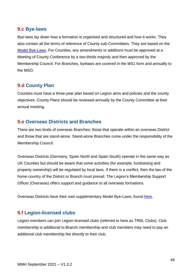## **9.c Bye-laws**

Bye-laws lay down how a formation is organised and structured and how it works. They also contain all the terms of reference of County sub-Committees. They are based on the [Model Bye-Laws.](#page-113-0) For Counties, any amendments or additions must be approved at a Meeting of County Conference by a two-thirds majority and then approved by the Membership Council. For Branches, byelaws are covered in the MS1 form and annually to the MSO.

## **9.d County Plan**

Counties must have a three-year plan based on Legion aims and policies and the county objectives. County Plans should be reviewed annually by the County Committee at their annual meeting.

## <span id="page-49-0"></span>**9.e Overseas Districts and Branches**

There are two kinds of overseas Branches: those that operate within an overseas District and those that are stand-alone. Stand-alone Branches come under the responsibility of the Membership Council.

Overseas Districts (Germany, Spain North and Spain South) operate in the same way as UK Counties but should be aware that some activities (for example, fundraising and property ownership) will be regulated by local laws. If there is a conflict, then the law of the home country of the District or Branch must prevail. The Legion's Membership Support Officer (Overseas) offers support and guidance to all overseas formations.

Overseas Districts have their own supplementary Model Bye-Laws, found [here.](#page-114-0)

## **9.f Legion-licensed clubs**

Legion members can join Legion-licensed clubs (referred to here as TRBL Clubs). Club membership is additional to Branch membership and club members may need to pay an additional club membership fee directly to their club.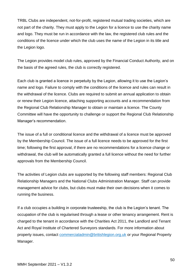TRBL Clubs are independent, not-for-profit, registered mutual trading societies, which are not part of the charity. They must apply to the Legion for a licence to use the charity name and logo. They must be run in accordance with the law, the registered club rules and the conditions of the licence under which the club uses the name of the Legion in its title and the Legion logo.

The Legion provides model club rules, approved by the Financial Conduct Authority, and on the basis of the agreed rules, the club is correctly registered.

Each club is granted a licence in perpetuity by the Legion, allowing it to use the Legion's name and logo. Failure to comply with the conditions of the licence and rules can result in the withdrawal of the licence. Clubs are required to submit an annual application to obtain or renew their Legion licence, attaching supporting accounts and a recommendation from the Regional Club Relationship Manager to obtain or maintain a licence. The County Committee will have the opportunity to challenge or support the Regional Club Relationship Manager's recommendation.

The issue of a full or conditional licence and the withdrawal of a licence must be approved by the Membership Council. The issue of a full licence needs to be approved for the first time; following the first approval, if there are no recommendations for a licence change or withdrawal, the club will be automatically granted a full licence without the need for further approvals from the Membership Council.

The activities of Legion clubs are supported by the following staff members: Regional Club Relationship Managers and the National Clubs Administration Manager. Staff can provide management advice for clubs, but clubs must make their own decisions when it comes to running the business.

If a club occupies a building in corporate trusteeship, the club is the Legion's tenant. The occupation of the club is regularised through a lease or other tenancy arrangement. Rent is charged to the tenant in accordance with the Charities Act 2011, the Landlord and Tenant Act and Royal Institute of Chartered Surveyors standards. For more information about property issues, contact commercialadmin@britishlegion.org.uk or your Regional Property Manager.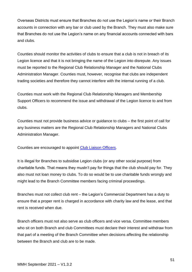Overseas Districts must ensure that Branches do not use the Legion's name or their Branch accounts in connection with any bar or club used by the Branch. They must also make sure that Branches do not use the Legion's name on any financial accounts connected with bars and clubs.

Counties should monitor the activities of clubs to ensure that a club is not in breach of its Legion licence and that it is not bringing the name of the Legion into disrepute. Any issues must be reported to the Regional Club Relationship Manager and the National Clubs Administration Manager. Counties must, however, recognise that clubs are independent trading societies and therefore they cannot interfere with the internal running of a club.

Counties must work with the Regional Club Relationship Managers and Membership Support Officers to recommend the issue and withdrawal of the Legion licence to and from clubs.

Counties must not provide business advice or guidance to clubs – the first point of call for any business matters are the Regional Club Relationship Managers and National Clubs Administration Manager.

Counties are encouraged to appoint Club Liaison Officers.

It is illegal for Branches to subsidise Legion clubs (or any other social purpose) from charitable funds. That means they mustn't pay for things that the club should pay for. They also must not loan money to clubs. To do so would be to use charitable funds wrongly and might lead to the Branch Committee members facing criminal proceedings.

Branches must not collect club rent – the Legion's Commercial Department has a duty to ensure that a proper rent is charged in accordance with charity law and the lease, and that rent is received when due.

Branch officers must not also serve as club officers and vice versa. Committee members who sit on both Branch and club Committees must declare their interest and withdraw from that part of a meeting of the Branch Committee when decisions affecting the relationship between the Branch and club are to be made.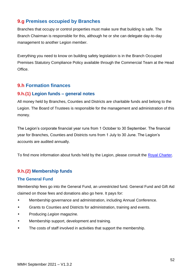# **9.g Premises occupied by Branches**

Branches that occupy or control properties must make sure that building is safe. The Branch Chairman is responsible for this, although he or she can delegate day-to-day management to another Legion member.

Everything you need to know on building safety legislation is in the Branch Occupied Premises Statutory Compliance Policy available through the Commercial Team at the Head Office.

## **9.h Formation finances**

### **9.h.(1) Legion funds – general notes**

All money held by Branches, Counties and Districts are charitable funds and belong to the Legion. The Board of Trustees is responsible for the management and administration of this money.

The Legion's corporate financial year runs from 1 October to 30 September. The financial year for Branches, Counties and Districts runs from 1 July to 30 June. The Legion's accounts are audited annually.

To find more information about funds held by the Legion, please consult the [Royal Charter.](https://www.britishlegion.org.uk/quick-links/the-royal-charter)

## **9.h.(2) Membership funds**

### **The General Fund**

Membership fees go into the General Fund, an unrestricted fund. General Fund and Gift Aid claimed on those fees and donations also go here. It pays for:

- Membership governance and administration, including Annual Conference.
- Grants to Counties and Districts for administration, training and events.
- Producing *Legion* magazine.
- Membership support, development and training.
- The costs of staff involved in activities that support the membership.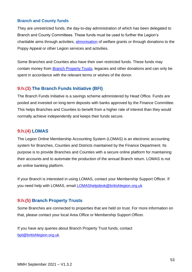### **Branch and County funds**

They are unrestricted funds, the day-to-day administration of which has been delegated to Branch and County Committees. These funds must be used to further the Legion's charitable aims through activities, [almonisation](#page-88-0) of welfare grants or through donations to the Poppy Appeal or other Legion services and activities.

Some Branches and Counties also have their own restricted funds. These funds may contain money from [Branch Property Trusts,](#page-53-0) legacies and other donations and can only be spent in accordance with the relevant terms or wishes of the donor.

## **9.h.(3) The Branch Funds Initiative (BFI)**

The Branch Funds Initiative is a savings scheme administered by Head Office. Funds are pooled and invested on long-term deposits with banks approved by the Finance Committee. This helps Branches and Counties to benefit from a higher rate of interest than they would normally achieve independently and keeps their funds secure.

## **9.h.(4) LOMAS**

The Legion Online Membership Accounting System (LOMAS) is an electronic accounting system for Branches, Counties and Districts maintained by the Finance Department. Its purpose is to provide Branches and Counties with a secure online platform for maintaining their accounts and to automate the production of the annual Branch return. LOMAS is not an online banking platform.

If your Branch is interested in using LOMAS, contact your Membership Support Officer. If you need help with LOMAS, email [LOMAShelpdesk@britishlegion.org.uk](mailto:LOMAShelpdesk@britishlegion.org.uk)

## <span id="page-53-0"></span>**9.h.(5) Branch Property Trusts**

Some Branches are connected to properties that are held on trust. For more information on that, please contact your local Area Office or Membership Support Officer.

If you have any queries about Branch Property Trust funds, contact [bpt@britishlegion.org.uk](mailto:bpt@britishlegion.org.uk)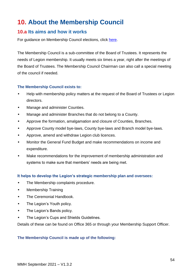# **10. About the Membership Council**

### **10.a Its aims and how it works**

For guidance on Membership Council elections, click [here.](#page-29-0)

The Membership Council is a sub-committee of the Board of Trustees. It represents the needs of Legion membership. It usually meets six times a year, right after the meetings of the Board of Trustees. The Membership Council Chairman can also call a special meeting of the council if needed.

#### **The Membership Council exists to:**

- Help with membership policy matters at the request of the Board of Trustees or Legion directors.
- Manage and administer Counties.
- Manage and administer Branches that do not belong to a County.
- Approve the formation, amalgamation and closure of Counties, Branches.
- Approve County model bye-laws, County bye-laws and Branch model bye-laws.
- Approve, amend and withdraw Legion club licences.
- Monitor the General Fund Budget and make recommendations on income and expenditure.
- Make recommendations for the improvement of membership administration and systems to make sure that members' needs are being met.

#### **It helps to develop the Legion's strategic membership plan and oversees:**

- The Membership complaints procedure.
- Membership Training
- The Ceremonial Handbook.
- The Legion's Youth policy.
- The Legion's Bands policy.
- The Legion's Cups and Shields Guidelines.

Details of these can be found on Office 365 or through your Membership Support Officer.

#### **The Membership Council is made up of the following:**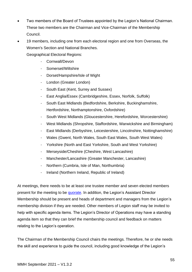- Two members of the Board of Trustees appointed by the Legion's National Chairman. These two members are the Chairman and Vice-Chairman of the Membership Council.
- 19 members, including one from each electoral region and one from Overseas, the Women's Section and National Branches.

Geographical Electoral Regions:

- Cornwall/Devon
- Somerset/Wiltshire
- Dorset/Hampshire/Isle of Wight
- London (Greater London)
- South East (Kent, Surrey and Sussex)
- East Anglia/Essex (Cambridgeshire, Essex, Norfolk, Suffolk)
- South East Midlands (Bedfordshire, Berkshire, Buckinghamshire, Hertfordshire, Northamptonshire, Oxfordshire)
- South West Midlands (Gloucestershire, Herefordshire, Worcestershire)
- West Midlands (Shropshire, Staffordshire, Warwickshire and Birmingham)
- East Midlands (Derbyshire, Leicestershire, Lincolnshire, Nottinghamshire)
- Wales (Gwent, North Wales, South East Wales, South West Wales)
- Yorkshire (North and East Yorkshire, South and West Yorkshire)
- Merseyside/Cheshire (Cheshire, West Lancashire)
- Manchester/Lancashire (Greater Manchester, Lancashire)
- Northern (Cumbria, Isle of Man, Northumbria)
- Ireland (Northern Ireland, Republic of Ireland)

At meetings, there needs to be at least one trustee member and seven elected members present for the meeting to be [quorate.](#page-89-3) In addition, the Legion's Assistant Director Membership should be present and heads of department and managers from the Legion's membership division if they are needed. Other members of Legion staff may be invited to help with specific agenda items. The Legion's Director of Operations may have a standing agenda item so that they can brief the membership council and feedback on matters relating to the Legion's operation.

The Chairman of the Membership Council chairs the meetings. Therefore, he or she needs the skill and experience to guide the council, including good knowledge of the Legion's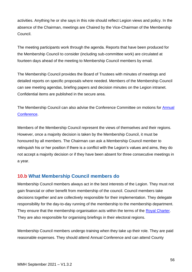activities. Anything he or she says in this role should reflect Legion views and policy. In the absence of the Chairman, meetings are Chaired by the Vice-Chairman of the Membership Council.

The meeting participants work through the agenda. Reports that have been produced for the Membership Council to consider (including sub-committee work) are circulated at fourteen days ahead of the meeting to Membership Council members by email.

The Membership Council provides the Board of Trustees with minutes of meetings and detailed reports on specific proposals where needed. Members of the Membership Council can see meeting agendas, briefing papers and decision minutes on the Legion intranet. Confidential items are published in the secure area.

The Membership Council can also advise the Conference Committee on motions for **Annual** Conference.

Members of the Membership Council represent the views of themselves and their regions. However, once a majority decision is taken by the Membership Council, it must be honoured by all members. The Chairman can ask a Membership Council member to relinquish his or her position if there is a conflict with the Legion's values and aims, they do not accept a majority decision or if they have been absent for three consecutive meetings in a year.

# **10.b What Membership Council members do**

Membership Council members always act in the best interests of the Legion. They must not gain financial or other benefit from membership of the council. Council members take decisions together and are collectively responsible for their implementation. They delegate responsibility for the day-to-day running of the membership to the membership department. They ensure that the membership organisation acts within the terms of the Royal [Charter.](#page-4-0) They are also responsible for organising briefings in their electoral regions.

Membership Council members undergo training when they take up their role. They are paid reasonable expenses. They should attend Annual Conference and can attend County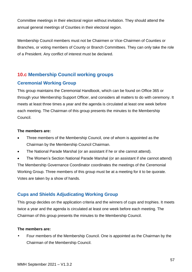Committee meetings in their electoral region without invitation. They should attend the annual general meetings of Counties in their electoral region.

Membership Council members must not be Chairmen or Vice-Chairmen of Counties or Branches, or voting members of County or Branch Committees. They can only take the role of a President. Any conflict of interest must be declared.

# **10.c Membership Council working groups**

## **Ceremonial Working Group**

This group maintains the Ceremonial Handbook, which can be found on Office 365 or through your Membership Support Officer, and considers all matters to do with ceremony. It meets at least three times a year and the agenda is circulated at least one week before each meeting. The Chairman of this group presents the minutes to the Membership Council.

#### **The members are:**

- Three members of the Membership Council, one of whom is appointed as the Chairman by the Membership Council Chairman.
- The National Parade Marshal (or an assistant if he or she cannot attend).

• The Women's Section National Parade Marshal (or an assistant if she cannot attend) The Membership Governance Coordinator coordinates the meetings of the Ceremonial Working Group. Three members of this group must be at a meeting for it to be quorate. Votes are taken by a show of hands.

# **Cups and Shields Adjudicating Working Group**

This group decides on the application criteria and the winners of cups and trophies. It meets twice a year and the agenda is circulated at least one week before each meeting. The Chairman of this group presents the minutes to the Membership Council.

### **The members are:**

• Four members of the Membership Council. One is appointed as the Chairman by the Chairman of the Membership Council.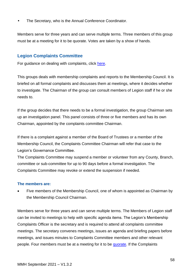• The Secretary, who is the Annual Conference Coordinator.

Members serve for three years and can serve multiple terms. Three members of this group must be at a meeting for it to be quorate. Votes are taken by a show of hands.

### **Legion Complaints Committee**

For guidance on dealing with complaints, click [here.](#page-28-0)

This groups deals with membership complaints and reports to the Membership Council. It is briefed on all formal complaints and discusses them at meetings, where it decides whether to investigate. The Chairman of the group can consult members of Legion staff if he or she needs to.

If the group decides that there needs to be a formal investigation, the group Chairman sets up an investigation panel. This panel consists of three or five members and has its own Chairman, appointed by the complaints committee Chairman.

If there is a complaint against a member of the Board of Trustees or a member of the Membership Council, the Complaints Committee Chairman will refer that case to the Legion's Governance Committee.

The Complaints Committee may suspend a member or volunteer from any County, Branch, committee or sub-committee for up to 90 days before a formal investigation. The Complaints Committee may revoke or extend the suspension if needed.

#### **The members are:**

Five members of the Membership Council, one of whom is appointed as Chairman by the Membership Council Chairman.

Members serve for three years and can serve multiple terms. The Members of Legion staff can be invited to meetings to help with specific agenda items. The Legion's Membership Complaints Officer is the secretary and is required to attend all complaints committee meetings. The secretary convenes meetings, issues an agenda and briefing papers before meetings, and issues minutes to Complaints Committee members and other relevant people. Four members must be at a meeting for it to be [quorate.](#page-89-3) If the Complaints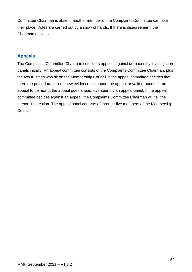Committee Chairman is absent, another member of the Complaints Committee can take their place. Votes are carried out by a show of hands. If there is disagreement, the Chairman decides.

## **Appeals**

The Complaints Committee Chairman considers appeals against decisions by investigation panels initially. An appeal committee consists of the Complaints Committee Chairman, plus the two trustees who sit on the Membership Council. If the appeal committee decides that there are procedural errors, new evidence to support the appeal or valid grounds for an appeal to be heard, the appeal goes ahead, overseen by an appeal panel. If the appeal committee decides against an appeal, the Complaints Committee Chairman will tell the person in question. The appeal panel consists of three or five members of the Membership Council.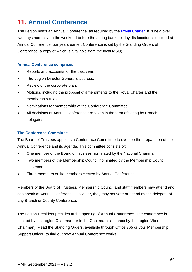# **11. Annual Conference**

The Legion holds an Annual Conference, as required by the [Royal Charter.](#page-4-0) It is held over two days normally on the weekend before the spring bank holiday. Its location is decided at Annual Conference four years earlier. Conference is set by the Standing Orders of Conference (a copy of which is available from the local MSO).

#### **Annual Conference comprises:**

- Reports and accounts for the past year.
- The Legion Director General's address.
- Review of the corporate plan.
- Motions, including the proposal of amendments to the Royal Charter and the membership rules.
- Nominations for membership of the Conference Committee.
- All decisions at Annual Conference are taken in the form of voting by Branch delegates.

#### **The Conference Committee**

The Board of Trustees appoints a Conference Committee to oversee the preparation of the Annual Conference and its agenda. This committee consists of:

- One member of the Board of Trustees nominated by the National Chairman.
- Two members of the Membership Council nominated by the Membership Council Chairman.
- Three members or life members elected by Annual Conference.

Members of the Board of Trustees, Membership Council and staff members may attend and can speak at Annual Conference. However, they may not vote or attend as the delegate of any Branch or County Conference.

The Legion President presides at the opening of Annual Conference. The conference is chaired by the Legion Chairman (or in the Chairman's absence by the Legion Vice-Chairman). Read the Standing Orders, available through Office 365 or your Membership Support Officer, to find out how Annual Conference works.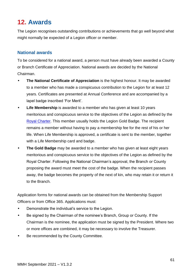# **12. Awards**

The Legion recognises outstanding contributions or achievements that go well beyond what might normally be expected of a Legion officer or member.

### **National awards**

To be considered for a national award, a person must have already been awarded a County or Branch Certificate of Appreciation. National awards are decided by the National Chairman.

- **The National Certificate of Appreciation** is the highest honour. It may be awarded to a member who has made a conspicuous contribution to the Legion for at least 12 years. Certificates are presented at Annual Conference and are accompanied by a lapel badge inscribed 'For Merit'.
- **Life Membership** is awarded to a member who has given at least 10 years meritorious and conspicuous service to the objectives of the Legion as defined by the [Royal Charter.](#page-4-0) This member usually holds the Legion Gold Badge. The recipient remains a member without having to pay a membership fee for the rest of his or her life. When Life Membership is approved, a certificate is sent to the member, together with a Life Membership card and badge.
- **The Gold Badge** may be awarded to a member who has given at least eight years meritorious and conspicuous service to the objectives of the Legion as defined by the Royal Charter. Following the National Chairman's approval, the Branch or County proposing the award must meet the cost of the badge. When the recipient passes away, the badge becomes the property of the next of kin, who may retain it or return it to the Branch.

Application forms for national awards can be obtained from the Membership Support Officers or from Office 365. Applications must:

- Demonstrate the individual's service to the Legion.
- Be signed by the Chairman of the nominee's Branch, Group or County. If the Chairman is the nominee, the application must be signed by the President. Where two or more offices are combined, it may be necessary to involve the Treasurer.
- Be recommended by the County Committee.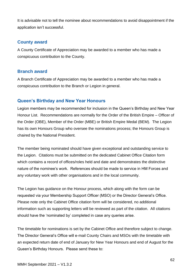It is advisable not to tell the nominee about recommendations to avoid disappointment if the application isn't successful.

### **County award**

A County Certificate of Appreciation may be awarded to a member who has made a conspicuous contribution to the County.

### **Branch award**

A Branch Certificate of Appreciation may be awarded to a member who has made a conspicuous contribution to the Branch or Legion in general.

## **Queen's Birthday and New Year Honours**

Legion members may be recommended for inclusion in the Queen's Birthday and New Year Honour List. Recommendations are normally for the Order of the British Empire – Officer of the Order (OBE), Member of the Order (MBE) or British Empire Medal (BEM). The Legion has its own Honours Group who oversee the nominations process; the Honours Group is chaired by the National President.

The member being nominated should have given exceptional and outstanding service to the Legion. Citations must be submitted on the dedicated Cabinet Office Citation form which contains a record of offices/roles held and date and demonstrates the distinctive nature of the nominee's work. References should be made to service in HM Forces and any voluntary work with other organisations and in the local community.

The Legion has guidance on the Honour process, which along with the form can be requested via your Membership Support Officer (MSO) or the Director General's Office. Please note only the Cabinet Office citation form will be considered, no additional information such as supporting letters will be reviewed as part of the citation. All citations should have the 'nominated by' completed in case any queries arise.

The timetable for nominations is set by the Cabinet Office and therefore subject to change. The Director General's Office will e-mail County Chairs and MSOs with the timetable with an expected return date of end of January for New Year Honours and end of August for the Queen's Birthday Honours. Please send these to: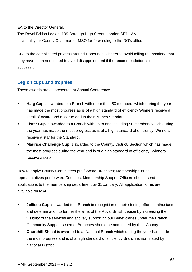EA to the Director General,

The Royal British Legion, 199 Borough High Street, London SE1 1AA or e-mail your County Chairman or MSO for forwarding to the DG's office

Due to the complicated process around Honours it is better to avoid telling the nominee that they have been nominated to avoid disappointment if the recommendation is not successful.

## **Legion cups and trophies**

These awards are all presented at Annual Conference.

- **Haig Cup** is awarded to a Branch with more than 50 members which during the year has made the most progress as is of a high standard of efficiency Winners receive a scroll of award and a star to add to their Branch Standard.
- **Lister Cup** is awarded to a Branch with up to and including 50 members which during the year has made the most progress as is of a high standard of efficiency. Winners receive a star for the Standard.
- **Maurice Challenge Cup** is awarded to the County/ District/ Section which has made the most progress during the year and is of a high standard of efficiency. Winners receive a scroll.

How to apply: County Committees put forward Branches; Membership Council representatives put forward Counties. Membership Support Officers should send applications to the membership department by 31 January. All application forms are available on MAP.

- **Jellicoe Cup** is awarded to a Branch in recognition of their sterling efforts, enthusiasm and determination to further the aims of the Royal British Legion by increasing the visibility of the services and actively supporting our Beneficiaries under the Branch Community Support scheme. Branches should be nominated by their County.
- **Churchill Shield** is awarded to a National Branch which during the year has made the most progress and is of a high standard of efficiency Branch is nominated by National District.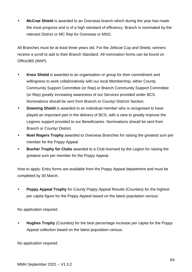• **McCrae Shield** is awarded to an Overseas branch which during the year has made the most progress and is of a high standard of efficiency. Branch is nominated by the relevant District or MC Rep for Overseas or MSO.

All Branches must be at least three years old. For the Jellicoe Cup and Shield, winners receive a scroll to add to their Branch Standard. All nomination forms can be found on Office365 (MAP).

- **Knox Shield** is awarded to an organisation or group for their commitment and willingness to work collaboratively with our local Membership, either County Community Support Committee (or Rep) or Branch Community Support Committee (or Rep) greatly increasing awareness of our Services provided under BCS. Nominations should be sent from Branch or County/ District/ Section.
- **Downing Shield** is awarded to an individual member who is recognised to have played an important part in the delivery of BCS, with a view to greatly improve the Legions support provided to our Beneficiaries. Nominations should be sent from Branch or County/ District.
- **Noel Rogers Trophy** awarded to Overseas Branches for raising the greatest sum per member for the Poppy Appeal
- **Bucher Trophy for Clubs** awarded to a Club licensed by the Legion for raising the greatest sum per member for the Poppy Appeal.

How to apply: Entry forms are available from the Poppy Appeal department and must be completed by 30 March.

**Poppy Appeal Trophy** for County Poppy Appeal Results (Counties) for the highest per capita figure for the Poppy Appeal based on the latest population census:

No application required.

• **Hughes Trophy** (Counties) for the best percentage increase per capita for the Poppy Appeal collection based on the latest population census.

No application required.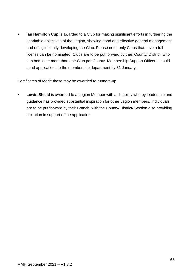• **Ian Hamilton Cup** is awarded to a Club for making significant efforts in furthering the charitable objectives of the Legion, showing good and effective general management and or significantly developing the Club. Please note, only Clubs that have a full license can be nominated. Clubs are to be put forward by their County/ District, who can nominate more than one Club per County. Membership Support Officers should send applications to the membership department by 31 January.

Certificates of Merit: these may be awarded to runners-up.

**Lewis Shield** is awarded to a Legion Member with a disability who by leadership and guidance has provided substantial inspiration for other Legion members. Individuals are to be put forward by their Branch, with the County/ District/ Section also providing a citation in support of the application.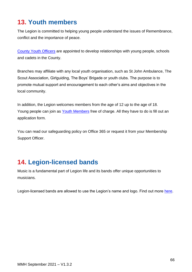# **13. Youth members**

The Legion is committed to helping young people understand the issues of Remembrance, conflict and the importance of peace.

County Youth Officers are appointed to develop relationships with young people, schools and cadets in the County.

Branches may affiliate with any local youth organisation, such as St John Ambulance, The Scout Association, Girlguiding, The Boys' Brigade or youth clubs. The purpose is to promote mutual support and encouragement to each other's aims and objectives in the local community.

In addition, the Legion welcomes members from the age of 12 up to the age of 18. Young people can join as [Youth Members](https://www.britishlegion.org.uk/get-involved/things-to-do/membership/become-a-member/youth-membership) free of charge. All they have to do is fill out an application form.

You can read our safeguarding policy on Office 365 or request it from your Membership Support Officer.

# **14. Legion-licensed bands**

Music is a fundamental part of Legion life and its bands offer unique opportunities to musicians.

Legion-licensed bands are allowed to use the Legion's name and logo. Find out more [here.](https://www.britishlegion.org.uk/get-involved/things-to-do/membership/branches/bands)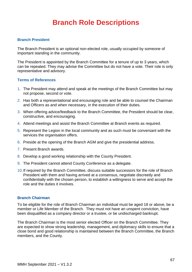# **Branch Role Descriptions**

#### **Branch President**

The Branch President is an optional non-elected role, usually occupied by someone of important standing in the community.

The President is appointed by the Branch Committee for a tenure of up to 3 years, which can be repeated. They may advise the Committee but do not have a vote. Their role is only representative and advisory.

#### **Terms of References**

- 1. The President may attend and speak at the meetings of the Branch Committee but may not propose, second or vote.
- 2. Has both a representational and encouraging role and be able to counsel the Chairman and Officers as and when necessary, in the execution of their duties.
- 3. When offering advice/feedback to the Branch Committee, the President should be clear, constructive, and encouraging.
- 4. Attend meetings and assist the Branch Committee at Branch events as required.
- 5. Represent the Legion in the local community and as such must be conversant with the services the organisation offers.
- 6. Preside at the opening of the Branch AGM and give the presidential address.
- 7. Present Branch awards.
- 8. Develop a good working relationship with the County President.
- 9. The President cannot attend County Conference as a delegate.
- 10.If required by the Branch Committee, discuss suitable successors for the role of Branch President with them and having arrived at a consensus, negotiate discreetly and confidentially with the chosen person, to establish a willingness to serve and accept the role and the duties it involves.

#### **Branch Chairman**

To be eligible for the role of Branch Chairman an individual must be aged 18 or above, be a member or Life Member of the Branch. They must not have an unspent conviction, have been disqualified as a company director or a trustee, or be undischarged bankrupt.

The Branch Chairman is the most senior elected Officer on the Branch Committee. They are expected to show strong leadership, management, and diplomacy skills to ensure that a close bond and good relationship is maintained between the Branch Committee, the Branch members, and the County.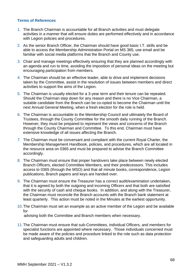#### **Terms of References**

- 1. The Branch Chairman is accountable for all Branch activities and must delegate activities in a manner that will ensure duties are performed effectively and in accordance with Legion policies and procedures.
- 2. As the senior Branch Officer, the Chairman should have good basic I.T. skills and be able to access the Membership Administration Portal on MS 365, use email and be familiar with social media platforms that the Branch and County use.
- 3. Chair and manage meetings effectively ensuring that they are planned accordingly with an agenda and run to time, avoiding the imposition of personal ideas on the meeting but encouraging participation from members.
- 4. The Chairman should be an effective leader, able to drive and implement decisions taken by the Committee, assist in the resolution of issues between members and direct activities to support the aims of the Legion.
- 5. The Chairman is usually elected for a 3-year term and their tenure can be repeated. Should the Chairman step down for any reason and there is no Vice Chairman, a suitable candidate from the Branch can be co-opted to become the Chairman until the next Annual General Meeting, when a fresh election for the role is held.
- 6. The Chairman is accountable to the Membership Council and ultimately the Board of Trustees, through the County Committee for the smooth daily running of the Branch. However, they must be prepared to represent the views and concerns of the Branch through the County Chairman and Committee. To this end, Chairman must have extensive knowledge of all issues affecting the Branch.
- 7. The Chairman must be conversant and compliant with the current Royal Charter, the Membership Management Handbook, policies, and procedures, which are all located in the resource area on 0365 and must be prepared to advise the Branch Committee accordingly.
- 8. The Chairman must ensure that proper handovers take place between newly elected Branch Officers, elected Committee Members, and their predecessors. This includes access to 0365 (through the MSO) and that all minute books, correspondence, Legion publications, Branch papers and keys are handed over.
- 9. The Chairman must ensure the Treasurer has a correct audit/examination undertaken, that it is agreed by both the outgoing and incoming Officers and that both are satisfied with the security of cash and cheque books. In addition, and along with the Treasurer, the Chairman must reconcile the Branch accounts with the Branch bank statement at least quarterly. This action must be noted in the Minutes at the earliest opportunity.
- 10.The Chairman must set an example as an active member of the Legion and be available for advising both the Committee and Branch members when necessary.
- 11.The Chairman must ensure that sub-Committees, individual Officers, and members for specialist functions are appointed where necessary. Those individuals concerned must be made aware of the policies and procedure linked to the role such as data protection and safeguarding adults and children.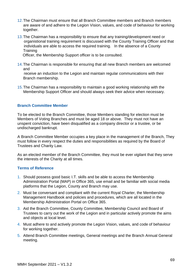- 12.The Chairman must ensure that all Branch Committee members and Branch members are aware of and adhere to the Legion Vision, values, and code of behaviour for working together.
- 13.The Chairman has a responsibility to ensure that any training/development need or organistional training requirement is discussed with the County Training Officer and that individuals are able to access the required training. In the absence of a County **Training**

Officer, the Membership Support officer is to be consulted.

14.The Chairman is responsible for ensuring that all new Branch members are welcomed and

 receive an induction to the Legion and maintain regular communications with their Branch membership.

15.The Chairman has a responsibility to maintain a good working relationship with the Membership Support Officer and should always seek their advice when necessary.

#### **Branch Committee Member**

To be elected to the Branch Committee, those Members standing for election must be Members of Voting Branches and must be aged 18 or above. They must not have an unspent conviction, have been disqualified as a company director or a trustee, or be undischarged bankrupt.

A Branch Committee Member occupies a key place in the management of the Branch, They must follow in every respect the duties and responsibilities as required by the Board of Trustees and Charity Law.

As an elected member of the Branch Committee, they must be ever vigilant that they serve the interests of the Charity at all times.

#### **Terms of Reference**

- 1. Should possess good basic I.T. skills and be able to access the Membership Administration Portal (MAP) in Office 365, use email and be familiar with social media platforms that the Legion, County and Branch may use.
- 2. Must be conversant and compliant with the current Royal Charter, the Membership Management Handbook and policies and procedures, which are all located in the Membership Administration Portal on Office 365.
- 3. Aid the Branch Committee, County Committee, Membership Council and Board of Trustees to carry out the work of the Legion and in particular actively promote the aims and objects at local level.
- 4. Must adhere to and actively promote the Legion Vision, values, and code of behaviour for working together.
- 5. Attend Branch Committee meetings, General meetings and the Branch Annual General meeting.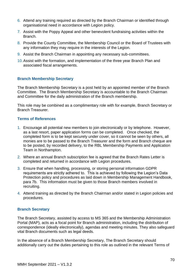- 6. Attend any training required as directed by the Branch Chairman or identified through organisational need in accordance with Legion policy.
- 7. Assist with the Poppy Appeal and other benevolent fundraising activities within the Branch.
- 8. Provide the County Committee, the Membership Council or the Board of Trustees with any information they may require in the interests of the Legion.
- 9. Assist the Branch Chairman in appointing any necessary sub-committees.
- 10.Assist with the formation, and implementation of the three year Branch Plan and associated fiscal arrangements.

#### **Branch Membership Secretary**

The Branch Membership Secretary is a post held by an appointed member of the Branch Committee. The Branch Membership Secretary is accountable to the Branch Chairman and Committee for the daily administration of the Branch membership.

This role may be combined as a complimentary role with for example, Branch Secretary or Branch Treasurer.

#### **Terms of References**

- 1. Encourage all potential new members to join electronically or by telephone. However, as a last resort, paper application forms can be completed. Once checked, the completed form is to be kept securely under cover, so it cannot be seen by others, all monies are to be passed to the Branch Treasurer and the form and Branch cheque are to be posted, by recorded delivery, to the RBL Membership Payments and Application Team in Northampton.
- 2. Where an annual Branch subscription fee is agreed that the Branch Rates Letter is completed and returned in accordance with Legion procedures.
- 3. Ensure that when handling, processing, or storing personal information GDPR requirements are strictly adhered to. This is achieved by following the Legion's Data Protection policy and procedures as laid down in Membership Management Handbook, para 7b. This information must be given to those Branch members involved in recruiting.
- 4. Attend training as directed by the Branch Chairman and/or stated in Legion policies and procedures.

#### **Branch Secretary**

The Branch Secretary, assisted by access to MS 365 and the Membership Administration Portal (MAP), acts as a focal point for Branch administration, including the distribution of correspondence (ideally electronically), agendas and meeting minutes. They also safeguard vital Branch documents such as legal deeds.

In the absence of a Branch Membership Secretary, The Branch Secretary should additionally carry out the duties pertaining to this role as outlined in the relevant Terms of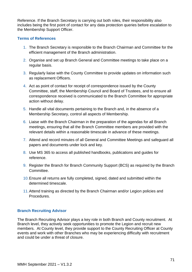Reference. If the Branch Secretary is carrying out both roles, their responsibility also includes being the first point of contact for any data protection queries before escalation to the Membership Support Officer.

#### **Terms of References**

- 1. The Branch Secretary is responsible to the Branch Chairman and Committee for the efficient management of the Branch administration.
- 2. Organise and set up Branch General and Committee meetings to take place on a regular basis.
- 3. Regularly liaise with the County Committee to provide updates on information such as replacement Officers.
- 4. Act as point of contact for receipt of correspondence issued by the County Committee, staff, the Membership Council and Board of Trustees, and to ensure all correspondence received is communicated to the Branch Committee for appropriate action without delay.
- 5. Handle all vital documents pertaining to the Branch and, in the absence of a Membership Secretary, control all aspects of Membership.
- 6. Liaise with the Branch Chairman in the preparation of the agendas for all Branch meetings, ensuring that all the Branch Committee members are provided with the relevant details within a reasonable timescale in advance of these meetings.
- 7. Attend and record minutes of all General and Committee Meetings and safeguard all papers and documents under lock and key.
- 8. Use MS 365 to access all published handbooks, publications and guides for reference.
- 9. Register the Branch for Branch Community Support (BCS) as required by the Branch Committee.
- 10.Ensure all returns are fully completed, signed, dated and submitted within the determined timescale.
- 11.Attend training as directed by the Branch Chairman and/or Legion policies and Procedures.

#### **Branch Recruiting Advisor**

The Branch Recruiting Advisor plays a key role in both Branch and County recruitment. At Branch level, they actively seek opportunities to promote the Legion and recruit new members. At County level, they provide support to the County Recruiting Officer at County events and work with other Branches who may be experiencing difficulty with recruitment and could be under a threat of closure.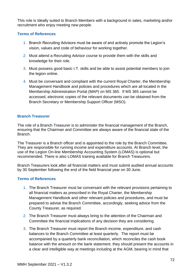This role is Ideally suited to Branch Members with a background in sales, marketing and/or recruitment who enjoy meeting new people.

#### **Terms of References**

- 1. Branch Recruiting Advisors must be aware of and actively promote the Legion's vision, values and code of behaviour for working together.
- 2. Must attend a Recruiting Advisor course to provide them with the skills and knowledge for their role.
- 3. Must possess good basic I.T. skills and be able to assist potential members to join the legion online.
- 4. Must be conversant and compliant with the current Royal Charter, the Membership Management Handbook and policies and procedures which are all located in the Membership Administration Portal (MAP) on MS 365. If MS 365 cannot be accessed, electronic copies of the relevant documents can be obtained from the Branch Secretary or Membership Support Officer (MSO).

#### **Branch Treasurer**

The role of a Branch Treasurer is to administer the financial management of the Branch, ensuring that the Chairman and Committee are always aware of the financial state of the Branch.

The Treasurer is a Branch officer and is appointed to the role by the Branch Committee. They are responsible for running income and expenditure accounts. At Branch level, the use of the Legion On-line Membership Accounting System (LOMAS) is optional but recommended. There is also LOMAS training available for Branch Treasurers.

Branch Treasurers look after all financial matters and must submit audited annual accounts by 30 September following the end of the field financial year on 30 June.

- 1. The Branch Treasurer must be conversant with the relevant provisions pertaining to all financial matters as prescribed in the Royal Charter, the Membership Management Handbook and other relevant policies and procedures, and must be prepared to advise the Branch Committee, accordingly, seeking advice from the County Treasurer, as required.
- 2. The Branch Treasurer must always bring to the attention of the Chairman and Committee the financial implications of any decision they are considering.
- 3. The Branch Treasurer must report the Branch income, expenditure, and cash balances to the Branch Committee at least quarterly. The report must be accompanied by a quarterly bank reconciliation, which reconciles the cash book balance with the amount on the bank statement. they should present the accounts in a clear and intelligible way at meetings including at the AGM, bearing in mind that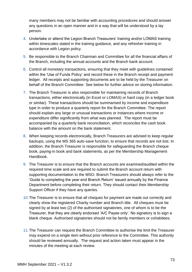many members may not be familiar with accounting procedures and should answer any questions in an open manner and in a way that will be understood by a lay person.

- 4. Undertake or attend the Legion Branch Treasurers' training and/or LOMAS training within timescales stated in the training guidance, and any refresher training in accordance with Legion policy.
- 5. Be responsible to the Branch Chairman and Committee for all the financial affairs of the Branch, including the annual accounts and the Branch bank account.
- 6. Control all monetary transactions, ensuring that they meet with guidelines contained within the 'Use of Funds Policy' and record these in the Branch receipt and payment ledger. All receipts and supporting documents are to be held by the Treasurer on behalf of the Branch Committee. See below for further advice on storing information.
- 7. The Branch Treasurer is also responsible for maintaining records of Branch transactions, either electronically (in Excel or LOMAS) or hard copy (in a ledger book or similar). These transactions should be summarised by income and expenditure type in order to produce a quarterly report for the Branch Committee. The report should explain any large or unusual transactions or instances where income or expenditure differ significantly from what was planned. The report must be accompanied by a quarterly bank reconciliation, which reconciles the cash book balance with the amount on the bank statement.
- 8. When keeping records electronically, Branch Treasurers are advised to keep regular backups, using the MS 365 auto-save function, to ensure that records are not lost. In addition, the Branch Treasurer is responsible for safeguarding the Branch cheque book, paying-in book and bank statements, as per the Membership Management Handbook.
- 9. The Treasurer is to ensure that the Branch accounts are examined/audited within the required time scale and are required to submit the Branch account return with supporting documentation to the MSO. Branch Treasurers should always refer to the 'Guide to completing the year end Branch Return' issued annually by the Finance Department before completing their return. They should contact their Membership Support Officer if they have any queries.
- 10.The Treasurer is to ensure that all cheques for payment are made out correctly and clearly show the registered Charity number and Branch title. All cheques must be signed by at least two (2) of the authorised signatories, one of whom is to be the Treasurer, that they are clearly endorsed 'A/C Payee only'. No signatory is to sign a blank cheque. Authorised signatories should not be family members or cohabitees.
- 11.The Treasurer can request the Branch Committee to authorise the limit the Treasurer may expend on a single item without prior reference to the Committee. This authority should be reviewed annually. The request and action taken must appear in the minutes of the meeting at each review.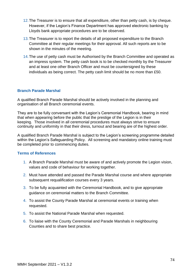- 12.The Treasurer is to ensure that all expenditure, other than petty cash, is by cheque. However, if the Legion's Finance Department has approved electronic banking by Lloyds bank appropriate procedures are to be observed.
- 13.The Treasurer is to report the details of all proposed expenditure to the Branch Committee at their regular meetings for their approval. All such reports are to be shown in the minutes of the meeting.
- 14.The use of petty cash must be Authorised by the Branch Committee and operated as an impress system. The petty cash book is to be checked monthly by the Treasurer and at least one other Branch Officer and must be countersigned by these individuals as being correct. The petty cash limit should be no more than £50.

#### **Branch Parade Marshal**

A qualified Branch Parade Marshal should be actively involved in the planning and organisation of all Branch ceremonial events.

They are to be fully conversant with the Legion's Ceremonial Handbook, bearing in mind that when appearing before the public that the prestige of the Legion is in their keeping. Those involved in all ceremonial procedures must always strive to ensure continuity and uniformity in that their dress, turnout and bearing are of the highest order.

A qualified Branch Parade Marshal is subject to the Legion's screening programme detailed within the Legion's Safeguarding Policy. All screening and mandatory online training must be completed prior to commencing duties.

- 1. A Branch Parade Marshal must be aware of and actively promote the Legion vision, values and code of behaviour for working together.
- 2. Must have attended and passed the Parade Marshal course and where appropriate subsequent requalification courses every 3 years.
- 3. To be fully acquainted with the Ceremonial Handbook, and to give appropriate guidance on ceremonial matters to the Branch Committee.
- 4. To assist the County Parade Marshal at ceremonial events or training when requested.
- 5. To assist the National Parade Marshal when requested.
- 6. To liaise with the County Ceremonial and Parade Marshals in neighbouring Counties and to share best practice.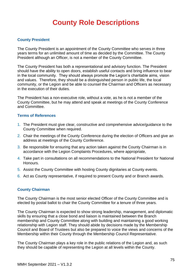# **County Role Descriptions**

#### **County President**

The County President is an appointment of the County Committee who serves in three years terms for an unlimited amount of time as decided by the Committee. The County President although an Officer, is not a member of the County Committee.

The County President has both a representational and advisory function. The President should have the ability to open doors, establish useful contacts and bring influence to bear in the local community. They should always promote the Legion's charitable aims, vision and values. Therefore, they should be a distinguished person in public life, the local community, or the Legion and be able to counsel the Chairman and Officers as necessary in the execution of their duties.

The President has a non-executive role, without a vote, as he is not a member of the County Committee, but he may attend and speak at meetings of the County Conference and Committee.

#### **Terms of References**

- 1. The President must give clear, constructive and comprehensive advice/guidance to the County Committee when required.
- 2. Chair the meetings of the County Conference during the election of Officers and give an address at meetings of the County Conference.
- 3. Be responsible for ensuring that any action taken against the County Chairman is in accordance with the Legion Complaints Procedures, where appropriate,
- 4. Take part in consultations on all recommendations to the National President for National Honours.
- 5. Assist the County Committee with hosting County dignitaries at County events.
- 6. Act as County representative, if required to present County and or Branch awards.

#### **County Chairman**

The County Chairman is the most senior elected Officer of the County Committee and is elected by postal ballot to chair the County Committee for a tenure of three years.

The County Chairman is expected to show strong leadership, management, and diplomatic skills by ensuring that a close bond and liaison is maintained between the Branch membership and County Committee along with building and maintaining a good working relationship with Legion staff. They should abide by decisions made by the Membership Council and Board of Trustees but also be prepared to voice the views and concerns of the Membership within their County through the Membership Council Representative.

The County Chairman plays a key role in the public relations of the Legion and, as such they should be capable of representing the Legion at all levels within the County.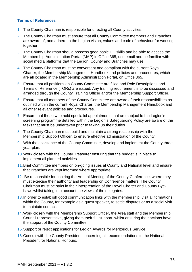- 1. The County Chairman is responsible for directing all County activities.
- 2. The County Chairman must ensure that all County Committee members and Branches are aware of, and adhere to the Legion vision, values and code of behaviour for working together.
- 3. The County Chairman should possess good basic I.T. skills and be able to access the Membership Administration Portal (MAP) in Office 365, use email and be familiar with social media platforms that the Legion, County and Branches may use.
- 4. The County Chairman must be conversant and compliant with the current Royal Charter, the Membership Management Handbook and policies and procedures, which are all located in the Membership Administration Portal, on Office 365.
- 5. Ensure that all positions on County Committee are filled and Role Descriptions and Terms of Reference (TORs) are issued. Any training requirement is to be discussed and arranged through the County Training Officer and/or the Membership Support Officer.
- 6. Ensure that all members of the County Committee are aware of their responsibilities as outlined within the current Royal Charter, the Membership Management Handbook and all other relevant policies and procedures.
- 7. Ensure that those who hold specialist appointments that are subject to the Legion's screening programme detailed within the Legion's Safeguarding Policy are aware of the tasks that must be undertaken prior to taking up their duties.
- 8. The County Chairman must build and maintain a strong relationship with the Membership Support Officer, to ensure effective administration of the County.
- 9. With the assistance of the County Committee, develop and implement the County three year plan.
- 10.Work closely with the County Treasurer ensuring that the budget is in place to implement all planned activities
- 11.Brief Committee members on on-going issues at County and National level and ensure that Branches are kept informed where appropriate.
- 12. Be responsible for chairing the Annual Meeting of the County Conference, where they must exercise their authority and leadership on Conference matters. The County Chairman must be strict in their interpretation of the Royal Charter and County Bye-Laws whilst taking into account the views of the delegates.
- 13.In order to establish good communication links with the membership, visit all formations within the County, for example as a guest speaker, to settle disputes or as a social visit to maintain contact.
- 14.Work closely with the Membership Support Officer, the Area staff and the Membership Council representative, giving them their full support, whilst ensuring their actions have the support of the County Committee.
- 15.Support or reject applications for Legion Awards for Meritorious Service.
- 16.Consult with the County President concerning all recommendations to the National President for National Honours.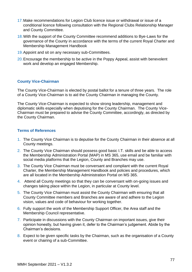- 17.Make recommendations for Legion Club licence issue or withdrawal or issue of a conditional licence following consultation with the Regional Clubs Relationship Manager and County Committee.
- 18.With the support of the County Committee recommend additions to Bye-Laws for the governance of the County in accordance with the terms of the current Royal Charter and Membership Management Handbook
- 19. Appoint and sit on any necessary sub-Committees.
- 20.Encourage the membership to be active in the Poppy Appeal, assist with benevolent work and develop an engaged Membership.

#### **County Vice-Chairman**

The County Vice-Chairman is elected by postal ballot for a tenure of three years. The role of a County Vice-Chairman is to aid the County Chairman in managing the County.

The County Vice-Chairman is expected to show strong leadership, management and diplomatic skills especially when deputising for the County Chairman. The County Vice-Chairman must be prepared to advise the County Committee, accordingly, as directed by the County Chairman.

- 1. The County Vice Chairman is to deputise for the County Chairman in their absence at all County meetings.
- 2. The County Vice Chairman should possess good basic I.T. skills and be able to access the Membership Administration Portal (MAP) in MS 365, use email and be familiar with social media platforms that the Legion, County and Branches may use.
- 3. The County Vice Chairman must be conversant and compliant with the current Royal Charter, the Membership Management Handbook and policies and procedures, which are all located in the Membership Administration Portal on MS 365.
- 4. Attend all County meetings so that they can be conversant with on-going issues and changes taking place within the Legion, in particular at County level.
- 5. The County Vice Chairman must assist the County Chairman with ensuring that all County Committee members and Branches are aware of and adhere to the Legion vision, values and code of behaviour for working together.
- 6. Fully support the work of the Membership Support Officer, the Area staff and the Membership Council representative.
- 7. Participate in discussions with the County Chairman on important issues, give their opinion honestly, but having given it, defer to the Chairman's judgement. Abide by the Chairman's decisions.
- 8. Expect to be given specific tasks by the Chairman, such as the organisation of a County event or chairing of a sub-Committee.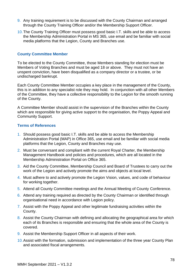- 9. Any training requirement is to be discussed with the County Chairman and arranged through the County Training Officer and/or the Membership Support Officer.
- 10.The County Training Officer must possess good basic I.T. skills and be able to access the Membership Administration Portal in MS 365, use email and be familiar with social media platforms that the Legion, County and Branches use.

#### **County Committee Member**

To be elected to the County Committee, those Members standing for election must be Members of Voting Branches and must be aged 18 or above. They must not have an unspent conviction, have been disqualified as a company director or a trustee, or be undischarged bankrupt.

Each County Committee Member occupies a key place in the management of the County, this is in addition to any specialist role they may hold. In conjunction with all other Members of the Committee, they have a collective responsibility to the Legion for the smooth running of the County.

A Committee Member should assist in the supervision of the Branches within the County which are responsible for giving active support to the organisation, the Poppy Appeal and Community Support.

- 1. Should possess good basic I.T. skills and be able to access the Membership Administration Portal (MAP) in Office 365, use email and be familiar with social media platforms that the Legion, County and Branches may use.
- 2. Must be conversant and compliant with the current Royal Charter, the Membership Management Handbook and policies and procedures, which are all located in the Membership Administration Portal on Office 365.
- 3. Aid the County Committee, Membership Council and Board of Trustees to carry out the work of the Legion and actively promote the aims and objects at local level.
- 4. Must adhere to and actively promote the Legion Vision, values, and code of behaviour for working together.
- 5. Attend all County Committee meetings and the Annual Meeting of County Conference.
- 6. Attend any training required as directed by the County Chairman or identified through organisational need in accordance with Legion policy.
- 7. Assist with the Poppy Appeal and other legitimate fundraising activities within the County.
- 8. Assist the County Chairman with defining and allocating the geographical area for which each of its Branches is responsible and ensuring that the whole area of the County is covered.
- 9. Assist the Membership Support Officer in all aspects of their work.
- 10.Assist with the formation, submission and implementation of the three year County Plan and associated fiscal arrangements.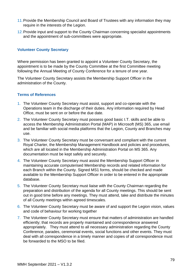- 11.Provide the Membership Council and Board of Trustees with any information they may require in the interests of the Legion.
- 12. Provide input and support to the County Chairman concerning specialist appointments and the appointment of sub-committees were appropriate.

#### **Volunteer County Secretary**

Where permission has been granted to appoint a Volunteer County Secretary, the appointment is to be made by the County Committee at the first Committee meeting following the Annual Meeting of County Conference for a tenure of one year.

The Volunteer County Secretary assists the Membership Support Officer in the administration of the County.

- 1. The Volunteer County Secretary must assist, support and co-operate with the Operations team in the discharge of their duties. Any information required by Head Office, must be sent on or before the due date.
- 2. The Volunteer County Secretary must possess good basic I.T. skills and be able to access the Membership Administration Portal (MAP) in Microsoft (MS) 365, use email and be familiar with social media platforms that the Legion, County and Branches may use.
- 3. The Volunteer County Secretary must be conversant and compliant with the current Royal Charter, the Membership Management Handbook and policies and procedures, which are all located in the Membership Administration Portal on MS 365. Any documentation must be kept safely and securely.
- 4. The Volunteer County Secretary must assist the Membership Support Officer in maintaining accurate computerised Membership records and related information for each Branch within the County. Signed MS1 forms, should be checked and made available to the Membership Support Officer in order to be entered in the appropriate database.
- 5. The Volunteer County Secretary must liaise with the County Chairman regarding the preparation and distribution of the agenda for all County meetings. This should be sent out in good time before any meetings. They must attend, take and distribute the minutes of all County meetings within agreed timescales.
- 6. The Volunteer County Secretary must be aware of and support the Legion vision, values and code of behaviour for working together
- 7. The Volunteer County Secretary must ensure that matters of administration are handled efficiently; that records are properly maintained and correspondence answered appropriately. They must attend to all necessary administration regarding the County Conference, parades, ceremonial events, social functions and other events. They must deal with all correspondence in a timely manner and copies of all correspondence must be forwarded to the MSO to be filed.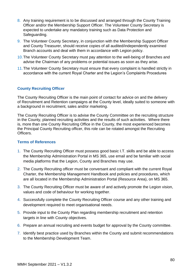- 8. Any training requirement is to be discussed and arranged through the County Training Officer and/or the Membership Support Officer. The Volunteer County Secretary is expected to undertake any mandatory training such as Data Protection and Safeguarding.
- 9. The Volunteer County Secretary, in conjunction with the Membership Support Officer and County Treasurer, should receive copies of all audited/independently examined Branch accounts and deal with them in accordance with Legion policy.
- 10.The Volunteer County Secretary must pay attention to the well-being of Branches and advise the Chairman of any problems or potential issues as soon as they arise.
- 11.The Volunteer County Secretary must ensure that every complaint is handled strictly in accordance with the current Royal Charter and the Legion's Complaints Procedures

#### **County Recruiting Officer**

The County Recruiting Officer is the main point of contact for advice on and the delivery of Recruitment and Retention campaigns at the County level, ideally suited to someone with a background in recruitment, sales and/or marketing.

The County Recruiting Officer is to advise the County Committee on the recruiting structure in the County, planned recruiting activities and the results of such activities. Where there is, more than one County Recruiting Office in the County, the most experienced becomes the Principal County Recruiting officer, this role can be rotated amongst the Recruiting Officers.

- 1. The County Recruiting Officer must possess good basic I.T. skills and be able to access the Membership Administration Portal in MS 365, use email and be familiar with social media platforms that the Legion, County and Branches may use.
- 2. The County Recruiting officer must be conversant and compliant with the current Royal Charter, the Membership Management Handbook and policies and procedures, which are all located in the Membership Administration Portal (Resource Area), on MS 365.
- 3. The County Recruiting Officer must be aware of and actively promote the Legion vision, values and code of behaviour for working together.
- 4. Successfully complete the County Recruiting Officer course and any other training and development required to meet organisational needs.
- 5. Provide input to the County Plan regarding membership recruitment and retention targets in line with County objectives.
- 6. Prepare an annual recruiting and events budget for approval by the County committee.
- 7. Identify best practice used by Branches within the County and submit recommendations to the Membership Development Team.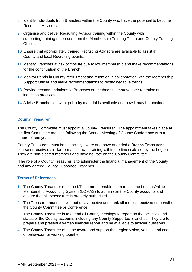- 8. Identify individuals from Branches within the County who have the potential to become Recruiting Advisors.
- 9. Organise and deliver Recruiting Advisor training within the County with supporting training resources from the Membership Training Team and County Training Officer.
- 10.Ensure that appropriately trained Recruiting Advisors are available to assist at County and local Recruiting events.
- 11.Identify Branches at risk of closure due to low membership and make recommendations for the continuation of the Branch.
- 12.Monitor trends in County recruitment and retention in collaboration with the Membership Support Officer and make recommendations to rectify negative trends.
- 13.Provide recommendations to Branches on methods to improve their retention and induction practices.
- 14.Advise Branches on what publicity material is available and how it may be obtained.

#### **County Treasurer**

The County Committee must appoint a County Treasurer. The appointment takes place at the first Committee meeting following the Annual Meeting of County Conference with a tenure of one year.

County Treasurers must be financially aware and have attended a Branch Treasurer's course or received similar formal financial training within the timescale set by the Legion. They are non-elected members and have no vote on the County Committee.

The role of a County Treasurer is to administer the financial management of the County and any agreed County Supported Branches.

- 1. The County Treasurer must be I.T. literate to enable them to use the Legion Online Membership Accounting System (LOMAS) to administer the County accounts and ensure that all expenditure is properly authorised.
- 2. The Treasurer must and without delay receive and bank all monies received on behalf of the County Committee or Conference.
- 3. The County Treasurer is to attend all County meetings to report on the activities and status of the County accounts including any County Supported Branches. They are to prepare and present a written financial report and be available to answer questions.
- 4. The County Treasurer must be aware and support the Legion vision, values, and code of behaviour for working together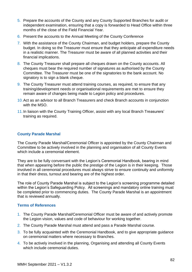- 5. Prepare the accounts of the County and any County Supported Branches for audit or independent examination, ensuring that a copy is forwarded to Head Office within three months of the close of the Field Financial Year.
- 6. Present the accounts to the Annual Meeting of the County Conference
- 7. With the assistance of the County Chairman, and budget holders, prepare the County budget. In doing so the Treasurer must ensure that they anticipate all expenditure needs in a realistic manner. The Treasurer must be aware of all planned activities and their financial implications.
- 8. The County Treasurer shall prepare all cheques drawn on the County accounts. All cheques must bear the required number of signatures as authorised by the County Committee. The Treasurer must be one of the signatories to the bank account. No signatory is to sign a blank cheque.
- 9. The County Treasurer must attend training courses, as required, to ensure that any training/development needs or organisational requirements are met to ensure they remain aware of changes being made to Legion policy and procedures.
- 10.Act as an advisor to all Branch Treasurers and check Branch accounts in conjunction with the MSO.
- 11.In liaison with the County Training Officer, assist with any local Branch Treasurers' training as required.

#### **County Parade Marshal**

The County Parade Marshal/Ceremonial Officer is appointed by the County Chairman and Committee to be actively involved in the planning and organisation of all County Events which include a ceremonial element.

They are to be fully conversant with the Legion's Ceremonial Handbook, bearing in mind that when appearing before the public the prestige of the Legion is in their keeping. Those involved in all ceremonial procedures must always strive to ensure continuity and uniformity in that their dress, turnout and bearing are of the highest order.

The role of County Parade Marshal is subject to the Legion's screening programme detailed within the Legion's Safeguarding Policy. All screenings and mandatory online training must be completed prior to commencing duties. The County Parade Marshal is an appointment that is reviewed annually.

- 1. The County Parade Marshal/Ceremonial Officer must be aware of and actively promote the Legion vision, values and code of behaviour for working together.
- 2. The County Parade Marshal must attend and pass a Parade Marshal course.
- 3. To be fully acquainted with the Ceremonial Handbook, and to give appropriate guidance on ceremonial matters where necessary to Branches.
- 4. To be actively involved in the planning, Organising and attending all County Events which include ceremonial duties.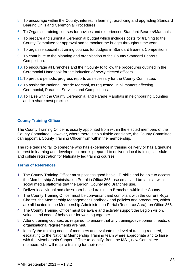- 5. To encourage within the County, interest in learning, practicing and upgrading Standard Bearing Drills and Ceremonial Procedures.
- 6. To Organise training courses for novices and experienced Standard Bearers/Marshals.
- 7. To prepare and submit a Ceremonial budget which includes costs for training to the County Committee for approval and to monitor the budget throughout the year.
- 8. To organise specialist training courses for Judges in Standard Bearers Competitions.
- 9. To contribute to the planning and organisation of the County Standard Bearers Competition.
- 10.To encourage all Branches and their County to follow the procedures outlined in the Ceremonial Handbook for the induction of newly elected officers.
- 11.To prepare periodic progress reports as necessary for the County Committee.
- 12.To assist the National Parade Marshal, as requested, in all matters affecting Ceremonial, Parades, Services and Competitions.
- 13.To liaise with the County Ceremonial and Parade Marshals in neighbouring Counties and to share best practice.

### **County Training Officer**

The County Training Officer is usually appointed from within the elected members of the County Committee. However, where there is no suitable candidate, the County Committee can appoint a County Training Officer from within the membership.

The role tends to fall to someone who has experience in training delivery or has a genuine interest in learning and development and is prepared to deliver a local training schedule and collate registration for Nationally led training courses.

- 1. The County Training Officer must possess good basic I.T. skills and be able to access the Membership Administration Portal in Office 365, use email and be familiar with social media platforms that the Legion, County and Branches use.
- 2. Deliver local virtual and classroom-based training to Branches within the County.
- 3. The County Training Officer must be conversant and compliant with the current Royal Charter, the Membership Management Handbook and policies and procedures, which are all located in the Membership Administration Portal (Resource Area), on Office 365.
- 4. The County Training Officer must be aware and actively support the Legion vision, values, and code of behaviour for working together.
- 5. Attend training courses, as required, to ensure that any training/development needs, or organisational requirements are met.
- 6. Identify the training needs of members and evaluate the level of training required, escalating to the National Membership Training team where appropriate and to liaise with the Membership Support Officer to identify, from the MS1, new Committee members who will require training for their role.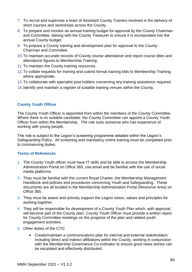- 7. To recruit and supervise a team of Assistant County Trainers involved in the delivery of short courses and workshops across the County.
- 8. To prepare and monitor an annual training budget for approval by the County Chairman and Committee, liaising with the County Treasurer to ensure it is incorporated into the annual County budget.
- 9. To prepare a County training and development plan for approval to the County Chairman and Committee.
- 10.To maintain accurate records of County course attendance and report course titles and attendance figures to Membership Training.
- 11.To maintain the County training resources.
- 12.To collate requests for training and submit formal training bids to Membership Training where appropriate.
- 13.To collaborate with specialist post holders concerning any training assistance required.
- 14.Identify and maintain a register of suitable training venues within the County.

#### **County Youth Officer**

The County Youth Officer is appointed from within the members of the County Committee. Where there is no suitable candidate, the County Committee can appoint a County Youth Officer from within the Membership. The role suits someone who has experience of working with young people.

The role is subject to the Legion's screening programme detailed within the Legion's Safeguarding Policy. All screening and mandatory online training must be completed prior to commencing duties.

- 1. The County Youth officer must have IT skills and be able to access the Membership Administration Portal on Office 365, use email and be familiar with the use of social media platforms.
- 2. They must be familiar with the current Royal Charter, the Membership Management Handbook and policies and procedures concerning Youth and Safeguarding. These documents are all located in the Membership Administration Portal (Resource Area) on Office 365.
- 3. They must be aware and actively support the Legion vision, values and principles for working together.
- 4. They will be responsible for development of a County Youth Plan which, with approval, will become part of the County plan. County Youth Officer must provide a written report for County Committee meetings on the progress of the plan and related youth engagement activities.
- 5. Other duties of the CYO
	- Create/maintain a communications plan for internal and external stakeholders including direct and indirect affiliations within the County, working in conjunction with the Membership Governance Co-ordinator to ensure good news stories can be escalated and effectively distributed.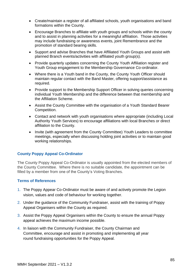- Create/maintain a register of all affiliated schools, youth organisations and band formations within the County.
- Encourage Branches to affiliate with youth groups and schools within the county and to assist in planning activities for a meaningful affiliation. Those activities may include fundraising or awareness events, joint Remembrance and the promotion of standard bearing skills.
- Support and advise Branches that have Affiliated Youth Groups and assist with planned Branch events/activities with affiliated youth group(s).
- Provide quarterly updates concerning the County Youth Affiliation register and Youth Group engagement to the Membership Governance Co-ordinator.
- Where there is a Youth band in the County, the County Youth Officer should maintain regular contact with the Band Master, offering support/assistance as required.
- Provide support to the Membership Support Officer in solving queries concerning individual Youth Membership and the difference between that membership and the Affiliation Scheme.
- Assist the County Committee with the organisation of a Youth Standard Bearer Competition.
- Contact and network with youth organisations where appropriate (including Local Authority Youth Services) to encourage affiliations with local Branches or direct affiliation to the County.
- Invite (with agreement from the County Committee) Youth Leaders to committee meetings, especially when discussing holding joint activities or to maintain good working relationships.

#### **County Poppy Appeal Co-Ordinator**

The County Poppy Appeal Co-Ordinator is usually appointed from the elected members of the County Committee. Where there is no suitable candidate, the appointment can be filled by a member from one of the County's Voting Branches.

- 1. The Poppy Appear Co-Ordinator must be aware of and actively promote the Legion vision, values and code of behaviour for working together.
- 2. Under the guidance of the Community Fundraiser, assist with the training of Poppy Appeal Organisers within the County as required.
- 3. Assist the Poppy Appeal Organisers within the County to ensure the annual Poppy appeal achieves the maximum income possible.
- 4. In liaison with the Community Fundraiser, the County Chairman and Committee, encourage and assist in promoting and implementing all year round fundraising opportunities for the Poppy Appeal.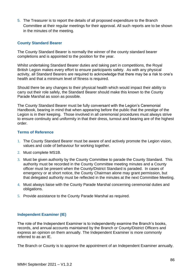5. The Treasurer is to report the details of all proposed expenditure to the Branch Committee at their regular meetings for their approval. All such reports are to be shown in the minutes of the meeting.

#### **County Standard Bearer**

The County Standard Bearer is normally the winner of the county standard bearer completions and is appointed to the position for the year.

Whilst undertaking Standard Bearer duties and taking part in competitions, the Royal British Legion makes every effort to ensure participants safety. As with any physical activity, all Standard Bearers are required to acknowledge that there may be a risk to one's health and that a minimum level of fitness is required.

Should there be any changes to their physical health which would impact their ability to carry out their role safely, the Standard Bearer should make this known to the County Parade Marshal as soon as possible.

The County Standard Bearer must be fully conversant with the Legion's Ceremonial Handbook, bearing in mind that when appearing before the public that the prestige of the Legion is in their keeping. Those involved in all ceremonial procedures must always strive to ensure continuity and uniformity in that their dress, turnout and bearing are of the highest order.

#### **Terms of Reference**

- 1. The County Standard Bearer must be aware of and actively promote the Legion vision, values and code of behaviour for working together.
- 2. Must complete MS1B.
- 3. Must be given authority by the County Committee to parade the County Standard. This authority must be recorded in the County Committee meeting minutes and a County officer must be present when the County/District Standard is paraded. In cases of emergency or at short notice, the County Chairman alone may grant permission, but that delegated authority must be reflected in the minutes at the next Committee Meeting.
- 4. Must always liaise with the County Parade Marshal concerning ceremonial duties and obligations.
- 5. Provide assistance to the County Parade Marshal as required.

#### **Independent Examiner (IE)**

The role of the Independent Examiner is to independently examine the Branch's books, records, and annual accounts maintained by the Branch or County/District Officers and express an opinion on them annually. The Independent Examiner is more commonly referred to as an IE.

The Branch or County is to approve the appointment of an Independent Examiner annually.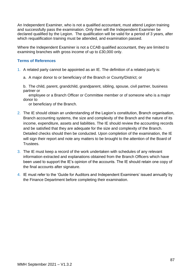An Independent Examiner, who is not a qualified accountant, must attend Legion training and successfully pass the examination. Only then will the Independent Examiner be declared qualified by the Legion. The qualification will be valid for a period of 3 years, after which requalification training must be attended, and examination passed.

Where the Independent Examiner is not a CCAB qualified accountant, they are limited to examining branches with gross income of up to £30,000 only.

#### **Terms of References**

- 1. A related party cannot be appointed as an IE. The definition of a related party is:
	- a. A major donor to or beneficiary of the Branch or County/District; or

b. The child, parent, grandchild, grandparent, sibling, spouse, civil partner, business partner or

 employee or a Branch Officer or Committee member or of someone who is a major donor to

or beneficiary of the Branch.

- 2. The IE should obtain an understanding of the Legion's constitution, Branch organisation, Branch accounting systems, the size and complexity of the Branch and the nature of its income, expenditure, assets and liabilities. The IE should review the accounting records and be satisfied that they are adequate for the size and complexity of the Branch. Detailed checks should then be conducted. Upon completion of the examination, the IE will sign their report and note any matters to be brought to the attention of the Board of Trustees.
- 3. The IE must keep a record of the work undertaken with schedules of any relevant information extracted and explanations obtained from the Branch Officers which have been used to support the IE's opinion of the accounts. The IE should retain one copy of the final accounts after signature.
- 4. IE must refer to the 'Guide for Auditors and Independent Examiners' issued annually by the Finance Department before completing their examination.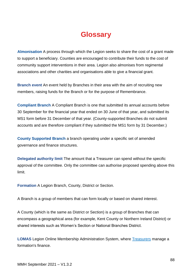# **Glossary**

**Almonisation** A process through which the Legion seeks to share the cost of a grant made to support a beneficiary. Counties are encouraged to contribute their funds to the cost of community support interventions in their area. Legion also almonises from regimental associations and other charities and organisations able to give a financial grant.

**Branch event** An event held by Branches in their area with the aim of recruiting new members, raising funds for the Branch or for the purpose of Remembrance.

**Compliant Branch** A Compliant Branch is one that submitted its annual accounts before 30 September for the financial year that ended on 30 June of that year, and submitted its MS1 form before 31 December of that year. (County-supported Branches do not submit accounts and are therefore compliant if they submitted the MS1 form by 31 December.)

**County Supported Branch** a branch operating under a specific set of amended governance and finance structures.

**Delegated authority limit** The amount that a Treasurer can spend without the specific approval of the committee. Only the committee can authorise proposed spending above this limit.

**Formation** A Legion Branch, County, District or Section.

A Branch is a group of members that can form locally or based on shared interest.

A County (which is the same as District or Section) is a group of Branches that can encompass a geographical area (for example, Kent County or Northern Ireland District) or shared interests such as Women's Section or National Branches District.

**LOMAS** Legion Online Membership Administration System, where Treasurers manage a formation's finance.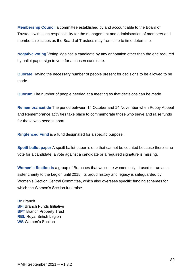**Membership Council** a committee established by and account able to the Board of Trustees with such responsibility for the management and administration of members and membership issues as the Board of Trustees may from time to time determine.

**Negative voting** Voting 'against' a candidate by any annotation other than the one required by ballot paper sign to vote for a chosen candidate.

**Quorate** Having the necessary number of people present for decisions to be allowed to be made.

**Quorum** The number of people needed at a meeting so that decisions can be made.

**Remembrancetide** The period between 14 October and 14 November when Poppy Appeal and Remembrance activities take place to commemorate those who serve and raise funds for those who need support.

**Ringfenced Fund** is a fund designated for a specific purpose.

**Spoilt ballot paper** A spoilt ballot paper is one that cannot be counted because there is no vote for a candidate, a vote against a candidate or a required signature is missing.

**Women's Section is** a group of Branches that welcome women only. It used to run as a sister charity to the Legion until 2015. Its proud history and legacy is safeguarded by Women's Section Central Committee, which also oversees specific funding schemes for which the Women's Section fundraise.

**Br** Branch **BFI Branch Funds Initiative BPT** Branch Property Trust **RBL** Royal British Legion **WS** Women's Section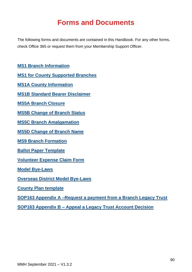# **Forms and Documents**

The following forms and documents are contained in this Handbook. For any other forms, check Office 365 or request them from your Membership Support Officer.

**[MS1 Branch Information](#page-90-0)**

**[MS1 for County Supported Branche](#page-90-0)s**

**[MS1A County Information](#page-98-0)**

**[MS1B Standard Bearer Disclaimer](#page-101-0)**

**MS5A Branch Closure**

**[MS5B Change of Branch Status](#page-105-0)**

**[MS5C Branch Amalgamation](#page-106-0)**

**[MS5D Change of Branch Name](#page-108-0)**

**[MS9 Branch Formation](#page-109-0)**

**[Ballot Paper Template](#page-109-1)**

**[Volunteer Expense Claim Form](#page-111-0)**

**[Model Bye-Laws](#page-113-0)**

**[Overseas District Model Bye-Laws](#page-114-0)**

**County Plan template** 

**[SOP163 Appendix A –Request a payment from a Branch Legacy Trust](#page-114-1)**

<span id="page-90-0"></span>**SOP163 Appendix B – [Appeal a Legacy Trust](#page-117-0) Account Decision**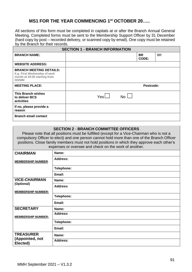# **MS1 FOR THE YEAR COMMENCING 1st OCTOBER 20…..**

All sections of this form must be completed in capitals at or after the Branch Annual General Meeting. Completed forms must be sent to the Membership Support Officer by 31 December (hard copy by post – recorded delivery, or scanned copy by email). One copy must be retained by the Branch for their records.

|                                                                                                         | <b>SECTION 1 - BRANCH INFORMATION</b> |                    |     |
|---------------------------------------------------------------------------------------------------------|---------------------------------------|--------------------|-----|
| <b>BRANCH NAME:</b>                                                                                     |                                       | <b>BR</b><br>CODE: | BR. |
| <b>WEBSITE ADDRESS:</b>                                                                                 |                                       |                    |     |
| <b>BRANCH MEETING DETAILS:</b><br>E.g. First Wednesday of each<br>month at 19:30 starting from<br>DD/MM |                                       |                    |     |
| <b>MEETING PLACE:</b>                                                                                   |                                       | Postcode:          |     |
| This Branch wishes<br>to deliver BCS<br>activities                                                      | YesL<br>$N_0$                         |                    |     |
| If no, please provide a<br>reason                                                                       |                                       |                    |     |
| <b>Branch email contact</b>                                                                             |                                       |                    |     |

#### **SECTION 2** - **BRANCH COMMITTEE OFFICERS**

Please note that all positions must be fulfilled (except for a Vice-Chairman who is not a compulsory Officer to elect) and one person cannot hold more than one of the Branch Officer positions. Close family members must not hold positions in which they approve each other's expenses or oversee and check on the work of another.

| <b>CHAIRMAN</b>             | Name:           |
|-----------------------------|-----------------|
| <b>MEMBERSHIP NUMBER:</b>   | <b>Address:</b> |
|                             | Telephone:      |
|                             | Email:          |
| <b>VICE-CHAIRMAN</b>        | Name:           |
| (Optional)                  | <b>Address:</b> |
| <b>MEMBERSHIP NUMBER:</b>   |                 |
|                             | Telephone:      |
|                             | Email:          |
| <b>SECRETARY</b>            | Name:           |
| <b>MEMBERSHIP NUMBER:</b>   | <b>Address:</b> |
|                             | Telephone:      |
|                             | Email:          |
| <b>TREASURER</b>            | Name:           |
| (Appointed, not<br>Elected) | <b>Address:</b> |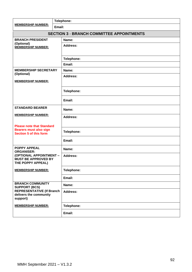|                                                                            | Telephone:                                       |  |  |  |  |  |  |
|----------------------------------------------------------------------------|--------------------------------------------------|--|--|--|--|--|--|
| <b>MEMBERSHIP NUMBER:</b>                                                  | Email:                                           |  |  |  |  |  |  |
|                                                                            | <b>SECTION 3 - BRANCH COMMITTEE APPOINTMENTS</b> |  |  |  |  |  |  |
| <b>BRANCH PRESIDENT</b><br>(Optional)                                      | Name:                                            |  |  |  |  |  |  |
| <b>MEMBERSHIP NUMBER:</b>                                                  | <b>Address:</b>                                  |  |  |  |  |  |  |
|                                                                            |                                                  |  |  |  |  |  |  |
|                                                                            | Telephone:                                       |  |  |  |  |  |  |
|                                                                            | Email:                                           |  |  |  |  |  |  |
| <b>MEMBERSHIP SECRETARY</b><br>(Optional)                                  | Name:                                            |  |  |  |  |  |  |
|                                                                            | <b>Address:</b>                                  |  |  |  |  |  |  |
| <b>MEMBERSHIP NUMBER:</b>                                                  |                                                  |  |  |  |  |  |  |
|                                                                            | Telephone:                                       |  |  |  |  |  |  |
|                                                                            | Email:                                           |  |  |  |  |  |  |
| <b>STANDARD BEARER</b>                                                     | Name:                                            |  |  |  |  |  |  |
| <b>MEMBERSHIP NUMBER:</b>                                                  | <b>Address:</b>                                  |  |  |  |  |  |  |
| <b>Please note that Standard</b>                                           |                                                  |  |  |  |  |  |  |
| <b>Bearers must also sign</b><br><b>Section 5 of this form</b>             | Telephone:                                       |  |  |  |  |  |  |
|                                                                            | Email:                                           |  |  |  |  |  |  |
| <b>POPPY APPEAL</b><br><b>ORGANISER:</b>                                   | Name:                                            |  |  |  |  |  |  |
| (OPTIONAL APPOINTMENT -<br><b>MUST BE APPROVED BY</b><br>THE POPPY APPEAL) | <b>Address:</b>                                  |  |  |  |  |  |  |
| <b>MEMBERSHIP NUMBER:</b>                                                  | Telephone:                                       |  |  |  |  |  |  |
|                                                                            | Email:                                           |  |  |  |  |  |  |
| <b>BRANCH COMMUNITY</b><br><b>SUPPORT (BCS)</b>                            | Name:                                            |  |  |  |  |  |  |
| <b>REPRESENTATIVE (If Branch</b><br>delivers the community<br>support)     | <b>Address:</b>                                  |  |  |  |  |  |  |
| <b>MEMBERSHIP NUMBER:</b>                                                  | Telephone:                                       |  |  |  |  |  |  |
|                                                                            | Email:                                           |  |  |  |  |  |  |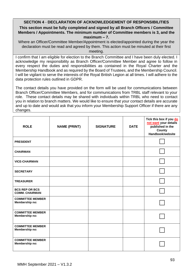# **SECTION 4** - **DECLARATION OF ACKNOWLEDGEMENT OF RESPONSIBILITIES**

#### **This section must be fully completed and signed by all Branch Officers / Committee Members / Appointments. The minimum number of Committee members is 3, and the maximum – 7.**

Where an Officer/Committee Member/Appointment is elected/appointed during the year the declaration must be read and agreed by them. This action must be minuted at their first meeting.

I confirm that I am eligible for election to the Branch Committee and I have been duly elected. I acknowledge my responsibility as Branch Officer/Committee Member and agree to follow in every respect the duties and responsibilities as contained in the Royal Charter and the Membership Handbook and as required by the Board of Trustees, and the Membership Council. I will be vigilant to serve the interests of the Royal British Legion at all times. I will adhere to the data protection rules outlined in GDPR.

The contact details you have provided on the form will be used for communications between Branch Officer/Committee Members, and for communications from TRBL staff relevant to your role. These contact details may be shared with individuals within TRBL who need to contact you in relation to branch matters. We would like to ensure that your contact details are accurate and up to date and would ask that you inform your Membership Support Officer if there are any changes.

| <b>ROLE</b>                                    | <b>NAME (PRINT)</b> | <b>SIGNATURE</b> | <b>DATE</b> | Tick this box if you do<br>not want your details<br>published in the<br>County<br>Handbook/website |
|------------------------------------------------|---------------------|------------------|-------------|----------------------------------------------------------------------------------------------------|
| <b>PRESIDENT</b>                               |                     |                  |             |                                                                                                    |
| <b>CHAIRMAN</b>                                |                     |                  |             |                                                                                                    |
| <b>VICE-CHAIRMAN</b>                           |                     |                  |             |                                                                                                    |
| <b>SECRETARY</b>                               |                     |                  |             |                                                                                                    |
| <b>TREASURER</b>                               |                     |                  |             |                                                                                                    |
| <b>BCS REP OR BCS</b><br><b>COMM. CHAIRMAN</b> |                     |                  |             |                                                                                                    |
| <b>COMMITTEE MEMBER</b><br>Membership no:      |                     |                  |             |                                                                                                    |
| <b>COMMITTEE MEMBER</b><br>Membership no:      |                     |                  |             |                                                                                                    |
| <b>COMMITTEE MEMBER</b><br>Membership no:      |                     |                  |             |                                                                                                    |
| <b>COMMITTEE MEMBER</b><br>Membership no:      |                     |                  |             |                                                                                                    |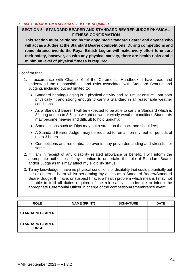#### *PLEASE CONTINUE ON A SEPARATE SHEET IF REQUIRED.*

### **SECTION 5** - **STANDARD BEARER AND STANDARD BEARER JUDGE PHYSICAL FITNESS CONFIRMATION**

**This section must be signed by the appointed Standard Bearer and anyone who will act as a Judge at the Standard Bearer competitions. During competitions and remembrance events the Royal British Legion will make every effort to ensure their safety, however, as with any physical activity, there are health risks and a minimum level of physical fitness is required.** 

I confirm that:

- 1. In accordance with Chapter 6 of the Ceremonial Handbook, I have read and understood the responsibilities and risks associated with Standard Bearing and Judging, including but not limited to:
	- Standard bearing/judging is a physical activity and so I must ensure I am both physically fit and strong enough to carry a Standard in all reasonable weather conditions.
	- As a Standard Bearer I will be expected to be able to carry a Standard which is 8ft long and up to 3.5kg in weight (in wet or windy weather conditions Standards may become heavier and difficult to hold upright);
	- Some actions such as Dips may put a strain on the back and shoulders;
	- A Standard Bearer Judge I may be required to remain on my feet for periods of up to 3 hours.
	- Competitions and remembrance events may prove demanding and stressful for some.
- 2. If I am in receipt of any disability related allowance or benefit, I will inform the appropriate authorities of my intention to undertake the role of Standard Bearer and/or Judge as this may affect my eligibility status.
- 3. To my knowledge, I have no physical conditions or disability that could potentially put me or others at harm whilst performing my duties as a Standard Bearer/Standard Bearer Judge. If I have, or suspect I have, a health problem which means I may not be able to fulfil all duties required of the role safely, I undertake to inform the appropriate Ceremonial Officer in charge of the competition/remembrance event.

| <b>ROLE</b>                            | <b>NAME (PRINT)</b> | <b>SIGNATURE</b> | <b>DATE</b> |
|----------------------------------------|---------------------|------------------|-------------|
| <b>STANDARD BEARER</b>                 |                     |                  |             |
| <b>STANDARD BEARER</b><br><b>JUDGE</b> |                     |                  |             |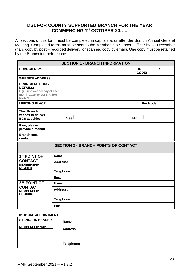### **MS1 FOR COUNTY SUPPORTED BRANCH FOR THE YEAR COMMENCING 1st OCTOBER 20…..**

All sections of this form must be completed in capitals at or after the Branch Annual General Meeting. Completed forms must be sent to the Membership Support Officer by 31 December (hard copy by post – recorded delivery, or scanned copy by email). One copy must be retained by the Branch for their records.

| <b>SECTION 1 - BRANCH INFORMATION</b>                                                                             |            |                 |  |  |                    |           |  |  |
|-------------------------------------------------------------------------------------------------------------------|------------|-----------------|--|--|--------------------|-----------|--|--|
| <b>BRANCH NAME:</b>                                                                                               |            |                 |  |  | <b>BR</b><br>CODE: | <b>BR</b> |  |  |
| <b>WEBSITE ADDRESS:</b>                                                                                           |            |                 |  |  |                    |           |  |  |
| <b>BRANCH MEETING</b><br><b>DETAILS:</b><br>E.g. First Wednesday of each<br>month at 19:30 starting from<br>DD/MM |            |                 |  |  |                    |           |  |  |
| <b>MEETING PLACE:</b>                                                                                             |            |                 |  |  | Postcode:          |           |  |  |
| <b>This Branch</b><br>wishes to deliver<br><b>BCS activities</b>                                                  |            | YesL            |  |  | $No$ $\Box$        |           |  |  |
| If no, please<br>provide a reason                                                                                 |            |                 |  |  |                    |           |  |  |
| <b>Branch email</b><br>contact                                                                                    |            |                 |  |  |                    |           |  |  |
| <b>SECTION 2 - BRANCH POINTS OF CONTACT</b>                                                                       |            |                 |  |  |                    |           |  |  |
| 1 <sup>st</sup> POINT OF                                                                                          | Name:      |                 |  |  |                    |           |  |  |
| <b>CONTACT</b><br><b>MEMBERSHIP</b><br><b>NUMBER:</b>                                                             | Address:   |                 |  |  |                    |           |  |  |
|                                                                                                                   | Telephone: |                 |  |  |                    |           |  |  |
|                                                                                                                   | Email:     |                 |  |  |                    |           |  |  |
| 2 <sup>nd</sup> POINT OF                                                                                          | Name:      |                 |  |  |                    |           |  |  |
| <b>CONTACT</b><br><b>MEMBERSHIP</b><br><b>NUMBER:</b>                                                             |            | <b>Address:</b> |  |  |                    |           |  |  |
|                                                                                                                   | Telephone: |                 |  |  |                    |           |  |  |
|                                                                                                                   | Email:     |                 |  |  |                    |           |  |  |

#### **OPTIONAL APPOINTMENTS**

| <b>STANDARD BEARER</b>    | Name:           |  |  |  |
|---------------------------|-----------------|--|--|--|
| <b>MEMBERSHIP NUMBER:</b> | <b>Address:</b> |  |  |  |
|                           | Telephone:      |  |  |  |
|                           |                 |  |  |  |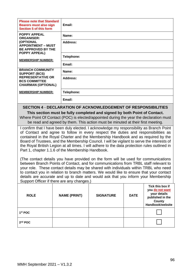| <b>Please note that Standard</b><br><b>Bearers must also sign</b><br><b>Section 5 of this form</b>                                | Email:     |
|-----------------------------------------------------------------------------------------------------------------------------------|------------|
| <b>POPPY APPEAL</b><br><b>ORGANISER:</b>                                                                                          | Name:      |
| (OPTIONAL<br><b>APPOINTMENT - MUST</b><br><b>BE APPROVED BY THE</b><br><b>POPPY APPEAL)</b><br><b>MEMBERSHIP NUMBER:</b>          | Address:   |
|                                                                                                                                   | Telephone: |
|                                                                                                                                   | Email:     |
| <b>BRANCH COMMUNITY</b><br><b>SUPPORT (BCS)</b><br><b>REPRESENTATIVE OR</b><br><b>BCS COMMITTEE</b><br><b>CHAIRMAN (OPTIONAL)</b> | Name:      |
|                                                                                                                                   | Address:   |
| <b>MEMBERSHIP NUMBER:</b>                                                                                                         | Telephone: |
|                                                                                                                                   | Email:     |

### **SECTION 4** - **DECLARATION OF ACKNOWLEDGEMENT OF RESPONSIBILITIES**

**This section must be fully completed and signed by both Point of Contact.** Where Point Of Contact (POC) is elected/appointed during the year the declaration must be read and agreed by them. This action must be minuted at their first meeting.

I confirm that I have been duly elected. I acknowledge my responsibility as Branch Point of Contact and agree to follow in every respect the duties and responsibilities as contained in the Royal Charter and the Membership Handbook and as required by the Board of Trustees, and the Membership Council. I will be vigilant to serve the interests of the Royal British Legion at all times. I will adhere to the data protection rules outlined in Part 1, chapter 1.1.6 of the Membership Handbook.

(The contact details you have provided on the form will be used for communications between Branch Points of Contact, and for communications from TRBL staff relevant to your role. These contact details may be shared with individuals within TRBL who need to contact you in relation to branch matters. We would like to ensure that your contact details are accurate and up to date and would ask that you inform your Membership Support Officer if there are any changes.)

| <b>ROLE</b>         | <b>NAME (PRINT)</b> | <b>SIGNATURE</b> | <b>DATE</b> | Tick this box if<br>you do not want<br>your details<br>published in the<br>County<br>Handbook/website |
|---------------------|---------------------|------------------|-------------|-------------------------------------------------------------------------------------------------------|
| 1 <sup>st</sup> POC |                     |                  |             |                                                                                                       |
| $2nd$ POC           |                     |                  |             |                                                                                                       |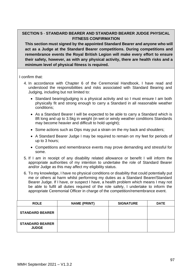## **SECTION 5** - **STANDARD BEARER AND STANDARD BEARER JUDGE PHYSICAL FITNESS CONFIRMATION**

**This section must signed by the appointed Standard Bearer and anyone who will act as a Judge at the Standard Bearer competitions. During competitions and remembrance events the Royal British Legion will make every effort to ensure their safety, however, as with any physical activity, there are health risks and a minimum level of physical fitness is required.** 

I confirm that:

- 4. In accordance with Chapter 6 of the Ceremonial Handbook, I have read and understood the responsibilities and risks associated with Standard Bearing and Judging, including but not limited to:
	- Standard bearing/judging is a physical activity and so I must ensure I am both physically fit and strong enough to carry a Standard in all reasonable weather conditions;
	- As a Standard Bearer I will be expected to be able to carry a Standard which is 8ft long and up to 3.5kg in weight (in wet or windy weather conditions Standards may become heavier and difficult to hold upright);
	- Some actions such as Dips may put a strain on the my back and shoulders;
	- A Standard Bearer Judge I may be required to remain on my feet for periods of up to 3 hours;
	- Competitions and remembrance events may prove demanding and stressful for some.
- 5. If I am in receipt of any disability related allowance or benefit I will inform the appropriate authorities of my intention to undertake the role of Standard Bearer and/or Judge as this may affect my eligibility status.
- 6. To my knowledge, I have no physical conditions or disability that could potentially put me or others at harm whilst performing my duties as a Standard Bearer/Standard Bearer Judge. If I have, or suspect I have, a health problem which means I may not be able to fulfil all duties required of the role safely, I undertake to inform the appropriate Ceremonial Officer in charge of the competition/remembrance event.

| <b>ROLE</b>                            | <b>NAME (PRINT)</b> | <b>SIGNATURE</b> | <b>DATE</b> |
|----------------------------------------|---------------------|------------------|-------------|
| <b>STANDARD BEARER</b>                 |                     |                  |             |
| <b>STANDARD BEARER</b><br><b>JUDGE</b> |                     |                  |             |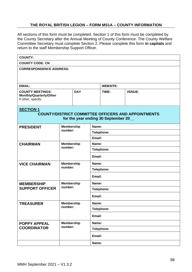#### **THE ROYAL BRITISH LEGION – FORM MS1A – COUNTY INFORMATION**

<span id="page-98-0"></span>All sections of this form must be completed. Section 1 of this form must be completed by the County Secretary after the Annual Meeting of County Conference. The County Welfare Committee Secretary must complete Section 2. Please complete this form **in capitals** and return to the staff Membership Support Officer.

| <b>COUNTY:</b>                                                                                                        |                   |                              |            |                   |               |  |  |
|-----------------------------------------------------------------------------------------------------------------------|-------------------|------------------------------|------------|-------------------|---------------|--|--|
| <b>COUNTY CODE: CN</b>                                                                                                |                   |                              |            |                   |               |  |  |
| <b>CORRESPONDENCE ADDRESS:</b>                                                                                        |                   |                              |            |                   |               |  |  |
| <b>EMAIL:</b>                                                                                                         |                   |                              |            | <b>WEBSITE:</b>   |               |  |  |
| <b>COUNTY MEETINGS:</b><br>Monthly/Quarterly/Other<br>If other, specify:                                              | <b>DAY</b>        |                              |            | TIME:             | <b>VENUE:</b> |  |  |
| <b>SECTION 1</b><br><b>COUNTY/DISTRICT COMMITTEE OFFICERS AND APPOINTMENTS</b><br>for the year ending 30 September 20 |                   |                              |            |                   |               |  |  |
| <b>PRESIDENT</b>                                                                                                      | <b>Membership</b> |                              | Name:      |                   |               |  |  |
|                                                                                                                       |                   | number:                      |            | <b>Telephone:</b> |               |  |  |
|                                                                                                                       |                   |                              | Email:     |                   |               |  |  |
| <b>CHAIRMAN</b>                                                                                                       |                   | <b>Membership</b><br>number: |            | Name:             |               |  |  |
|                                                                                                                       |                   |                              |            | Telephone:        |               |  |  |
|                                                                                                                       |                   |                              | Email:     |                   |               |  |  |
| <b>VICE CHAIRMAN</b>                                                                                                  | <b>Membership</b> |                              | Name:      |                   |               |  |  |
|                                                                                                                       |                   | number:                      | Telephone: |                   |               |  |  |
|                                                                                                                       |                   |                              |            | Email:            |               |  |  |
| <b>MEMBERSHIP</b>                                                                                                     | <b>Membership</b> |                              | Name:      |                   |               |  |  |
| <b>SUPPORT OFFICER</b>                                                                                                | number:           |                              | Telephone: |                   |               |  |  |
|                                                                                                                       |                   |                              | Email:     |                   |               |  |  |
| <b>TREASURER</b>                                                                                                      | <b>Membership</b> |                              | Name:      |                   |               |  |  |
|                                                                                                                       |                   | number:                      |            | Telephone:        |               |  |  |
|                                                                                                                       |                   |                              | Email:     |                   |               |  |  |
| <b>POPPY APPEAL</b>                                                                                                   | <b>Membership</b> |                              | Name:      |                   |               |  |  |
| <b>COORDINATOR</b>                                                                                                    | number:           |                              | Telephone: |                   |               |  |  |
|                                                                                                                       |                   |                              | Email:     |                   |               |  |  |
|                                                                                                                       |                   |                              | Name:      |                   |               |  |  |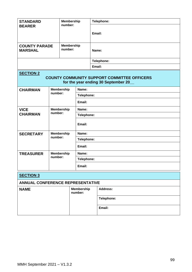| <b>STANDARD</b><br><b>BEARER</b>        | <b>Membership</b><br>number: |                   |                   |                              |            | Telephone:                                                                                 |  |  |
|-----------------------------------------|------------------------------|-------------------|-------------------|------------------------------|------------|--------------------------------------------------------------------------------------------|--|--|
|                                         |                              |                   |                   |                              | Email:     |                                                                                            |  |  |
| <b>COUNTY PARADE</b><br><b>MARSHAL</b>  | number:                      |                   | <b>Membership</b> |                              | Name:      |                                                                                            |  |  |
|                                         |                              |                   |                   |                              | Telephone: |                                                                                            |  |  |
|                                         |                              |                   |                   |                              |            | Email:                                                                                     |  |  |
| <b>SECTION 2</b>                        |                              |                   |                   |                              |            |                                                                                            |  |  |
|                                         |                              |                   |                   |                              |            | <b>COUNTY COMMUNITY SUPPORT COMMITTEE OFFICERS</b><br>for the year ending 30 September 20_ |  |  |
| <b>CHAIRMAN</b>                         | number:                      | <b>Membership</b> |                   | Name:                        |            |                                                                                            |  |  |
|                                         |                              |                   |                   | Telephone:                   |            |                                                                                            |  |  |
|                                         |                              |                   |                   | Email:                       |            |                                                                                            |  |  |
| <b>VICE</b>                             | <b>Membership</b>            |                   |                   | Name:                        |            |                                                                                            |  |  |
| number:<br><b>CHAIRMAN</b>              |                              |                   |                   |                              | Telephone: |                                                                                            |  |  |
|                                         |                              |                   | Email:            |                              |            |                                                                                            |  |  |
| <b>SECRETARY</b>                        | <b>Membership</b><br>number: |                   |                   | Name:                        |            |                                                                                            |  |  |
|                                         |                              |                   |                   | Telephone:                   |            |                                                                                            |  |  |
|                                         |                              |                   |                   | Email:                       |            |                                                                                            |  |  |
| <b>TREASURER</b>                        | number:                      | <b>Membership</b> |                   | Name:                        |            |                                                                                            |  |  |
|                                         |                              |                   |                   | Telephone:                   |            |                                                                                            |  |  |
|                                         |                              |                   |                   | Email:                       |            |                                                                                            |  |  |
| <b>SECTION 3</b>                        |                              |                   |                   |                              |            |                                                                                            |  |  |
| <b>ANNUAL CONFERENCE REPRESENTATIVE</b> |                              |                   |                   |                              |            |                                                                                            |  |  |
| <b>NAME</b>                             |                              |                   |                   | <b>Membership</b><br>number: |            | <b>Address:</b>                                                                            |  |  |
|                                         |                              |                   |                   |                              |            | Telephone:                                                                                 |  |  |
|                                         |                              |                   |                   |                              |            | Email:                                                                                     |  |  |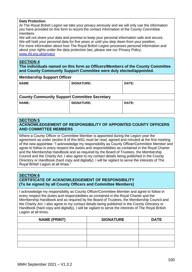#### **Data Protection**

At The Royal British Legion we take your privacy seriously and we will only use the information you have provided on this form to record the contact information of the County Committee members.

We will not share your data and promise to keep your personal information safe and secure. We will hold your personal data for five years or until you step down from your position. For more information about how The Royal British Legion processes personal information and about your rights under the data protection law, please see our Privacy Policy: [www.rbl.org.uk/privacy](http://www.rbl.org.uk/privacy)

#### **SECTION 4**

**The individuals named on this form as Officers/Members of the County Committee and County Community Support Committee were duly elected/appointed.**

| <b>NAME</b>                                         | <b>SIGNATURE:</b> | DATE: |  |  |
|-----------------------------------------------------|-------------------|-------|--|--|
| <b>County Community Support Committee Secretary</b> |                   |       |  |  |
| <b>NAME:</b>                                        | <b>SIGNATURE:</b> | DATE: |  |  |

#### **SECTION 5**

#### **ACKNOWLEDGEMENT OF RESPONSIBILITY OF APPOINTED COUNTY OFFICERS AND COMMITTEE MEMBERS**

Where a County Officer or Committee Member is appointed during the Legion year the agreement as under section 6 of this MS1 must be read, agreed and minuted at the first meeting of the new appointee: "I acknowledge my responsibility as County Officer/Committee Member and agree to follow in every respect the duties and responsibilities as contained in the Royal Charter and the Membership Handbook and as required by the Board of Trustees, the Membership Council and the Charity Act. I also agree to my contact details being published in the County Directory or Handbook (hard copy and digitally). I will be vigilant to serve the interests of The Royal British Legion at all times."

#### **SECTION 6 CERTIFICATE OF ACKNOWLEDGEMENT OF RESPONSIBILITY (To be signed by all County Officers and Committee Members)**

I acknowledge my responsibility as County Officer/Committee Member and agree to follow in every respect the duties and responsibilities as contained in the Royal Charter and the Membership Handbook and as required by the Board of Trustees, the Membership Council and the Charity Act. I also agree to my contact details being published in the County Directory or Handbook (hard copy and digitally). I will be vigilant to serve the interests of The Royal British Legion at all times.

| <b>NAME (PRINT)</b> | <b>SIGNATURE</b> | <b>DATE</b> |
|---------------------|------------------|-------------|
|                     |                  |             |
|                     |                  |             |
|                     |                  |             |
|                     |                  |             |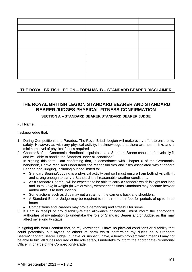### <span id="page-101-0"></span>**THE ROYAL BRITISH LEGION – FORM MS1B – STANDARD BEARER DISCLAIMER**

# **THE ROYAL BRITISH LEGION STANDARD BEARER AND STANDARD BEARER JUDGES PHYSICAL FITNESS CONFIRMATION**

#### **SECTION A – STANDARD BEARER/STANDARD BEARER JUDGE**

Full Name: \_\_\_\_\_\_\_\_\_\_\_\_\_\_\_\_\_\_\_\_\_\_\_\_\_\_\_\_\_\_\_\_\_\_\_\_\_\_\_\_\_\_\_\_\_\_\_\_\_\_\_\_\_\_\_\_\_\_\_

I acknowledge that:

- 1. During Competitions and Parades, The Royal British Legion will make every effort to ensure my safety. However, as with any physical activity, I acknowledge that there are health risks and a minimum level of physical fitness required.
- 2. Chapter 6 of the Ceremonial Handbook stipulates that a Standard Bearer should be "physically fit and well able to handle the Standard under all conditions". In signing this form I am confirming that, in accordance with Chapter 6 of the Ceremonial handbook, I have read and understood the responsibilities and risks associated with Standard Bearing and Judging, including but not limited to:
	- Standard Bearing/Judging is a physical activity and so I must ensure I am both physically fit and strong enough to carry a Standard in all reasonable weather conditions.
	- As a Standard Bearer, I will be expected to be able to carry a Standard which is eight feet long and up to 3.5kg in weight (in wet or windy weather conditions Standards may become heavier and/or difficult to hold upright).
	- Some actions such as dips may put a strain on the carrier's back and shoulders.
	- A Standard Bearer Judge may be required to remain on their feet for periods of up to three hours.
	- Competitions and Parades may prove demanding and stressful for some.
- 3. If I am in receipt of any disability-related allowance or benefit I must inform the appropriate authorities of my intention to undertake the role of Standard Bearer and/or Judge, as this may affect my eligibility status.

In signing this form I confirm that, to my knowledge, I have no physical conditions or disability that could potentially put myself or others at harm whilst performing my duties as a Standard Bearer/Standard Bearer Judge. If I have, or suspect I have, a health problem which means I may not be able to fulfil all duties required of the role safely, I undertake to inform the appropriate Ceremonial Officer in charge of the Competition/Parade.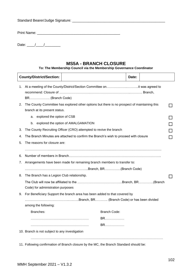# Standard Bearer/Judge Signature: \_\_\_\_\_\_\_\_\_\_\_\_\_\_\_\_\_\_\_\_\_\_\_\_\_\_\_\_\_\_\_\_\_\_\_\_\_\_\_\_\_\_\_\_\_\_\_

| <b>Print Name:</b> |  |
|--------------------|--|
|--------------------|--|

| Date: |  |  |  |
|-------|--|--|--|
|-------|--|--|--|

# **MS5A - BRANCH CLOSURE**

#### **To: The Membership Council via the Membership Governance Coordinator**

|    |                                                                          | <b>County/District/Section:</b>            |                                                                                              |                     | Date: |  |  |
|----|--------------------------------------------------------------------------|--------------------------------------------|----------------------------------------------------------------------------------------------|---------------------|-------|--|--|
| 1. |                                                                          | BR (Branch Code)                           |                                                                                              |                     |       |  |  |
| 2. |                                                                          | branch at its present status.              | The County Committee has explored other options but there is no prospect of maintaining this |                     |       |  |  |
|    | a.                                                                       | explored the option of CSB                 |                                                                                              |                     |       |  |  |
|    | b.                                                                       |                                            | explored the option of AMALGAMATION                                                          |                     |       |  |  |
| 3. |                                                                          |                                            | The County Recruiting Officer (CRO) attempted to revive the branch                           |                     |       |  |  |
| 4. |                                                                          |                                            | The Branch Minutes are attached to confirm the Branch's wish to proceed with closure         |                     |       |  |  |
| 5. |                                                                          | The reasons for closure are:               |                                                                                              |                     |       |  |  |
|    |                                                                          |                                            |                                                                                              |                     |       |  |  |
| 6. |                                                                          |                                            |                                                                                              |                     |       |  |  |
| 7. | Arrangements have been made for remaining branch members to transfer to: |                                            |                                                                                              |                     |       |  |  |
|    |                                                                          |                                            |                                                                                              |                     |       |  |  |
| 8. |                                                                          | The Branch has a Legion Club relationship. |                                                                                              |                     |       |  |  |
|    |                                                                          | Code) for administration purposes          |                                                                                              |                     |       |  |  |
| 9. |                                                                          |                                            | For Beneficiary Support the branch area has been added to that covered by                    |                     |       |  |  |
|    |                                                                          |                                            | ……………………………………………Branch, BR………… (Branch Code) or has been divided                            |                     |       |  |  |
|    |                                                                          | among the following:                       |                                                                                              |                     |       |  |  |
|    |                                                                          | Branches:                                  |                                                                                              | <b>Branch Code:</b> |       |  |  |
|    |                                                                          |                                            |                                                                                              | <b>BR</b>           |       |  |  |
|    |                                                                          |                                            |                                                                                              | <b>BR</b>           |       |  |  |
|    | 10. Branch is not subject to any investigation                           |                                            |                                                                                              |                     |       |  |  |
|    |                                                                          |                                            |                                                                                              |                     |       |  |  |
|    |                                                                          |                                            | 11. Following confirmation of Branch closure by the MC, the Branch Standard should be:       |                     |       |  |  |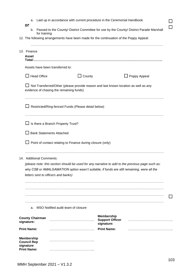| а.<br>or                                             |                          |                                          |                                                            | Laid up in accordance with current procedure in the Ceremonial Handbook |                                                                                                  |  |
|------------------------------------------------------|--------------------------|------------------------------------------|------------------------------------------------------------|-------------------------------------------------------------------------|--------------------------------------------------------------------------------------------------|--|
| b.                                                   | for training             |                                          |                                                            |                                                                         | Passed to the County/ District Committee for use by the County/ District Parade Marshall         |  |
|                                                      |                          |                                          |                                                            |                                                                         | 12. The following arrangements have been made for the continuation of the Poppy Appeal:          |  |
|                                                      |                          |                                          |                                                            |                                                                         |                                                                                                  |  |
| 13. Finance                                          |                          |                                          |                                                            |                                                                         |                                                                                                  |  |
| <b>Asset</b>                                         |                          |                                          |                                                            |                                                                         |                                                                                                  |  |
|                                                      |                          | Assets have been transferred to:         |                                                            |                                                                         |                                                                                                  |  |
|                                                      | $\Box$ Head Office       |                                          | County                                                     |                                                                         | Poppy Appeal                                                                                     |  |
|                                                      |                          | evidence of chasing the remaining funds) |                                                            |                                                                         | Not Transferred/Other (please provide reason and last known location as well as any              |  |
|                                                      |                          |                                          |                                                            |                                                                         |                                                                                                  |  |
|                                                      |                          |                                          | Restricted/Ring-fenced Funds (Please detail below)         |                                                                         |                                                                                                  |  |
|                                                      |                          |                                          |                                                            |                                                                         |                                                                                                  |  |
|                                                      |                          | Is there a Branch Property Trust?        |                                                            |                                                                         |                                                                                                  |  |
|                                                      |                          | <b>Bank Statements Attached</b>          |                                                            |                                                                         |                                                                                                  |  |
|                                                      |                          |                                          | Point of contact relating to Finance during closure (only) |                                                                         |                                                                                                  |  |
|                                                      |                          |                                          |                                                            |                                                                         |                                                                                                  |  |
|                                                      | 14. Additional Comments: |                                          |                                                            |                                                                         |                                                                                                  |  |
|                                                      |                          |                                          |                                                            |                                                                         | (please note: this section should be used for any narrative to add to the previous page such as: |  |
|                                                      |                          | letters sent to officers and banks)      |                                                            |                                                                         | why CSB or AMALGAMATION option wasn't suitable, if funds are still remaining, were all the       |  |
|                                                      |                          |                                          |                                                            |                                                                         |                                                                                                  |  |
|                                                      |                          |                                          |                                                            |                                                                         |                                                                                                  |  |
|                                                      |                          |                                          |                                                            |                                                                         |                                                                                                  |  |
|                                                      |                          |                                          |                                                            |                                                                         |                                                                                                  |  |
| a.                                                   |                          |                                          | MSO Notified audit team of closure                         |                                                                         |                                                                                                  |  |
| signature:                                           | <b>County Chairman</b>   |                                          |                                                            | <b>Membership</b><br><b>Support Officer</b><br>signature:               |                                                                                                  |  |
| <b>Print Name:</b>                                   |                          |                                          |                                                            | <b>Print Name:</b>                                                      |                                                                                                  |  |
| <b>Membership</b><br><b>Council Rep</b><br>signature |                          |                                          |                                                            |                                                                         |                                                                                                  |  |
| <b>Print Name:</b>                                   |                          |                                          |                                                            |                                                                         |                                                                                                  |  |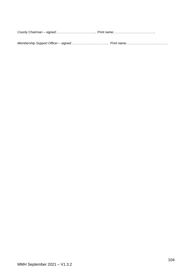*County Chairman – signed:…………………..…………... Print name:………….……….…………….*

*Membership Support Officer – signed:………………..…………... Print name:……………….……..…………*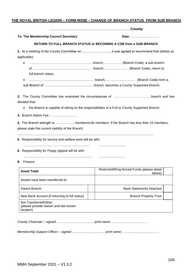#### <span id="page-105-0"></span>**THE ROYAL BRITISH LEGION – FORM MS5B – CHANGE OF BRANCH STATUS FROM SUB BRANCH**

……………...…………………………………………....**County**

**To: The Membership Council Secretary <b>Date: Date:**……………………………………………………………………………

#### **RETURN TO FULL BRANCH STATUS or BECOMING A CSB from a SUB-BRANCH**

**1.** At a meeting of the County Committee on………………………..it was agreed to recommend that (delete as applicable):

- ………………………………………….………. branch, ……………. (Branch Code), a sub-branch of ………………………………….……………. branch, ………………… (Branch Code), return to full branch status.
- …………………………………………….…..…. branch, ……………………… (Branch Code) form a sub-Branch of ………………………….………..…. branch, becomes a County Supported Branch.

**2.** The County Committee has examined the circumstances of ……………………………..branch and has decided that:

- the Branch is capable of taking on the responsibilities of a Full or County Supported Branch
- **3.** Branch Admin Fee : ……………………

**4.** The Branch strength is …………..…. members/Life members. If the Branch has less than 15 members, please state the current viability of the Branch:

……………………………………………………………………………………………………………....

**5.** Responsibility for service and welfare work will be with:

………………………………….……….……....... ………………….....

- **6.** Responsibility for Poppy Appeal will be with:
- …………………………………….………..……..... …………………....
- **8.** Finance

| <b>Asset Total:</b>                                                          | Restricted/Ring-fenced Funds (please detail<br>below) |  |
|------------------------------------------------------------------------------|-------------------------------------------------------|--|
| Assets have been transferred to:                                             |                                                       |  |
| Parent Branch                                                                | <b>Bank Statements Attached</b>                       |  |
| New Bank account (if returning to full status)                               | <b>Branch Property Trust</b>                          |  |
| Not Transferred/Other:<br>(please provide reason and last known<br>location) |                                                       |  |

*County Chairman – signed:…………..………….…...... print name:…………….………………*

*Membership Support Officer – signed:…………..…………...... print name:………….…….……………*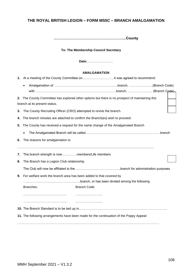#### <span id="page-106-0"></span>**THE ROYAL BRITISH LEGION – FORM MS5C – BRANCH AMALGAMATION**

**……………………………………….…………....County**

#### **To: The Membership Council Secretary**

**Date:**……………………

#### **AMALGAMATION**

|    | 2. The County Committee has explored other options but there is no prospect of maintaining this<br>branch at its present status. |  |
|----|----------------------------------------------------------------------------------------------------------------------------------|--|
|    | 3. The County Recruiting Officer (CRO) attempted to revive the branch.                                                           |  |
| 4. | The branch minutes are attached to confirm the Branch(es) wish to proceed.                                                       |  |
|    | 5. The County has received a request for the name change of the Amalgamated Branch                                               |  |
|    |                                                                                                                                  |  |
| 6. | The reasons for amalgamation is:                                                                                                 |  |
| 7. | The branch strength is nowmembers/Life members.                                                                                  |  |
| 8. | The Branch has a Legion Club relationship.                                                                                       |  |
|    |                                                                                                                                  |  |
| 9. | For welfare work the branch area has been added to that covered by                                                               |  |
|    |                                                                                                                                  |  |
|    | Branches:<br><b>Branch Code:</b>                                                                                                 |  |
|    |                                                                                                                                  |  |
|    |                                                                                                                                  |  |
|    |                                                                                                                                  |  |
|    | 11. The following arrangements have been made for the continuation of the Poppy Appeal:                                          |  |
|    |                                                                                                                                  |  |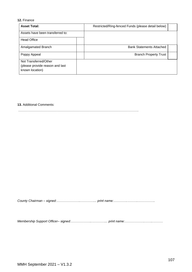#### **12.** Finance

| <b>Asset Total:</b>                                                         | Restricted/Ring-fenced Funds (please detail below) |  |
|-----------------------------------------------------------------------------|----------------------------------------------------|--|
| Assets have been transferred to:                                            |                                                    |  |
| <b>Head Office</b>                                                          |                                                    |  |
| Amalgamated Branch                                                          | <b>Bank Statements Attached</b>                    |  |
| Poppy Appeal                                                                | <b>Branch Property Trust</b>                       |  |
| Not Transferred/Other<br>(please provide reason and last<br>known location) |                                                    |  |

#### **13.** Additional Comments:

………………………………………………………………………………………………….

*County Chairman – signed:…………………..…………... print name:………….……….…………….*

*Membership Support Officer– signed:………………..…………... print name:……………….……..………*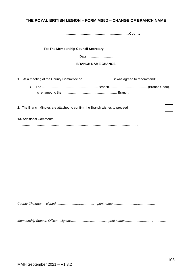### **THE ROYAL BRITISH LEGION – FORM MS5D – CHANGE OF BRANCH NAME**

**……………………………………….…………....County**

**To: The Membership Council Secretary** 

**Date:**……………………

#### **BRANCH NAME CHANGE**

- **1.** At a meeting of the County Committee on……………….………..it was agreed to recommend:
	- The ……………………………………………. Branch, ……………………………..(Branch Code), is renamed to the …………………………………………… Branch.

**2**. The Branch Minutes are attached to confirm the Branch wishes to proceed

**13.** Additional Comments:

*County Chairman – signed:…………………..…………... print name:………….……….…………….*

*Membership Support Officer– signed:………………..…………... print name:……………….……..…………*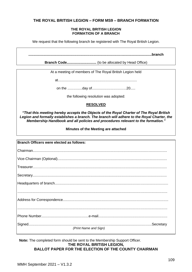### **THE ROYAL BRITISH LEGION – FORM MS9 – BRANCH FORMATION**

#### **THE ROYAL BRITISH LEGION FORMATION OF A BRANCH**

We request that the following branch be registered with The Royal British Legion.

**.............................................................................................................................branch**

**Branch Code..............................** (to be allocated by Head Office)

At a meeting of members of The Royal British Legion held

at................................................................................

on the ...............day of...................................20.....

the following resolution was adopted:

### **RESOLVED**

*"That this meeting hereby accepts the Objects of the Royal Charter of The Royal British Legion and formally establishes a branch. The branch will adhere to the Royal Charter, the Membership Handbook and all policies and procedures relevant to the formation."*

**Minutes of the Meeting are attached**

| <b>Branch Officers were elected as follows:</b> |
|-------------------------------------------------|
|                                                 |
|                                                 |
|                                                 |
|                                                 |
|                                                 |
|                                                 |
|                                                 |
|                                                 |
|                                                 |
|                                                 |
| (Print Name and Sign)                           |

**Note:** The completed form should be sent to the Membership Support Officer. **THE ROYAL BRITISH LEGION, BALLOT PAPER FOR THE ELECTION OF THE COUNTY CHAIRMAN**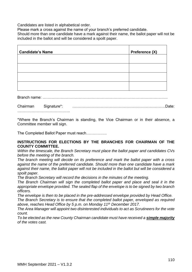Candidates are listed in alphabetical order.

Please mark a cross against the name of your branch's preferred candidate.

Should more than one candidate have a mark against their name, the ballot paper will not be included in the ballot and will be considered a spoilt paper.

| <b>Candidate's Name</b> | Preference (X) |
|-------------------------|----------------|
|                         |                |
|                         |                |
|                         |                |
|                         |                |

Branch name: …………………………………………………………………………………….

Chairman Signature\*: ………………………………………………………………Date: …………………………………………

\*Where the Branch's Chairman is standing, the Vice Chairman or in their absence, a Committee member will sign.

The Completed Ballot Paper must reach…………….

### **INSTRUCTIONS FOR ELECTIONS BY THE BRANCHES FOR CHAIRMAN OF THE COUNTY COMMITTEE.**

*Within the timescale, the Branch Secretary must place the ballot paper and candidates CVs before the meeting of the branch.*

*The branch meeting will decide on its preference and mark the ballot paper with a cross against the name of the preferred candidate. Should more than one candidate have a mark against their name, the ballot paper will not be included in the ballot but will be considered a spoilt paper.*

*The Branch Secretary will record the decisions in the minutes of the meeting.*

*The Branch Chairman will sign the completed ballot paper and place and seal it in the appropriate envelope provided. The sealed flap of the envelope is to be signed by two branch officers.*

*The envelope is then to be placed in the pre-addressed envelope provided by Head Office.*

*The Branch Secretary is to ensure that the completed ballot paper, enveloped as required above, reaches Head Office by 5 p.m. on Monday 11th December 2017.*

*The Area Manager will appoint two disinterested individuals to act as Scrutineers for the vote count.*

*To be elected as the new County Chairman candidate must have received a simple majority of the votes cast.*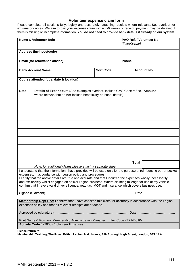### **Volunteer expense claim form**

Please complete all sections fully, legibly and accurately, attaching receipts where relevant**.** See overleaf for explanatory notes. We aim to pay your expense claim within 4-6 weeks of receipt; payment may be delayed if there is missing or incomplete information. **You do not need to provide bank details if already on our system.**

| <b>Name &amp; Volunteer Role</b>                                                                                                                                                                                                                                                                                                                                                                                                                                                                                     |                  | PAO Ref. / Volunteer No.<br>(if applicable) |                    |  |
|----------------------------------------------------------------------------------------------------------------------------------------------------------------------------------------------------------------------------------------------------------------------------------------------------------------------------------------------------------------------------------------------------------------------------------------------------------------------------------------------------------------------|------------------|---------------------------------------------|--------------------|--|
| Address (incl. postcode)                                                                                                                                                                                                                                                                                                                                                                                                                                                                                             |                  |                                             |                    |  |
| Email (for remittance advice)                                                                                                                                                                                                                                                                                                                                                                                                                                                                                        |                  | Phone                                       |                    |  |
| <b>Bank Account Name</b>                                                                                                                                                                                                                                                                                                                                                                                                                                                                                             | <b>Sort Code</b> |                                             | <b>Account No.</b> |  |
| Course attended (title, date & location)                                                                                                                                                                                                                                                                                                                                                                                                                                                                             |                  |                                             |                    |  |
| Details of Expenditure (See examples overleaf. Include CMS Case ref no. Amount<br><b>Date</b><br>where relevant but do not include beneficiary personal details)                                                                                                                                                                                                                                                                                                                                                     |                  |                                             |                    |  |
|                                                                                                                                                                                                                                                                                                                                                                                                                                                                                                                      |                  |                                             |                    |  |
|                                                                                                                                                                                                                                                                                                                                                                                                                                                                                                                      |                  |                                             |                    |  |
|                                                                                                                                                                                                                                                                                                                                                                                                                                                                                                                      |                  |                                             |                    |  |
|                                                                                                                                                                                                                                                                                                                                                                                                                                                                                                                      |                  |                                             |                    |  |
|                                                                                                                                                                                                                                                                                                                                                                                                                                                                                                                      |                  |                                             |                    |  |
|                                                                                                                                                                                                                                                                                                                                                                                                                                                                                                                      |                  |                                             |                    |  |
|                                                                                                                                                                                                                                                                                                                                                                                                                                                                                                                      |                  |                                             |                    |  |
|                                                                                                                                                                                                                                                                                                                                                                                                                                                                                                                      |                  | <b>Total</b>                                |                    |  |
| Note: for additional claims please attach a separate sheet                                                                                                                                                                                                                                                                                                                                                                                                                                                           |                  |                                             |                    |  |
| I understand that the information I have provided will be used only for the purpose of reimbursing out-of-pocket<br>expenses, in accordance with Legion policy and procedures.<br>I certify that the above details are true and accurate and that I incurred the expenses wholly, necessarily<br>and exclusively whilst engaged on official Legion business. Where claiming mileage for use of my vehicle, I<br>confirm that I have a valid driver's licence, road tax, MOT and insurance which covers business use. |                  |                                             |                    |  |
|                                                                                                                                                                                                                                                                                                                                                                                                                                                                                                                      |                  |                                             |                    |  |
| Membership Dept Use: I confirm that I have checked this claim for accuracy in accordance with the Legion<br>expenses policy and that all relevant receipts are attached.                                                                                                                                                                                                                                                                                                                                             |                  |                                             |                    |  |
|                                                                                                                                                                                                                                                                                                                                                                                                                                                                                                                      |                  |                                             |                    |  |
| Print Name & Position: Membership Administration Manager<br>Unit Code 4271-D010-<br>Activity Code 422000 - Volunteer Expenses                                                                                                                                                                                                                                                                                                                                                                                        |                  |                                             |                    |  |
| Please return to:                                                                                                                                                                                                                                                                                                                                                                                                                                                                                                    |                  |                                             |                    |  |

**Membership Training, The Royal British Legion, Haig House, 199 Borough High Street, London, SE1 1AA**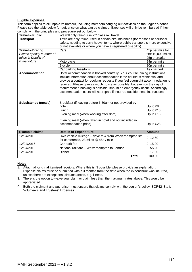#### **Eligible expenses**

This form applies to all unpaid volunteers, including members carrying out activities on the Legion's behalf. Please see the table below for guidance on what can be claimed. Expenses will only be reimbursed if they comply with the principles and procedure set out below.

| <b>Travel - Public</b>     | We will only reimburse 2 <sup>nd</sup> class rail travel                                                                                                                                                                                                                                                                                                                                                                                                                       |                     |  |
|----------------------------|--------------------------------------------------------------------------------------------------------------------------------------------------------------------------------------------------------------------------------------------------------------------------------------------------------------------------------------------------------------------------------------------------------------------------------------------------------------------------------|---------------------|--|
| <b>Transport</b>           | Taxis are only reimbursed in certain circumstances (for reasons of personal                                                                                                                                                                                                                                                                                                                                                                                                    |                     |  |
|                            | safety, needing to carry heavy items, where public transport is more expensive                                                                                                                                                                                                                                                                                                                                                                                                 |                     |  |
|                            | or not available or where you have a registered disability)                                                                                                                                                                                                                                                                                                                                                                                                                    |                     |  |
| <b>Travel - Driving</b>    | Cars                                                                                                                                                                                                                                                                                                                                                                                                                                                                           | 45p per mile for    |  |
| Please specify number of   |                                                                                                                                                                                                                                                                                                                                                                                                                                                                                | first 10,000 miles, |  |
| miles in Details of        |                                                                                                                                                                                                                                                                                                                                                                                                                                                                                | 25p thereafter      |  |
| Expenditure                | Motorcycle                                                                                                                                                                                                                                                                                                                                                                                                                                                                     | 24p per mile        |  |
|                            | <b>Bicycle</b>                                                                                                                                                                                                                                                                                                                                                                                                                                                                 | 20p per mile        |  |
|                            | Car parking fees/tolls                                                                                                                                                                                                                                                                                                                                                                                                                                                         | As charged          |  |
| Accommodation              | Hotel Accommodation is booked centrally. Your course joining instructions<br>include information about accommodation if the course is residential and<br>provide a contact for booking requests if you feel overnight accommodation is<br>required. Please give as much notice as possible, but even on the day of<br>requirement a booking is possible, should an emergency occur. Accordingly<br>accommodation costs will not repaid if incurred outside these instructions. |                     |  |
| <b>Subsistence (meals)</b> | Breakfast (if leaving before 6.30am or not provided by<br>hotel)                                                                                                                                                                                                                                                                                                                                                                                                               | Up to £8            |  |
|                            | Lunch                                                                                                                                                                                                                                                                                                                                                                                                                                                                          | Up to £10           |  |
|                            | Evening meal (when working after 8pm)                                                                                                                                                                                                                                                                                                                                                                                                                                          | Up to £18           |  |
|                            | Evening meal (when taken in hotel and not included in<br>accommodation price)                                                                                                                                                                                                                                                                                                                                                                                                  | Up to £28           |  |

| <b>Example claims:</b> | <b>Details of Expenditure</b>                                                                     | Amount  |
|------------------------|---------------------------------------------------------------------------------------------------|---------|
| 12/04/2016             | Own vehicle mileage - drive to & from Wolverhampton stn.<br>for conference, 28 miles @ 45p / mile | £ 12.60 |
| 12/04/2016             | Car park fee                                                                                      | £ 15.00 |
| 12/04/2016             | National rail fare - Wolverhampton to London                                                      | £ 55.20 |
| 12/04/2016             | Dinner                                                                                            | £ 17.50 |
|                        | Total                                                                                             | £100.30 |

#### **Notes**

- 1. Attach all **original** itemised receipts. Where this isn't possible, please provide an explanation.
- 2. Expense claims must be submitted within 3 months from the date when the expenditure was incurred, unless there are exceptional circumstances, e.g. illness.
- 3. There is the option to waive your claim or claim less than the maximum rates above. This would be appreciated.
- 4. Both the claimant and authoriser must ensure that claims comply with the Legion's policy, SOP42 'Staff, Volunteers and Trustees' Expenses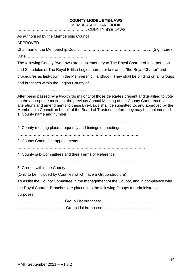### **COUNTY MODEL BYE-LAWS** MEMBERSHIP HANDBOOK

……………………………………………… COUNTY BYE-LAWS As authorised by the Membership Council APPROVED Chairman of the Membership Council ………………………………………...…… (Signature) Date: ………………………………………. The following County Bye-Laws are supplementary to The Royal Charter of Incorporation and Schedules of The Royal British Legion hereafter known as "the Royal Charter" and procedures as laid-down in the Membership Handbook. They shall be binding on all Groups and branches within the Legion County of ............................................................................................... After being passed by a two-thirds majority of those delegates present and qualified to vote on the appropriate motion at the previous Annual Meeting of the County Conference, all alterations and amendments to these Bye-Laws shall be submitted to, and approved by the Membership Council on behalf of the Board of Trustees, before they may be implemented. 1. County name and number …………………………………………………………………………………… 2. County meeting place, frequency and timings of meetings ..………………………………………………………………………………… 3. County Committee appointments ……………………………………………………………………………………… 4. County sub-Committees and their Terms of Reference ……………………………………………………………………………..….. 5. Groups within the County (Only to be included by Counties which have a Group structure): To assist the County Committee in the management of the County, and in compliance with the Royal Charter, Branches are placed into the following Groups for administrative purposes: ……………………………… Group List branches: ………………………...……………… ………………………………. Group List branches: ………………………...…………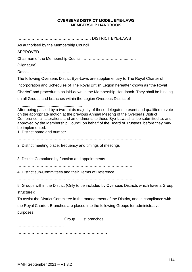### **OVERSEAS DISTRICT MODEL BYE-LAWS MEMBERSHIP HANDBOOK**

| As authorised by the Membership Council                                                                                                                                                                                                                                                                                                                                                                                  |
|--------------------------------------------------------------------------------------------------------------------------------------------------------------------------------------------------------------------------------------------------------------------------------------------------------------------------------------------------------------------------------------------------------------------------|
| <b>APPROVED</b>                                                                                                                                                                                                                                                                                                                                                                                                          |
|                                                                                                                                                                                                                                                                                                                                                                                                                          |
| (Signature)                                                                                                                                                                                                                                                                                                                                                                                                              |
| Date:                                                                                                                                                                                                                                                                                                                                                                                                                    |
| The following Overseas District Bye-Laws are supplementary to The Royal Charter of                                                                                                                                                                                                                                                                                                                                       |
| Incorporation and Schedules of The Royal British Legion hereafter known as "the Royal                                                                                                                                                                                                                                                                                                                                    |
| Charter" and procedures as laid-down in the Membership Handbook. They shall be binding                                                                                                                                                                                                                                                                                                                                   |
| on all Groups and branches within the Legion Overseas District of                                                                                                                                                                                                                                                                                                                                                        |
| After being passed by a two-thirds majority of those delegates present and qualified to vote<br>on the appropriate motion at the previous Annual Meeting of the Overseas District<br>Conference, all alterations and amendments to these Bye-Laws shall be submitted to, and<br>approved by the Membership Council on behalf of the Board of Trustees, before they may<br>be implemented.<br>1. District name and number |
| 2. District meeting place, frequency and timings of meetings                                                                                                                                                                                                                                                                                                                                                             |
| 3. District Committee by function and appointments                                                                                                                                                                                                                                                                                                                                                                       |
| 4. District sub-Committees and their Terms of Reference                                                                                                                                                                                                                                                                                                                                                                  |
| 5. Groups within the District (Only to be included by Overseas Districts which have a Group<br>structure):                                                                                                                                                                                                                                                                                                               |
| To assist the District Committee in the management of the District, and in compliance with                                                                                                                                                                                                                                                                                                                               |
| the Royal Charter, Branches are placed into the following Groups for administrative<br>purposes:                                                                                                                                                                                                                                                                                                                         |
|                                                                                                                                                                                                                                                                                                                                                                                                                          |
|                                                                                                                                                                                                                                                                                                                                                                                                                          |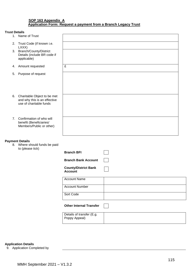#### **SOP 163 Appendix A Application Form: Request a payment from a Branch Legacy Trust**

#### **Trust Details**

| TIUSL D <del>e</del> lans |                                                                                        |                                               |  |
|---------------------------|----------------------------------------------------------------------------------------|-----------------------------------------------|--|
|                           | 1. Name of Trust                                                                       |                                               |  |
|                           | 2. Trust Code (if known i.e.<br>LXXX)                                                  |                                               |  |
|                           | 3. Branch/County/District<br>Details (include BR code if<br>applicable)                |                                               |  |
|                           | 4. Amount requested                                                                    | £                                             |  |
| 5.                        | Purpose of request                                                                     |                                               |  |
| 6.                        | Charitable Object to be met<br>and why this is an effective<br>use of charitable funds |                                               |  |
| 7.                        | Confirmation of who will<br>benefit (Beneficiaries/<br>Members/Public or other)        |                                               |  |
|                           | <b>Payment Details</b><br>8. Where should funds be paid<br>to (please tick)            |                                               |  |
|                           |                                                                                        | <b>Branch BFI</b>                             |  |
|                           |                                                                                        | <b>Branch Bank Account</b>                    |  |
|                           |                                                                                        | <b>County/District Bank</b><br><b>Account</b> |  |
|                           |                                                                                        | <b>Account Name</b>                           |  |
|                           |                                                                                        | <b>Account Number</b>                         |  |
|                           |                                                                                        | Sort Code                                     |  |
|                           |                                                                                        | <b>Other Internal Transfer</b>                |  |
|                           |                                                                                        | Details of transfer (E.g.<br>Poppy Appeal)    |  |
|                           |                                                                                        |                                               |  |

**Application Details** 9. Application Completed by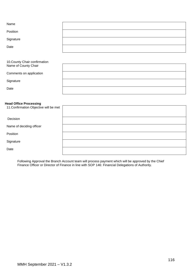| Name                                                  |  |
|-------------------------------------------------------|--|
| Position                                              |  |
| Signature                                             |  |
| Date                                                  |  |
| 10. County Chair confirmation<br>Name of County Chair |  |

Comments on application

**Signature** 

Date

#### **Head Office Processing**

| 11. Confirmation Objective will be met |  |
|----------------------------------------|--|
| Decision                               |  |
| Name of deciding officer               |  |
| Position                               |  |
| Signature                              |  |
| Date                                   |  |

Following Approval the Branch Account team will process payment which will be approved by the Chief Finance Officer or Director of Finance in line with SOP 146: Financial Delegations of Authority.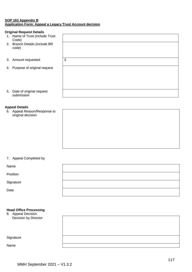#### **SOP 163 Appendix B Application Form: Appeal a Legacy Trust Account decision**

#### **Original Request Details**

- 1. Name of Trust (include Trust Code)
- 2. Branch Details (inclue code)
- 3. Amount requested
- 4. Purpose of original re

| de BR  |   |
|--------|---|
|        |   |
|        |   |
|        |   |
|        | £ |
|        |   |
| equest |   |
|        |   |
|        |   |
|        |   |
|        |   |
|        |   |
| est    |   |
|        |   |

5. Date of original reque submission

### **Appeal Details**

6. App orig

| Delalis                                   |  |  |
|-------------------------------------------|--|--|
| peal Reason/Response to<br>ginal decision |  |  |
|                                           |  |  |
|                                           |  |  |
|                                           |  |  |
|                                           |  |  |
|                                           |  |  |
|                                           |  |  |

### 7. Appeal Completed by

Name

Position

**Signature** 

Date

#### **Head Office Processing**

8. Appeal Decision Decision by Director

**Signature** 

Name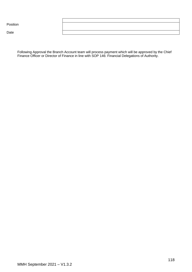Position

Date

Following Approval the Branch Account team will process payment which will be approved by the Chief Finance Officer or Director of Finance in line with SOP 146: Financial Delegations of Authority.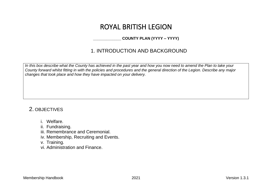# ROYAL BRITISH LEGION

### **\_\_\_\_\_\_\_\_\_\_\_\_\_ COUNTY PLAN (YYYY – YYYY)**

## 1. INTRODUCTION AND BACKGROUND

*In this box describe what the County has achieved in the past year and how you now need to amend the Plan to take your County forward whilst fitting in with the policies and procedures and the general direction of the Legion. Describe any major changes that took place and how they have impacted on your delivery.*

### 2. OBJECTIVES

- i. Welfare.
- ii. Fundraising.
- iii. Remembrance and Ceremonial.
- iv. Membership, Recruiting and Events.
- v. Training.
- vi. Administration and Finance.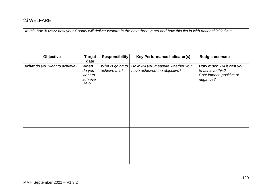### 2.i WELFARE

*In this box describe how your County will deliver welfare in the next three years and how this fits in with national initiatives.*

| Objective                    | <b>Target</b><br>date                         | <b>Responsibility</b>            | <b>Key Performance Indicator(s)</b>                              | <b>Budget estimate</b>                                                                 |
|------------------------------|-----------------------------------------------|----------------------------------|------------------------------------------------------------------|----------------------------------------------------------------------------------------|
| What do you want to achieve? | When<br>do you<br>want to<br>achieve<br>this? | Who is going to<br>achieve this? | How will you measure whether you<br>have achieved the objective? | How much will it cost you<br>to achieve this?<br>Cost impact: positive or<br>negative? |
|                              |                                               |                                  |                                                                  |                                                                                        |
|                              |                                               |                                  |                                                                  |                                                                                        |
|                              |                                               |                                  |                                                                  |                                                                                        |
|                              |                                               |                                  |                                                                  |                                                                                        |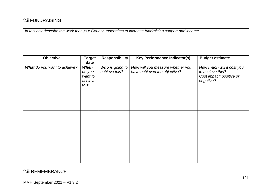### 2.ii FUNDRAISING

*In this box describe the work that your County undertakes to increase fundraising support and income.* 

| Objective                    | <b>Target</b><br>date                                | <b>Responsibility</b>            | <b>Key Performance Indicator(s)</b>                              | <b>Budget estimate</b>                                                                 |
|------------------------------|------------------------------------------------------|----------------------------------|------------------------------------------------------------------|----------------------------------------------------------------------------------------|
| What do you want to achieve? | <b>When</b><br>do you<br>want to<br>achieve<br>this? | Who is going to<br>achieve this? | How will you measure whether you<br>have achieved the objective? | How much will it cost you<br>to achieve this?<br>Cost impact: positive or<br>negative? |
|                              |                                                      |                                  |                                                                  |                                                                                        |
|                              |                                                      |                                  |                                                                  |                                                                                        |
|                              |                                                      |                                  |                                                                  |                                                                                        |
|                              |                                                      |                                  |                                                                  |                                                                                        |

### 2.iii REMEMBRANCE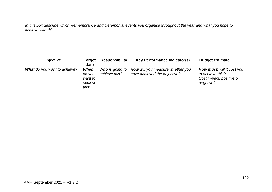*In this box describe which Remembrance and Ceremonial events you organise throughout the year and what you hope to achieve with this.*

| Objective                    | <b>Target</b><br>date                         | <b>Responsibility</b>            | <b>Key Performance Indicator(s)</b>                              | <b>Budget estimate</b>                                                                 |
|------------------------------|-----------------------------------------------|----------------------------------|------------------------------------------------------------------|----------------------------------------------------------------------------------------|
| What do you want to achieve? | When<br>do you<br>want to<br>achieve<br>this? | Who is going to<br>achieve this? | How will you measure whether you<br>have achieved the objective? | How much will it cost you<br>to achieve this?<br>Cost impact: positive or<br>negative? |
|                              |                                               |                                  |                                                                  |                                                                                        |
|                              |                                               |                                  |                                                                  |                                                                                        |
|                              |                                               |                                  |                                                                  |                                                                                        |
|                              |                                               |                                  |                                                                  |                                                                                        |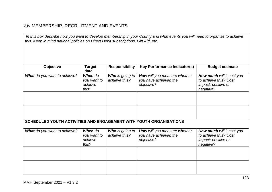### 2.iv MEMBERSHIP, RECRUITMENT AND EVENTS

*In this box describe how you want to develop membership in your County and what events you will need to organise to achieve this. Keep in mind national policies on Direct Debit subscriptions, Gift Aid, etc.*

| <b>Objective</b>                                                   | <b>Target</b><br>date                      | <b>Responsibility</b>                   | <b>Key Performance Indicator(s)</b>                                 | <b>Budget estimate</b>                                                                 |
|--------------------------------------------------------------------|--------------------------------------------|-----------------------------------------|---------------------------------------------------------------------|----------------------------------------------------------------------------------------|
| <b>What</b> do you want to achieve?                                | When do<br>you want to<br>achieve<br>this? | <b>Who</b> is going to<br>achieve this? | How will you measure whether<br>you have achieved the<br>objective? | How much will it cost you<br>to achieve this? Cost<br>impact: positive or<br>negative? |
|                                                                    |                                            |                                         |                                                                     |                                                                                        |
|                                                                    |                                            |                                         |                                                                     |                                                                                        |
| SCHEDULED YOUTH ACTIVITIES AND ENGAGEMENT WITH YOUTH ORGANISATIONS |                                            |                                         |                                                                     |                                                                                        |
| <b>What</b> do you want to achieve?                                | When do<br>you want to<br>achieve<br>this? | Who is going to<br>achieve this?        | How will you measure whether<br>you have achieved the<br>objective? | How much will it cost you<br>to achieve this? Cost<br>impact: positive or<br>negative? |
|                                                                    |                                            |                                         |                                                                     |                                                                                        |
|                                                                    |                                            |                                         |                                                                     |                                                                                        |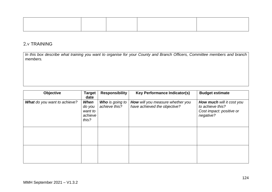### 2.v TRAINING

*In this box describe what training you want to organise for your County and Branch Officers, Committee members and branch members.*

| <b>Objective</b>                    | <b>Target</b><br>date                         | <b>Responsibility</b>                   | <b>Key Performance Indicator(s)</b>                              | <b>Budget estimate</b>                                                                        |
|-------------------------------------|-----------------------------------------------|-----------------------------------------|------------------------------------------------------------------|-----------------------------------------------------------------------------------------------|
| <b>What</b> do you want to achieve? | When<br>do you<br>want to<br>achieve<br>this? | <b>Who</b> is going to<br>achieve this? | How will you measure whether you<br>have achieved the objective? | <b>How much will it cost you</b><br>to achieve this?<br>Cost impact: positive or<br>negative? |
|                                     |                                               |                                         |                                                                  |                                                                                               |
|                                     |                                               |                                         |                                                                  |                                                                                               |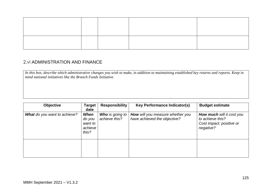### 2.vi ADMINISTRATION AND FINANCE

*In this box, describe which administrative changes you wish to make, in addition to maintaining established key returns and reports. Keep in mind national initiatives like the Branch Funds Initiative.*

| <b>Objective</b>                    | <b>Target</b><br>date                         | <b>Responsibility</b>                   | <b>Key Performance Indicator(s)</b>                              | <b>Budget estimate</b>                                                                        |
|-------------------------------------|-----------------------------------------------|-----------------------------------------|------------------------------------------------------------------|-----------------------------------------------------------------------------------------------|
| <b>What</b> do you want to achieve? | When<br>do you<br>want to<br>achieve<br>this? | <b>Who</b> is going to<br>achieve this? | How will you measure whether you<br>have achieved the objective? | <b>How much will it cost you</b><br>to achieve this?<br>Cost impact: positive or<br>negative? |
|                                     |                                               |                                         |                                                                  |                                                                                               |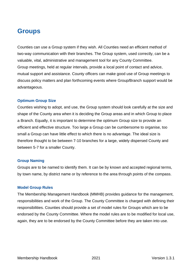# **Groups**

Counties can use a Group system if they wish. All Counties need an efficient method of two-way communication with their branches. The Group system, used correctly, can be a valuable, vital, administrative and management tool for any County Committee. Group meetings, held at regular intervals, provide a local point of contact and advice, mutual support and assistance. County officers can make good use of Group meetings to discuss policy matters and plan forthcoming events where Group/Branch support would be advantageous.

### **Optimum Group Size**

Counties wishing to adopt, and use, the Group system should look carefully at the size and shape of the County area when it is deciding the Group areas and in which Group to place a Branch. Equally, it is important to determine the optimum Group size to provide an efficient and effective structure. Too large a Group can be cumbersome to organise, too small a Group can have little effect to which there is no advantage. The ideal size is therefore thought to be between 7-10 branches for a large, widely dispersed County and between 5-7 for a smaller County.

### **Group Naming**

Groups are to be named to identify them. It can be by known and accepted regional terms, by town name, by district name or by reference to the area through points of the compass.

### **Model Group Rules**

The Membership Management Handbook (MMHB) provides guidance for the management, responsibilities and work of the Group. The County Committee is charged with defining their responsibilities. Counties should provide a set of model rules for Groups which are to be endorsed by the County Committee. Where the model rules are to be modified for local use, again, they are to be endorsed by the County Committee before they are taken into use.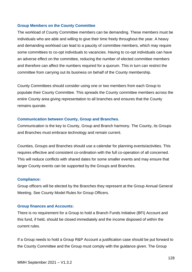### **Group Members on the County Committee**

The workload of County Committee members can be demanding. These members must be individuals who are able and willing to give their time freely throughout the year. A heavy and demanding workload can lead to a paucity of committee members, which may require some committees to co-opt individuals to vacancies. Having to co-opt individuals can have an adverse effect on the committee, reducing the number of elected committee members and therefore can affect the numbers required for a quorum. This in turn can restrict the committee from carrying out its business on behalf of the County membership.

County Committees should consider using one or two members from each Group to populate their County Committee. This spreads the County committee members across the entire County area giving representation to all branches and ensures that the County remains quorate.

### **Communication between County, Group and Branches.**

Communication is the key to County, Group and Branch harmony. The County, its Groups and Branches must embrace technology and remain current.

Counties, Groups and Branches should use a calendar for planning events/activities. This requires effective and consistent co-ordination with the full co-operation of all concerned. This will reduce conflicts with shared dates for some smaller events and may ensure that larger County events can be supported by the Groups and Branches.

### **Compliance:**

Group officers will be elected by the Branches they represent at the Group Annual General Meeting. See County Model Rules for Group Officers.

### **Group finances and Accounts:**

There is no requirement for a Group to hold a Branch Funds Initiative (BFI) Account and this fund, if held, should be closed immediately and the income disposed of within the current rules.

If a Group needs to hold a Group R&P Account a justification case should be put forward to the County Committee and the Group must comply with the guidance given. The Group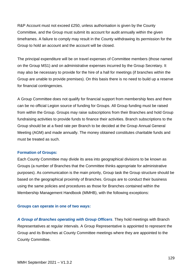R&P Account must not exceed £250, unless authorisation is given by the County Committee, and the Group must submit its account for audit annually within the given timeframes. A failure to comply may result in the County withdrawing its permission for the Group to hold an account and the account will be closed.

The principal expenditure will be on travel expenses of Committee members (those named on the Group MS1) and on administrative expenses incurred by the Group Secretary. It may also be necessary to provide for the hire of a hall for meetings (if branches within the Group are unable to provide premises). On this basis there is no need to build up a reserve for financial contingencies.

A Group Committee does not qualify for financial support from membership fees and there can be no official Legion source of funding for Groups. All Group funding must be raised from within the Group. Groups may raise subscriptions from their Branches and hold Group fundraising activities to provide funds to finance their activities. Branch subscriptions to the Group should be at a fixed rate per Branch to be decided at the Group Annual General Meeting (AGM) and made annually. The money obtained constitutes charitable funds and must be treated as such.

### **Formation of Groups:**

Each County Committee may divide its area into geographical divisions to be known as Groups (a number of Branches that the Committee thinks appropriate for administrative purposes). As communication is the main priority, Group task the Group structure should be based on the geographical proximity of Branches. Groups are to conduct their business using the same policies and procedures as those for Branches contained within the Membership Management Handbook (MMHB), with the following exceptions:

### **Groups can operate in one of two ways:**

*A Group of Branches operating with Group Officers*. They hold meetings with Branch Representatives at regular intervals. A Group Representative is appointed to represent the Group and its Branches at County Committee meetings where they are appointed to the County Committee.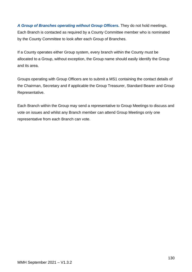*A Group of Branches operating without Group Officers.* They do not hold meetings. Each Branch is contacted as required by a County Committee member who is nominated by the County Committee to look after each Group of Branches.

If a County operates either Group system, every branch within the County must be allocated to a Group, without exception, the Group name should easily identify the Group and its area.

Groups operating with Group Officers are to submit a MS1 containing the contact details of the Chairman, Secretary and if applicable the Group Treasurer, Standard Bearer and Group Representative.

Each Branch within the Group may send a representative to Group Meetings to discuss and vote on issues and whilst any Branch member can attend Group Meetings only one representative from each Branch can vote.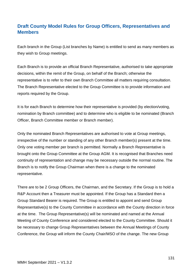### **Draft County Model Rules for Group Officers, Representatives and Members**

Each branch in the Group (List branches by Name) is entitled to send as many members as they wish to Group meetings.

Each Branch is to provide an official Branch Representative, authorised to take appropriate decisions, within the remit of the Group, on behalf of the Branch; otherwise the representative is to refer to their own Branch Committee all matters requiring consultation. The Branch Representative elected to the Group Committee is to provide information and reports required by the Group.

It is for each Branch to determine how their representative is provided (by election/voting, nomination by Branch committee) and to determine who is eligible to be nominated (Branch Officer, Branch Committee member or Branch member).

Only the nominated Branch Representatives are authorised to vote at Group meetings, irrespective of the number or standing of any other Branch member(s) present at the time. Only one voting member per branch is permitted. Normally a Branch Representative is brought onto the Group Committee at the Group AGM. It is recognised that Branches need continuity of representation and change may be necessary outside the normal routine. The Branch is to notify the Group Chairman when there is a change to the nominated representative.

There are to be 2 Group Officers, the Chairman, and the Secretary. If the Group is to hold a R&P Account then a Treasurer must be appointed. If the Group has a Standard then a Group Standard Bearer is required. The Group is entitled to appoint and send Group Representative(s) to the County Committee in accordance with the County direction in force at the time. The Group Representative(s) will be nominated and named at the Annual Meeting of County Conference and considered elected to the County Committee. Should it be necessary to change Group Representatives between the Annual Meetings of County Conference, the Group will inform the County Chair/MSO of the change. The new Group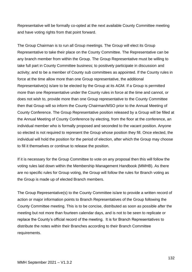Representative will be formally co-opted at the next available County Committee meeting and have voting rights from that point forward.

The Group Chairman is to run all Group meetings. The Group will elect its Group Representative to take their place on the County Committee. The Representative can be any branch member from within the Group. The Group Representative must be willing to take full part in County Committee business; to positively participate in discussion and activity; and to be a member of County sub committees as appointed. If the County rules in force at the time allow more than one Group representative, the additional Representative(s) is/are to be elected by the Group at its AGM. If a Group is permitted more than one Representative under the County rules in force at the time and cannot, or does not wish to, provide more than one Group representative to the County Committee then that Group will so inform the County Chairman/MSO prior to the Annual Meeting of County Conference. The Group Representative position released by a Group will be filled at the Annual Meeting of County Conference by electing, from the floor at the conference, an individual member who is formally proposed and seconded to the vacant position. Anyone so elected is not required to represent the Group whose position they fill. Once elected, the individual will hold the position for the period of election, after which the Group may choose to fill it themselves or continue to release the position.

If it is necessary for the Group Committee to vote on any proposal then this will follow the voting rules laid down within the Membership Management Handbook (MMHB). As there are no specific rules for Group voting, the Group will follow the rules for Branch voting as the Group is made up of elected Branch members.

The Group Representative(s) to the County Committee is/are to provide a written record of action or major information points to Branch Representatives of the Group following the County Committee meeting. This is to be concise, distributed as soon as possible after the meeting but not more than fourteen calendar days, and is not to be seen to replicate or replace the County's official record of the meeting. It is for Branch Representatives to distribute the notes within their Branches according to their Branch Committee requirements.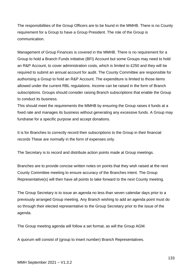The responsibilities of the Group Officers are to be found in the MMHB. There is no County requirement for a Group to have a Group President. The role of the Group is communication.

Management of Group Finances is covered in the MMHB. There is no requirement for a Group to hold a Branch Funds initiative (BFI) Account but some Groups may need to hold an R&P Account, to cover administration costs, which is limited to £250 and they will be required to submit an annual account for audit. The County Committee are responsible for authorising a Group to hold an R&P Account. The expenditure is limited to those items allowed under the current RBL regulations. Income can be raised in the form of Branch subscriptions. Groups should consider raising Branch subscriptions that enable the Group to conduct its business.

This should meet the requirements the MMHB by ensuring the Group raises it funds at a fixed rate and manages its business without generating any excessive funds. A Group may fundraise for a specific purpose and accept donations.

It is for Branches to correctly record their subscriptions to the Group in their financial records These are normally in the form of expenses only.

The Secretary is to record and distribute action points made at Group meetings.

Branches are to provide concise written notes on points that they wish raised at the next County Committee meeting to ensure accuracy of the Branches intent. The Group Representative(s) will then have all points to take forward to the next County meeting.

The Group Secretary is to issue an agenda no less than seven calendar days prior to a previously arranged Group meeting. Any Branch wishing to add an agenda point must do so through their elected representative to the Group Secretary prior to the issue of the agenda.

The Group meeting agenda will follow a set format, as will the Group AGM.

A quorum will consist of (group to insert number) Branch Representatives.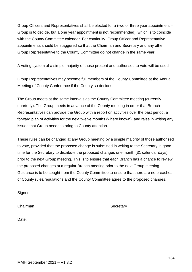Group Officers and Representatives shall be elected for a (two or three year appointment – Group is to decide, but a one year appointment is not recommended), which is to coincide with the County Committee calendar. For continuity, Group Officer and Representative appointments should be staggered so that the Chairman and Secretary and any other Group Representative to the County Committee do not change in the same year.

A voting system of a simple majority of those present and authorised to vote will be used.

Group Representatives may become full members of the County Committee at the Annual Meeting of County Conference if the County so decides.

The Group meets at the same intervals as the County Committee meeting (currently quarterly). The Group meets in advance of the County meeting in order that Branch Representatives can provide the Group with a report on activities over the past period, a forward plan of activities for the next twelve months (where known), and raise in writing any issues that Group needs to bring to County attention.

These rules can be changed at any Group meeting by a simple majority of those authorised to vote, provided that the proposed change is submitted in writing to the Secretary in good time for the Secretary to distribute the proposed changes one month (31 calendar days) prior to the next Group meeting. This is to ensure that each Branch has a chance to review the proposed changes at a regular Branch meeting prior to the next Group meeting. Guidance is to be sought from the County Committee to ensure that there are no breaches of County rules/regulations and the County Committee agree to the proposed changes.

Signed:

Chairman Secretary

Date: